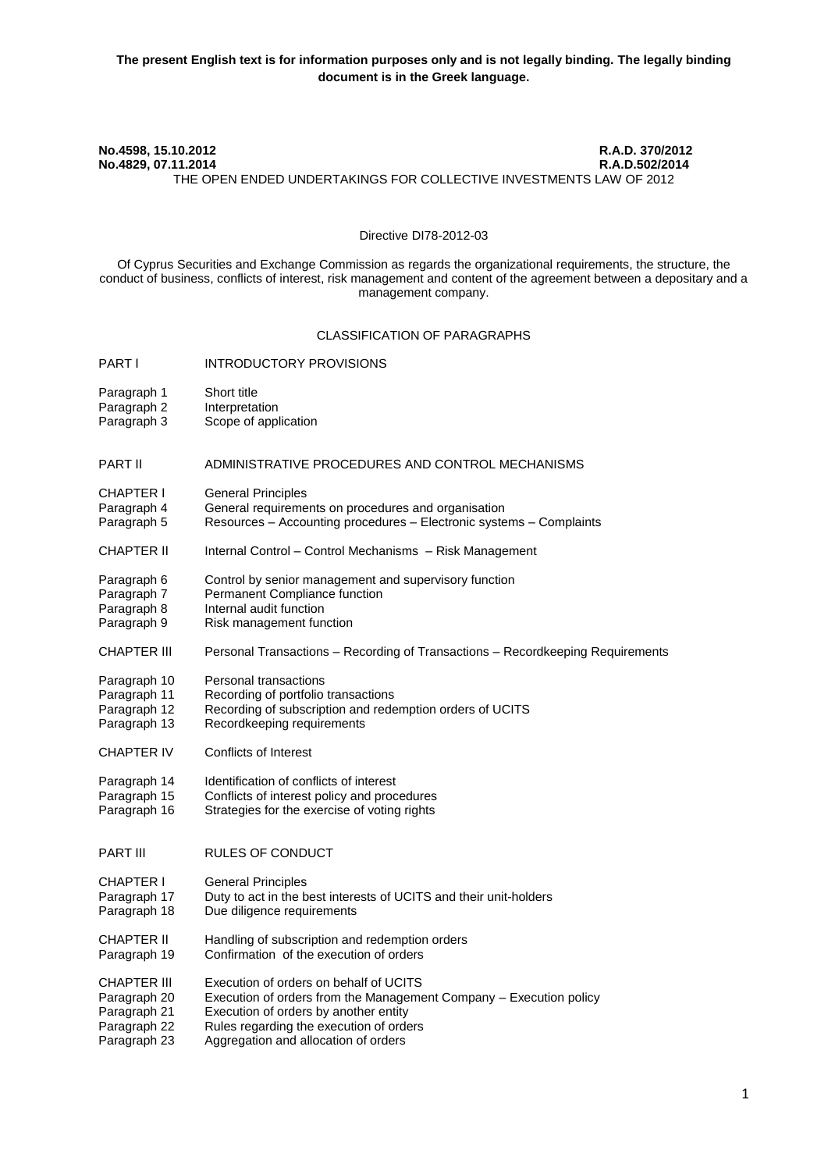#### **No.4598, 15.10.2012 R.A.D. 370/2012 No.4829, 07.11.2014** THE OPEN ENDED UNDERTAKINGS FOR COLLECTIVE INVESTMENTS LAW OF 2012

### Directive DI78-2012-03

Of Cyprus Securities and Exchange Commission as regards the organizational requirements, the structure, the conduct of business, conflicts of interest, risk management and content of the agreement between a depositary and a management company.

#### CLASSIFICATION OF PARAGRAPHS

- **PART I** INTRODUCTORY PROVISIONS
- 
- Paragraph 1 Short title<br>Paragraph 2 Interpretation Paragraph 2
- Paragraph 3 Scope of application

#### PART II ADMINISTRATIVE PROCEDURES AND CONTROL MECHANISMS

- CHAPTER Ι General Principles
- Paragraph 4 General requirements on procedures and organisation
- Paragraph 5 Resources Accounting procedures Electronic systems Complaints
- CHAPTER ΙΙ Internal Control Control Mechanisms Risk Management
- Paragraph 6 Control by senior management and supervisory function<br>Paragraph 7 Permanent Compliance function
- Permanent Compliance function
- Paragraph 8 Internal audit function
- Paragraph 9 Risk management function
- CHAPTER ΙΙΙ Personal Transactions Recording of Transactions Recordkeeping Requirements
- Paragraph 10 Personal transactions<br>Paragraph 11 Recording of portfolio
- Recording of portfolio transactions
- Paragraph 12 Recording of subscription and redemption orders of UCITS<br>Paragraph 13 Recordkeeping requirements
- Recordkeeping requirements
- CHAPTER IV Conflicts of Interest
- Paragraph 14 Identification of conflicts of interest
- Paragraph 15 Conflicts of interest policy and procedures
- Paragraph 16 Strategies for the exercise of voting rights
- **PART III RULES OF CONDUCT**
- CHAPTER Ι General Principles
- Paragraph 17 Duty to act in the best interests of UCITS and their unit-holders
- Paragraph 18 Due diligence requirements
- CHAPTER II Handling of subscription and redemption orders<br>Paragraph 19 Confirmation of the execution of orders
- Confirmation of the execution of orders
- 
- CHAPTER III Execution of orders on behalf of UCITS<br>Paragraph 20 Execution of orders from the Management Execution of orders from the Management Company – Execution policy
- Paragraph 21 Execution of orders by another entity
- Paragraph 22 Rules regarding the execution of orders<br>Paragraph 23 Aggregation and allocation of orders
- Aggregation and allocation of orders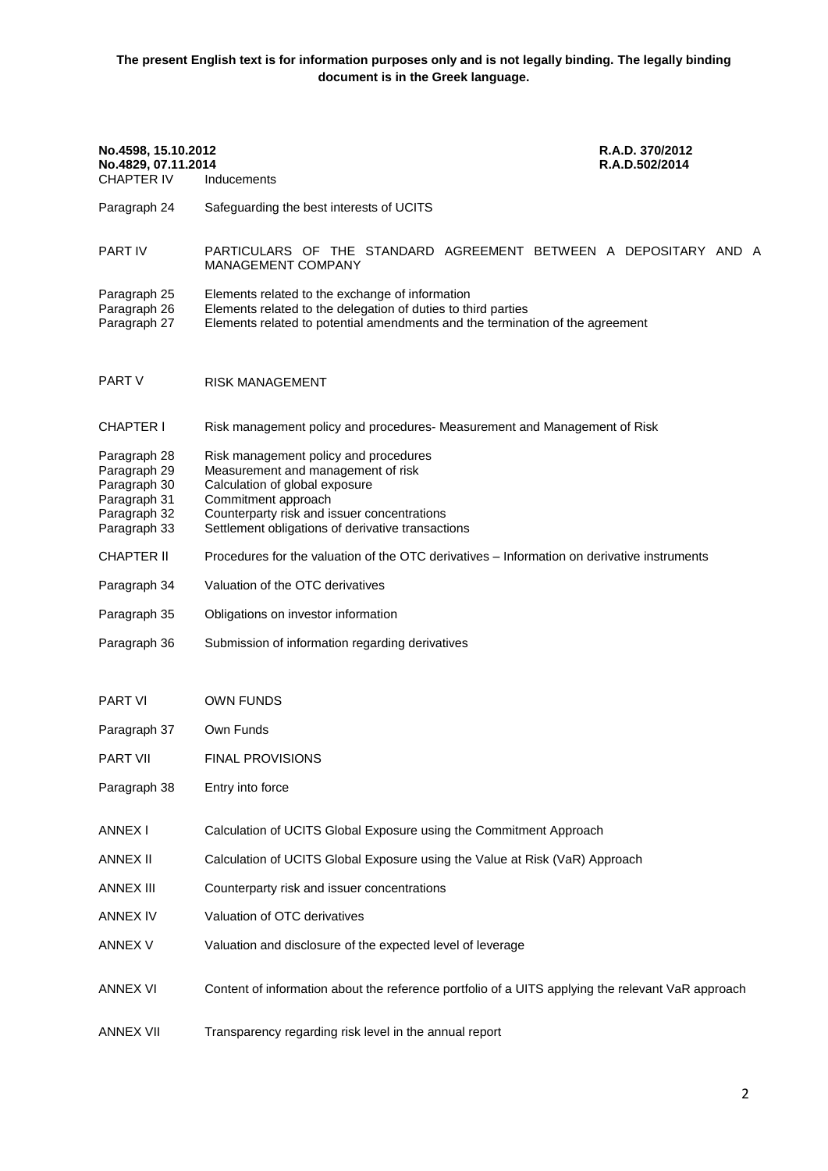**The present English text is for information purposes only and is not legally binding. The legally binding document is in the Greek language.**

| No.4598, 15.10.2012<br>No.4829, 07.11.2014<br><b>CHAPTER IV</b>                              | R.A.D. 370/2012<br>R.A.D.502/2014<br>Inducements                                                                                                                                                                                         |  |
|----------------------------------------------------------------------------------------------|------------------------------------------------------------------------------------------------------------------------------------------------------------------------------------------------------------------------------------------|--|
| Paragraph 24                                                                                 | Safeguarding the best interests of UCITS                                                                                                                                                                                                 |  |
| PART IV                                                                                      | PARTICULARS OF THE STANDARD AGREEMENT BETWEEN A DEPOSITARY AND A<br><b>MANAGEMENT COMPANY</b>                                                                                                                                            |  |
| Paragraph 25<br>Paragraph 26<br>Paragraph 27                                                 | Elements related to the exchange of information<br>Elements related to the delegation of duties to third parties<br>Elements related to potential amendments and the termination of the agreement                                        |  |
| PART V                                                                                       | <b>RISK MANAGEMENT</b>                                                                                                                                                                                                                   |  |
| <b>CHAPTER I</b>                                                                             | Risk management policy and procedures- Measurement and Management of Risk                                                                                                                                                                |  |
| Paragraph 28<br>Paragraph 29<br>Paragraph 30<br>Paragraph 31<br>Paragraph 32<br>Paragraph 33 | Risk management policy and procedures<br>Measurement and management of risk<br>Calculation of global exposure<br>Commitment approach<br>Counterparty risk and issuer concentrations<br>Settlement obligations of derivative transactions |  |
| <b>CHAPTER II</b>                                                                            | Procedures for the valuation of the OTC derivatives – Information on derivative instruments                                                                                                                                              |  |
| Paragraph 34                                                                                 | Valuation of the OTC derivatives                                                                                                                                                                                                         |  |
| Paragraph 35                                                                                 | Obligations on investor information                                                                                                                                                                                                      |  |
| Paragraph 36                                                                                 | Submission of information regarding derivatives                                                                                                                                                                                          |  |
| <b>PART VI</b>                                                                               | <b>OWN FUNDS</b>                                                                                                                                                                                                                         |  |
| Paragraph 37                                                                                 | Own Funds                                                                                                                                                                                                                                |  |
| PART VII                                                                                     | FINAL PROVISIONS                                                                                                                                                                                                                         |  |
| Paragraph 38                                                                                 | Entry into force                                                                                                                                                                                                                         |  |
| <b>ANNEX I</b>                                                                               | Calculation of UCITS Global Exposure using the Commitment Approach                                                                                                                                                                       |  |
| <b>ANNEX II</b>                                                                              | Calculation of UCITS Global Exposure using the Value at Risk (VaR) Approach                                                                                                                                                              |  |
| <b>ANNEX III</b>                                                                             | Counterparty risk and issuer concentrations                                                                                                                                                                                              |  |
| ANNEX IV                                                                                     | Valuation of OTC derivatives                                                                                                                                                                                                             |  |
| ANNEX V                                                                                      | Valuation and disclosure of the expected level of leverage                                                                                                                                                                               |  |
| <b>ANNEX VI</b>                                                                              | Content of information about the reference portfolio of a UITS applying the relevant VaR approach                                                                                                                                        |  |
| <b>ANNEX VII</b>                                                                             | Transparency regarding risk level in the annual report                                                                                                                                                                                   |  |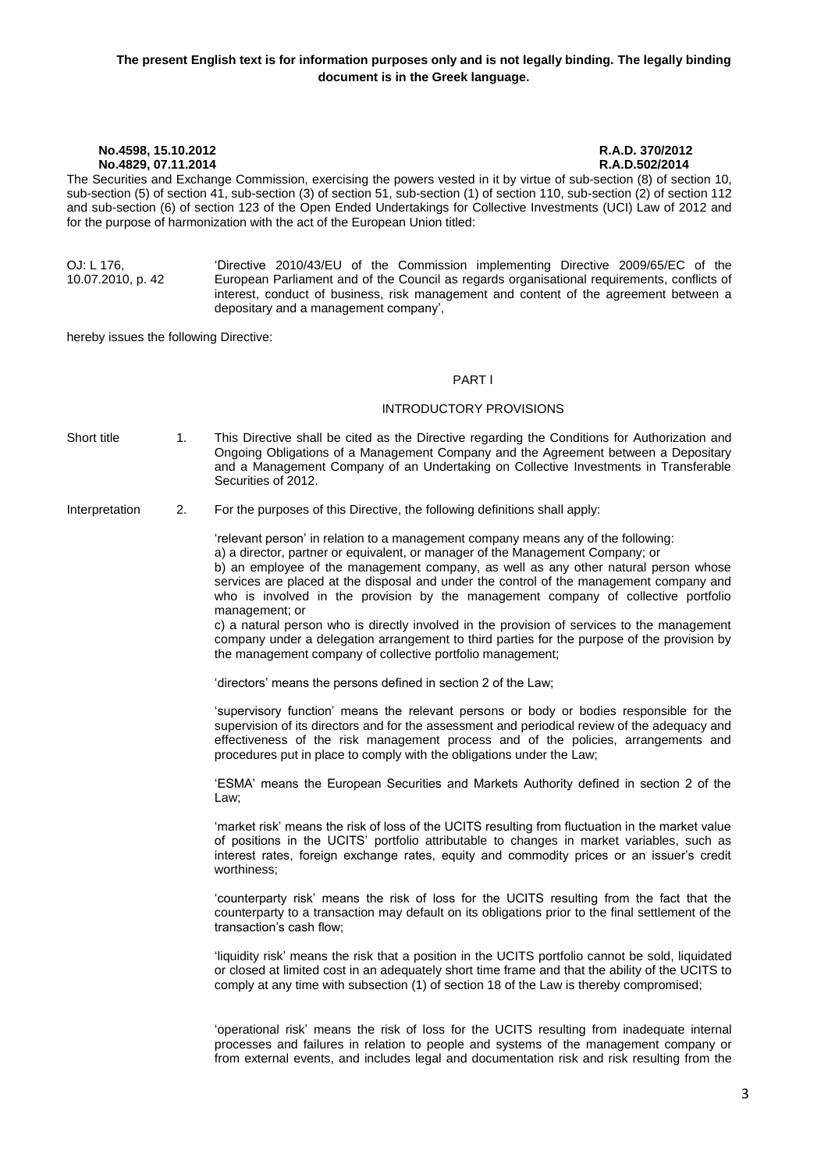The Securities and Exchange Commission, exercising the powers vested in it by virtue of sub-section (8) of section 10, sub-section (5) of section 41, sub-section (3) of section 51, sub-section (1) of section 110, sub-section (2) of section 112 and sub-section (6) of section 123 of the Open Ended Undertakings for Collective Investments (UCI) Law of 2012 and for the purpose of harmonization with the act of the European Union titled:

OJ: L 176, 10.07.2010, p. 42 'Directive 2010/43/EU of the Commission implementing Directive 2009/65/EC of the European Parliament and of the Council as regards organisational requirements, conflicts of interest, conduct of business, risk management and content of the agreement between a depositary and a management company',

hereby issues the following Directive:

#### PART Ι

#### INTRODUCTORY PROVISIONS

Short title 1. This Directive shall be cited as the Directive regarding the Conditions for Authorization and Ongoing Obligations of a Management Company and the Agreement between a Depositary and a Management Company of an Undertaking on Collective Investments in Transferable Securities of 2012.

Interpretation 2. For the purposes of this Directive, the following definitions shall apply:

'relevant person' in relation to a management company means any of the following: a) a director, partner or equivalent, or manager of the Management Company; or b) an employee of the management company, as well as any other natural person whose services are placed at the disposal and under the control of the management company and who is involved in the provision by the management company of collective portfolio management; or

c) a natural person who is directly involved in the provision of services to the management company under a delegation arrangement to third parties for the purpose of the provision by the management company of collective portfolio management;

'directors' means the persons defined in section 2 of the Law;

'supervisory function' means the relevant persons or body or bodies responsible for the supervision of its directors and for the assessment and periodical review of the adequacy and effectiveness of the risk management process and of the policies, arrangements and procedures put in place to comply with the obligations under the Law;

'ESMA' means the European Securities and Markets Authority defined in section 2 of the Law;

'market risk' means the risk of loss of the UCITS resulting from fluctuation in the market value of positions in the UCITS' portfolio attributable to changes in market variables, such as interest rates, foreign exchange rates, equity and commodity prices or an issuer's credit worthiness;

'counterparty risk' means the risk of loss for the UCITS resulting from the fact that the counterparty to a transaction may default on its obligations prior to the final settlement of the transaction's cash flow;

'liquidity risk' means the risk that a position in the UCITS portfolio cannot be sold, liquidated or closed at limited cost in an adequately short time frame and that the ability of the UCITS to comply at any time with subsection (1) of section 18 of the Law is thereby compromised;

'operational risk' means the risk of loss for the UCITS resulting from inadequate internal processes and failures in relation to people and systems of the management company or from external events, and includes legal and documentation risk and risk resulting from the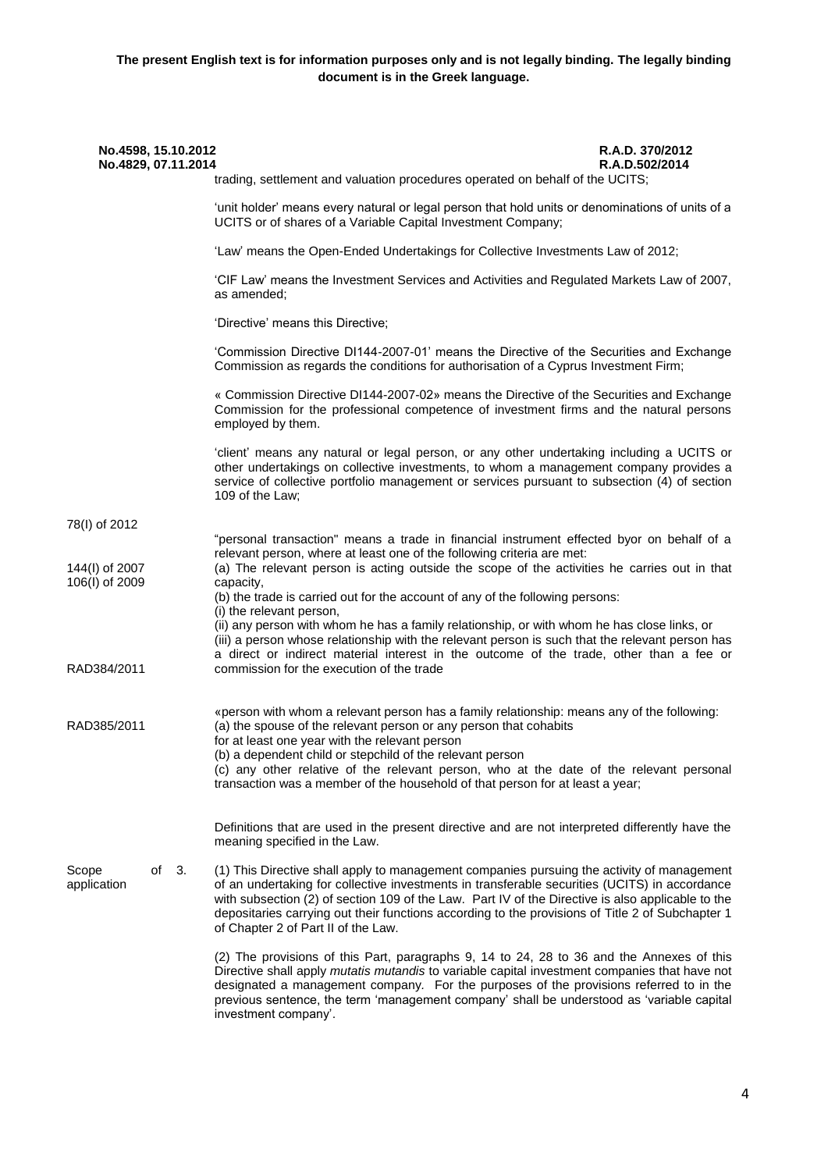| No.4598, 15.10.2012<br>No.4829, 07.11.2014 | trading, settlement and valuation procedures operated on behalf of the UCITS;                                                                                                                                                                                                                                                                                                                                                               | R.A.D. 370/2012<br>R.A.D.502/2014 |
|--------------------------------------------|---------------------------------------------------------------------------------------------------------------------------------------------------------------------------------------------------------------------------------------------------------------------------------------------------------------------------------------------------------------------------------------------------------------------------------------------|-----------------------------------|
|                                            | 'unit holder' means every natural or legal person that hold units or denominations of units of a                                                                                                                                                                                                                                                                                                                                            |                                   |
|                                            | UCITS or of shares of a Variable Capital Investment Company;                                                                                                                                                                                                                                                                                                                                                                                |                                   |
|                                            | 'Law' means the Open-Ended Undertakings for Collective Investments Law of 2012;                                                                                                                                                                                                                                                                                                                                                             |                                   |
|                                            | 'CIF Law' means the Investment Services and Activities and Regulated Markets Law of 2007,<br>as amended;                                                                                                                                                                                                                                                                                                                                    |                                   |
|                                            | 'Directive' means this Directive;                                                                                                                                                                                                                                                                                                                                                                                                           |                                   |
|                                            | 'Commission Directive DI144-2007-01' means the Directive of the Securities and Exchange<br>Commission as regards the conditions for authorisation of a Cyprus Investment Firm;                                                                                                                                                                                                                                                              |                                   |
|                                            | « Commission Directive DI144-2007-02» means the Directive of the Securities and Exchange<br>Commission for the professional competence of investment firms and the natural persons<br>employed by them.                                                                                                                                                                                                                                     |                                   |
|                                            | 'client' means any natural or legal person, or any other undertaking including a UCITS or<br>other undertakings on collective investments, to whom a management company provides a<br>service of collective portfolio management or services pursuant to subsection (4) of section<br>109 of the Law;                                                                                                                                       |                                   |
| 78(I) of 2012                              |                                                                                                                                                                                                                                                                                                                                                                                                                                             |                                   |
| 144(I) of 2007<br>106(I) of 2009           | "personal transaction" means a trade in financial instrument effected byor on behalf of a<br>relevant person, where at least one of the following criteria are met:<br>(a) The relevant person is acting outside the scope of the activities he carries out in that<br>capacity,                                                                                                                                                            |                                   |
|                                            | (b) the trade is carried out for the account of any of the following persons:                                                                                                                                                                                                                                                                                                                                                               |                                   |
|                                            | (i) the relevant person,<br>(ii) any person with whom he has a family relationship, or with whom he has close links, or<br>(iii) a person whose relationship with the relevant person is such that the relevant person has<br>a direct or indirect material interest in the outcome of the trade, other than a fee or                                                                                                                       |                                   |
| RAD384/2011                                | commission for the execution of the trade                                                                                                                                                                                                                                                                                                                                                                                                   |                                   |
| RAD385/2011                                | «person with whom a relevant person has a family relationship: means any of the following:<br>(a) the spouse of the relevant person or any person that cohabits<br>for at least one year with the relevant person                                                                                                                                                                                                                           |                                   |
|                                            | (b) a dependent child or stepchild of the relevant person<br>(c) any other relative of the relevant person, who at the date of the relevant personal<br>transaction was a member of the household of that person for at least a year;                                                                                                                                                                                                       |                                   |
|                                            | Definitions that are used in the present directive and are not interpreted differently have the<br>meaning specified in the Law.                                                                                                                                                                                                                                                                                                            |                                   |
| Scope<br>of<br>- 3.<br>application         | (1) This Directive shall apply to management companies pursuing the activity of management<br>of an undertaking for collective investments in transferable securities (UCITS) in accordance<br>with subsection (2) of section 109 of the Law. Part IV of the Directive is also applicable to the<br>depositaries carrying out their functions according to the provisions of Title 2 of Subchapter 1<br>of Chapter 2 of Part II of the Law. |                                   |
|                                            | (2) The provisions of this Part, paragraphs 9, 14 to 24, 28 to 36 and the Annexes of this<br>Directive shall apply mutatis mutandis to variable capital investment companies that have not<br>designated a management company. For the purposes of the provisions referred to in the<br>previous sentence, the term 'management company' shall be understood as 'variable capital<br>investment company'.                                   |                                   |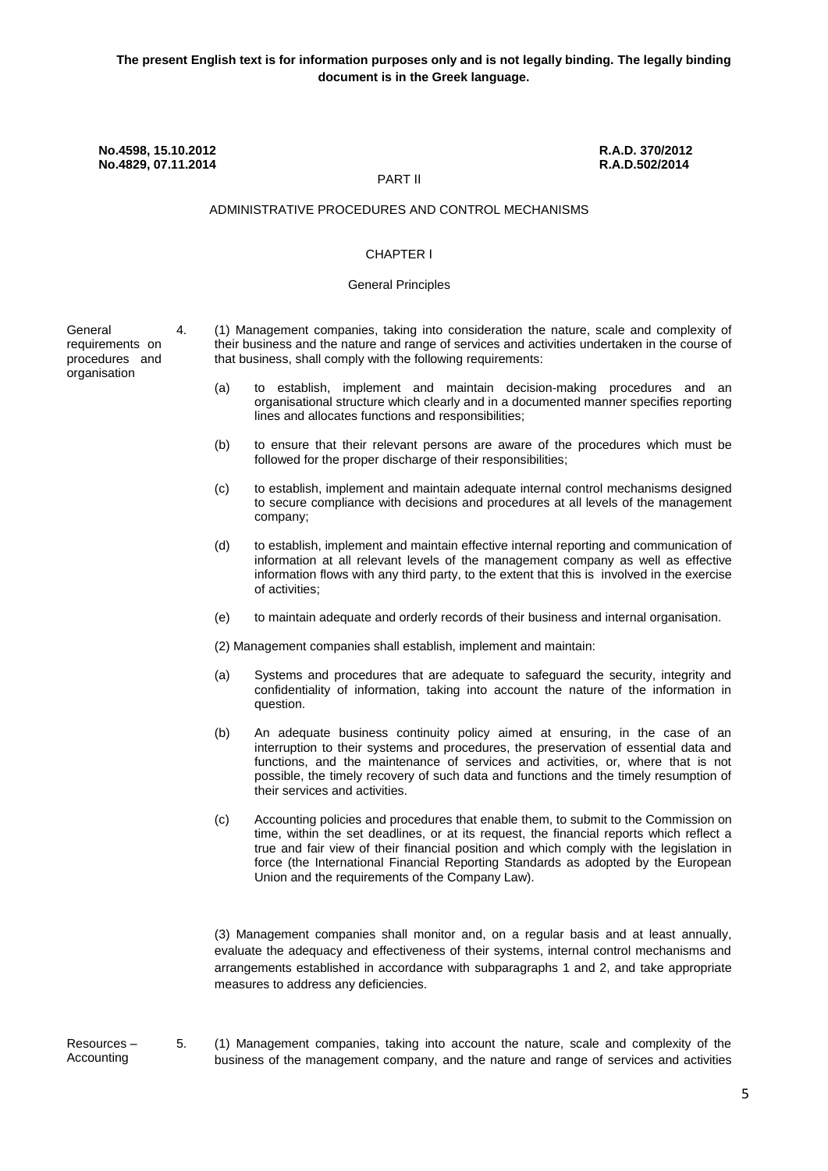## PART ΙΙ

#### ADMINISTRATIVE PROCEDURES AND CONTROL MECHANISMS

### CHAPTER Ι

#### General Principles

General requirements on procedures and organisation

- 4. (1) Management companies, taking into consideration the nature, scale and complexity of their business and the nature and range of services and activities undertaken in the course of that business, shall comply with the following requirements:
	- (a) to establish, implement and maintain decision-making procedures and an organisational structure which clearly and in a documented manner specifies reporting lines and allocates functions and responsibilities;
	- (b) to ensure that their relevant persons are aware of the procedures which must be followed for the proper discharge of their responsibilities;
	- (c) to establish, implement and maintain adequate internal control mechanisms designed to secure compliance with decisions and procedures at all levels of the management company;
	- (d) to establish, implement and maintain effective internal reporting and communication of information at all relevant levels of the management company as well as effective information flows with any third party, to the extent that this is involved in the exercise of activities;
	- (e) to maintain adequate and orderly records of their business and internal organisation.
	- (2) Management companies shall establish, implement and maintain:
	- (a) Systems and procedures that are adequate to safeguard the security, integrity and confidentiality of information, taking into account the nature of the information in question.
	- (b) An adequate business continuity policy aimed at ensuring, in the case of an interruption to their systems and procedures, the preservation of essential data and functions, and the maintenance of services and activities, or, where that is not possible, the timely recovery of such data and functions and the timely resumption of their services and activities.
	- (c) Accounting policies and procedures that enable them, to submit to the Commission on time, within the set deadlines, or at its request, the financial reports which reflect a true and fair view of their financial position and which comply with the legislation in force (the International Financial Reporting Standards as adopted by the European Union and the requirements of the Company Law).

(3) Management companies shall monitor and, on a regular basis and at least annually, evaluate the adequacy and effectiveness of their systems, internal control mechanisms and arrangements established in accordance with subparagraphs 1 and 2, and take appropriate measures to address any deficiencies.

Resources – Accounting

5. (1) Management companies, taking into account the nature, scale and complexity of the business of the management company, and the nature and range of services and activities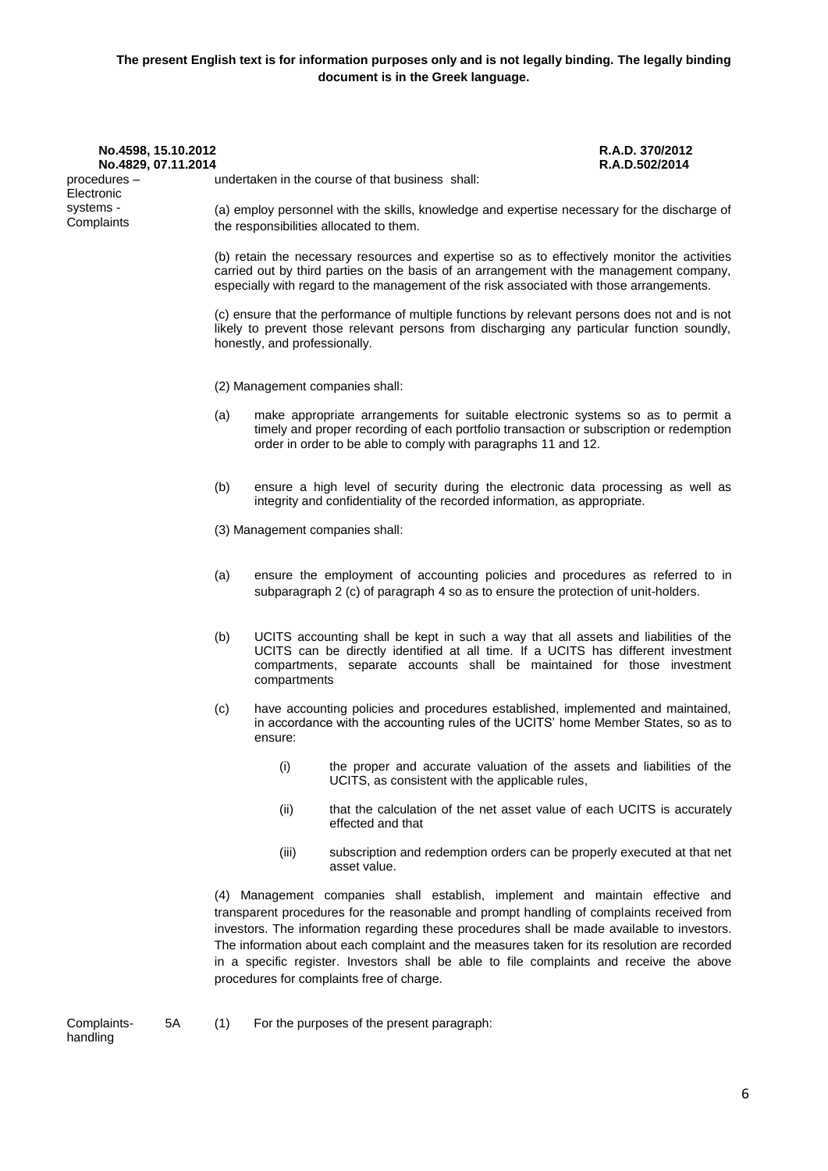| No.4598, 15.10.2012        |                                                                                                                                                                                                                                                                                      | R.A.D. 370/2012 |
|----------------------------|--------------------------------------------------------------------------------------------------------------------------------------------------------------------------------------------------------------------------------------------------------------------------------------|-----------------|
| No.4829, 07.11.2014        |                                                                                                                                                                                                                                                                                      | R.A.D.502/2014  |
| procedures –<br>Electronic | undertaken in the course of that business shall:                                                                                                                                                                                                                                     |                 |
| systems -<br>Complaints    | (a) employ personnel with the skills, knowledge and expertise necessary for the discharge of<br>the responsibilities allocated to them.                                                                                                                                              |                 |
|                            | (b) retain the necessary resources and expertise so as to effectively monitor the activities<br>carried out by third parties on the basis of an arrangement with the management company,<br>especially with regard to the management of the risk associated with those arrangements. |                 |
|                            | $\sim$ , and the set of the set of the set of the set of the set of the set of the set of the set of the set of the set of the set of the set of the set of the set of the set of the set of the set of the set of the set of t                                                      |                 |

(c) ensure that the performance of multiple functions by relevant persons does not and is not likely to prevent those relevant persons from discharging any particular function soundly, honestly, and professionally.

(2) Management companies shall:

- (a) make appropriate arrangements for suitable electronic systems so as to permit a timely and proper recording of each portfolio transaction or subscription or redemption order in order to be able to comply with paragraphs 11 and 12.
- (b) ensure a high level of security during the electronic data processing as well as integrity and confidentiality of the recorded information, as appropriate.
- (3) Management companies shall:
- (a) ensure the employment of accounting policies and procedures as referred to in subparagraph 2 (c) of paragraph 4 so as to ensure the protection of unit-holders.
- (b) UCITS accounting shall be kept in such a way that all assets and liabilities of the UCITS can be directly identified at all time. If a UCITS has different investment compartments, separate accounts shall be maintained for those investment compartments
- (c) have accounting policies and procedures established, implemented and maintained, in accordance with the accounting rules of the UCITS' home Member States, so as to ensure:
	- (i) the proper and accurate valuation of the assets and liabilities of the UCITS, as consistent with the applicable rules,
	- (ii) that the calculation of the net asset value of each UCITS is accurately effected and that
	- (iii) subscription and redemption orders can be properly executed at that net asset value.

(4) Management companies shall establish, implement and maintain effective and transparent procedures for the reasonable and prompt handling of complaints received from investors. The information regarding these procedures shall be made available to investors. The information about each complaint and the measures taken for its resolution are recorded in a specific register. Investors shall be able to file complaints and receive the above procedures for complaints free of charge.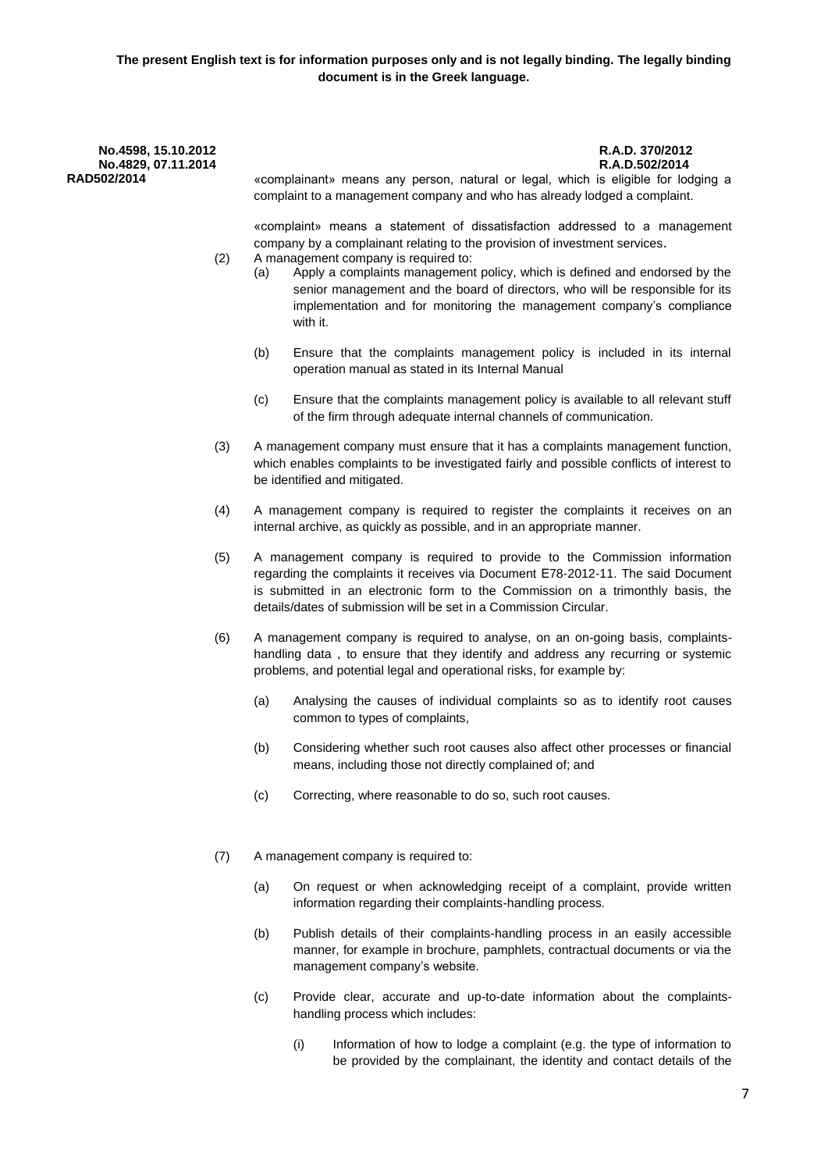**RAD502/2014** «complainant» means any person, natural or legal, which is eligible for lodging a complaint to a management company and who has already lodged a complaint.

> «complaint» means a statement of dissatisfaction addressed to a management company by a complainant relating to the provision of investment services.

- (2) A management company is required to:
	- (a) Apply a complaints management policy, which is defined and endorsed by the senior management and the board of directors, who will be responsible for its implementation and for monitoring the management company's compliance with it.
	- (b) Ensure that the complaints management policy is included in its internal operation manual as stated in its Internal Manual
	- (c) Ensure that the complaints management policy is available to all relevant stuff of the firm through adequate internal channels of communication.
- (3) A management company must ensure that it has a complaints management function, which enables complaints to be investigated fairly and possible conflicts of interest to be identified and mitigated.
- (4) A management company is required to register the complaints it receives on an internal archive, as quickly as possible, and in an appropriate manner.
- (5) A management company is required to provide to the Commission information regarding the complaints it receives via Document Ε78-2012-11. The said Document is submitted in an electronic form to the Commission on a trimonthly basis, the details/dates of submission will be set in a Commission Circular.
- (6) A management company is required to analyse, on an on-going basis, complaintshandling data , to ensure that they identify and address any recurring or systemic problems, and potential legal and operational risks, for example by:
	- (a) Analysing the causes of individual complaints so as to identify root causes common to types of complaints,
	- (b) Considering whether such root causes also affect other processes or financial means, including those not directly complained of; and
	- (c) Correcting, where reasonable to do so, such root causes.
- (7) A management company is required to:
	- (a) On request or when acknowledging receipt of a complaint, provide written information regarding their complaints-handling process.
	- (b) Publish details of their complaints-handling process in an easily accessible manner, for example in brochure, pamphlets, contractual documents or via the management company's website.
	- (c) Provide clear, accurate and up-to-date information about the complaintshandling process which includes:
		- (i) Information of how to lodge a complaint (e.g. the type of information to be provided by the complainant, the identity and contact details of the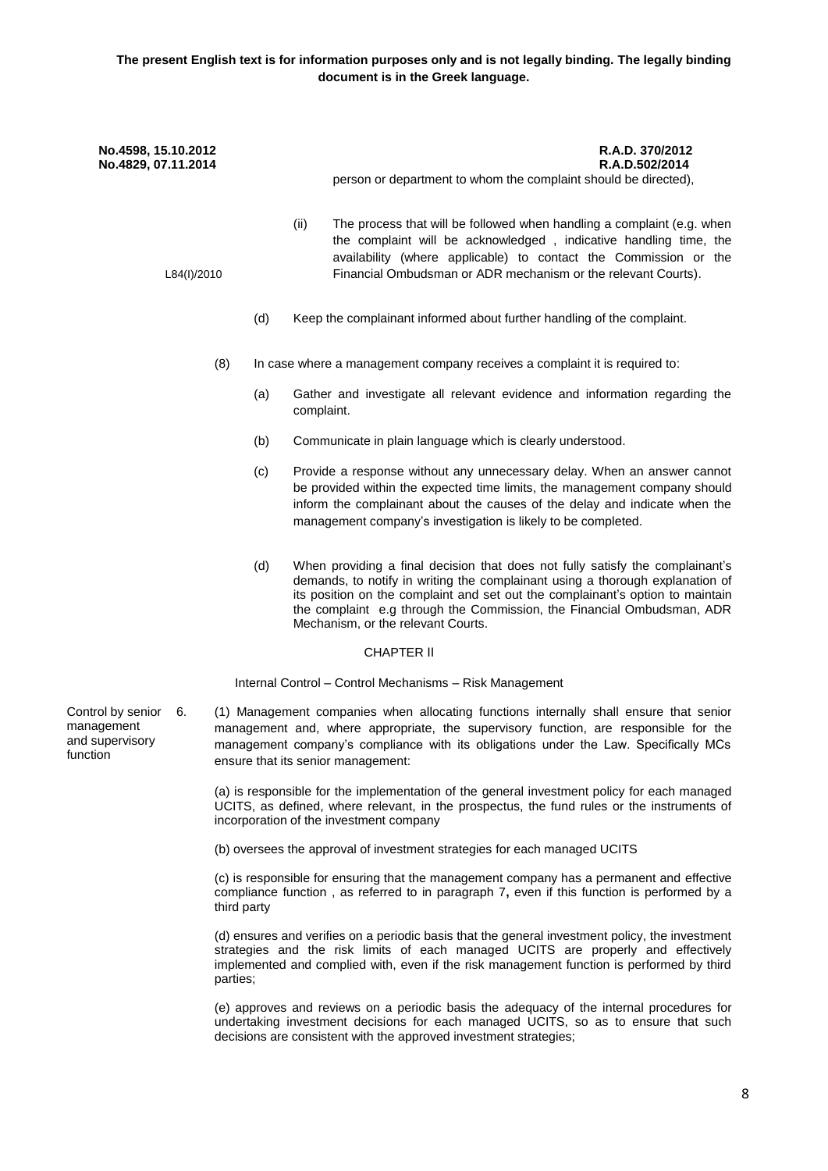| No.4598, 15.10.2012<br>No.4829, 07.11.2014                           |             | R.A.D. 370/2012<br>R.A.D.502/2014<br>person or department to whom the complaint should be directed),<br>(ii)<br>The process that will be followed when handling a complaint (e.g. when<br>the complaint will be acknowledged, indicative handling time, the<br>availability (where applicable) to contact the Commission or the<br>Financial Ombudsman or ADR mechanism or the relevant Courts). |  |
|----------------------------------------------------------------------|-------------|--------------------------------------------------------------------------------------------------------------------------------------------------------------------------------------------------------------------------------------------------------------------------------------------------------------------------------------------------------------------------------------------------|--|
| L84(I)/2010                                                          |             |                                                                                                                                                                                                                                                                                                                                                                                                  |  |
|                                                                      | (d)         | Keep the complainant informed about further handling of the complaint.                                                                                                                                                                                                                                                                                                                           |  |
|                                                                      | (8)         | In case where a management company receives a complaint it is required to:                                                                                                                                                                                                                                                                                                                       |  |
|                                                                      | (a)         | Gather and investigate all relevant evidence and information regarding the<br>complaint.                                                                                                                                                                                                                                                                                                         |  |
|                                                                      | (b)         | Communicate in plain language which is clearly understood.                                                                                                                                                                                                                                                                                                                                       |  |
|                                                                      | (c)         | Provide a response without any unnecessary delay. When an answer cannot<br>be provided within the expected time limits, the management company should<br>inform the complainant about the causes of the delay and indicate when the<br>management company's investigation is likely to be completed.                                                                                             |  |
|                                                                      | (d)         | When providing a final decision that does not fully satisfy the complainant's<br>demands, to notify in writing the complainant using a thorough explanation of<br>its position on the complaint and set out the complainant's option to maintain<br>the complaint e.g through the Commission, the Financial Ombudsman, ADR<br>Mechanism, or the relevant Courts.                                 |  |
|                                                                      |             | <b>CHAPTER II</b>                                                                                                                                                                                                                                                                                                                                                                                |  |
|                                                                      |             | Internal Control - Control Mechanisms - Risk Management                                                                                                                                                                                                                                                                                                                                          |  |
| Control by senior<br>6.<br>management<br>and supervisory<br>function |             | (1) Management companies when allocating functions internally shall ensure that senior<br>management and, where appropriate, the supervisory function, are responsible for the<br>management company's compliance with its obligations under the Law. Specifically MCs<br>ensure that its senior management:                                                                                     |  |
|                                                                      |             | (a) is responsible for the implementation of the general investment policy for each managed<br>UCITS, as defined, where relevant, in the prospectus, the fund rules or the instruments of<br>incorporation of the investment company                                                                                                                                                             |  |
|                                                                      |             | (b) oversees the approval of investment strategies for each managed UCITS                                                                                                                                                                                                                                                                                                                        |  |
|                                                                      | third party | (c) is responsible for ensuring that the management company has a permanent and effective<br>compliance function, as referred to in paragraph 7, even if this function is performed by a                                                                                                                                                                                                         |  |
|                                                                      |             | (d) ensures and verifies on a periodic basis that the general investment policy, the investment<br>strategies and the risk limits of each managed UCITS are properly and effectively<br>implemented and complied with, even if the risk management function is performed by third                                                                                                                |  |

(e) approves and reviews on a periodic basis the adequacy of the internal procedures for undertaking investment decisions for each managed UCITS, so as to ensure that such decisions are consistent with the approved investment strategies;

parties;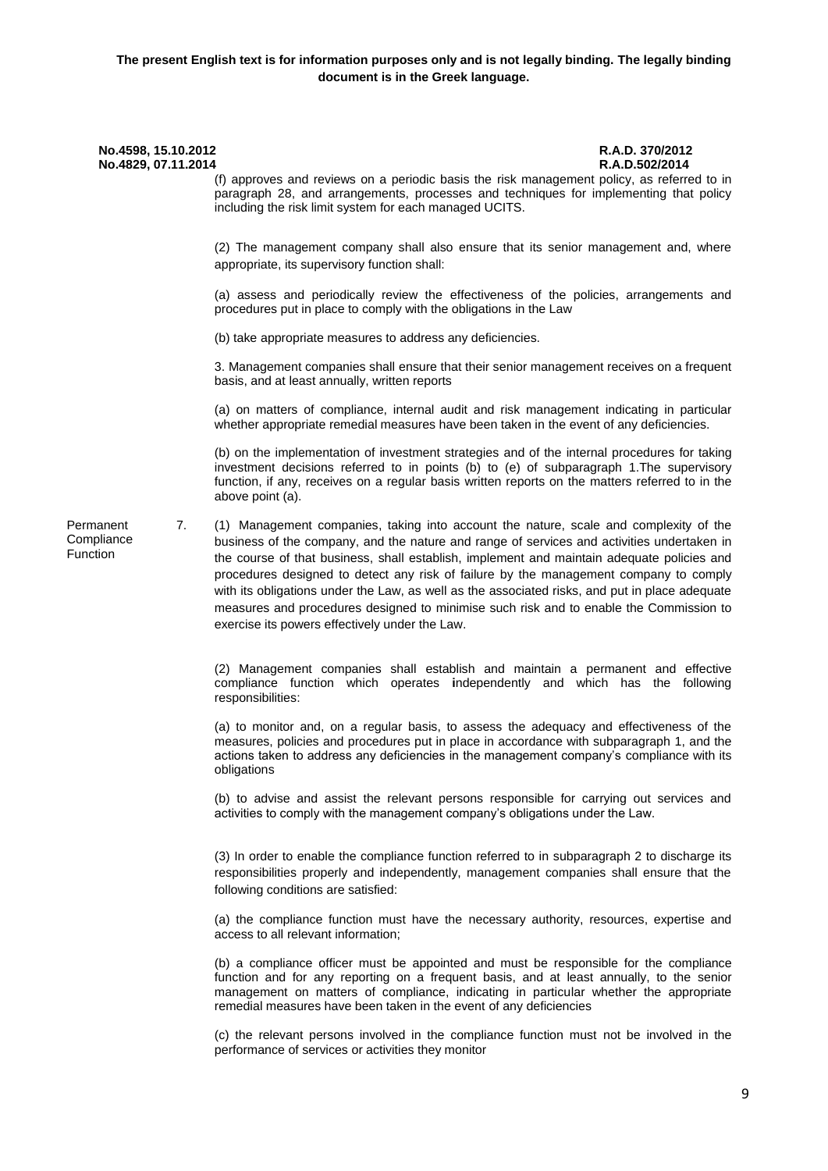# **No.4598, 15.10.2012 R.A.D. 370/2012 No.4829, 07.11.2014 R.A.D.502/2014** (f) approves and reviews on a periodic basis the risk management policy, as referred to in paragraph 28, and arrangements, processes and techniques for implementing that policy including the risk limit system for each managed UCITS. (2) The management company shall also ensure that its senior management and, where appropriate, its supervisory function shall: (a) assess and periodically review the effectiveness of the policies, arrangements and procedures put in place to comply with the obligations in the Law (b) take appropriate measures to address any deficiencies. 3. Management companies shall ensure that their senior management receives on a frequent basis, and at least annually, written reports (a) on matters of compliance, internal audit and risk management indicating in particular whether appropriate remedial measures have been taken in the event of any deficiencies. (b) on the implementation of investment strategies and of the internal procedures for taking investment decisions referred to in points (b) to (e) of subparagraph 1.The supervisory function, if any, receives on a regular basis written reports on the matters referred to in the above point (a). Permanent **Compliance** Function 7. (1) Management companies, taking into account the nature, scale and complexity of the business of the company, and the nature and range of services and activities undertaken in the course of that business, shall establish, implement and maintain adequate policies and procedures designed to detect any risk of failure by the management company to comply with its obligations under the Law, as well as the associated risks, and put in place adequate measures and procedures designed to minimise such risk and to enable the Commission to exercise its powers effectively under the Law. (2) Management companies shall establish and maintain a permanent and effective compliance function which operates **i**ndependently and which has the following responsibilities: (a) to monitor and, on a regular basis, to assess the adequacy and effectiveness of the measures, policies and procedures put in place in accordance with subparagraph 1, and the actions taken to address any deficiencies in the management company's compliance with its obligations (b) to advise and assist the relevant persons responsible for carrying out services and activities to comply with the management company's obligations under the Law. (3) In order to enable the compliance function referred to in subparagraph 2 to discharge its responsibilities properly and independently, management companies shall ensure that the following conditions are satisfied: (a) the compliance function must have the necessary authority, resources, expertise and access to all relevant information; (b) a compliance officer must be appointed and must be responsible for the compliance function and for any reporting on a frequent basis, and at least annually, to the senior management on matters of compliance, indicating in particular whether the appropriate remedial measures have been taken in the event of any deficiencies

(c) the relevant persons involved in the compliance function must not be involved in the performance of services or activities they monitor

9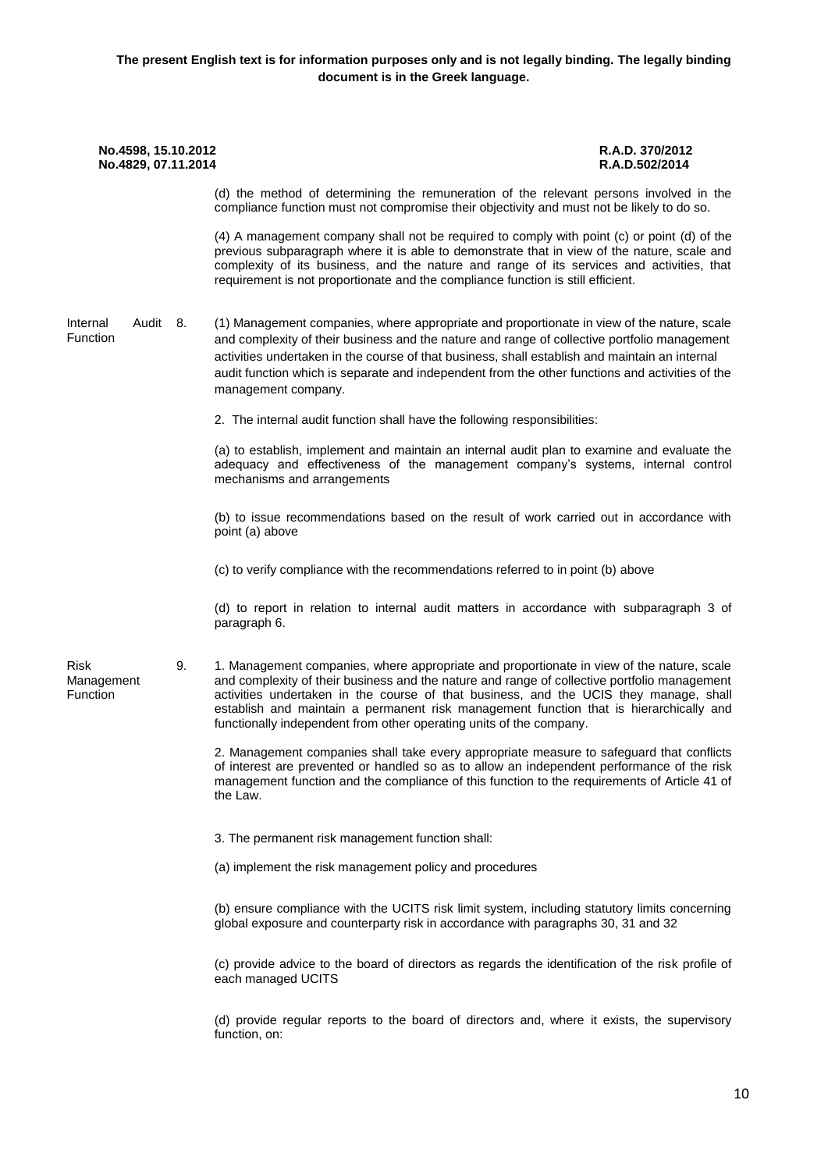| No.4598, 15.10.2012<br>No.4829, 07.11.2014 |                                                                                                                                                                                                                                                                                                                                                                                                                                                     | R.A.D. 370/2012<br>R.A.D.502/2014 |
|--------------------------------------------|-----------------------------------------------------------------------------------------------------------------------------------------------------------------------------------------------------------------------------------------------------------------------------------------------------------------------------------------------------------------------------------------------------------------------------------------------------|-----------------------------------|
|                                            | (d) the method of determining the remuneration of the relevant persons involved in the<br>compliance function must not compromise their objectivity and must not be likely to do so.                                                                                                                                                                                                                                                                |                                   |
|                                            | (4) A management company shall not be required to comply with point (c) or point (d) of the<br>previous subparagraph where it is able to demonstrate that in view of the nature, scale and<br>complexity of its business, and the nature and range of its services and activities, that<br>requirement is not proportionate and the compliance function is still efficient.                                                                         |                                   |
| Audit 8.<br>Internal<br>Function           | (1) Management companies, where appropriate and proportionate in view of the nature, scale<br>and complexity of their business and the nature and range of collective portfolio management<br>activities undertaken in the course of that business, shall establish and maintain an internal<br>audit function which is separate and independent from the other functions and activities of the<br>management company.                              |                                   |
|                                            | 2. The internal audit function shall have the following responsibilities:                                                                                                                                                                                                                                                                                                                                                                           |                                   |
|                                            | (a) to establish, implement and maintain an internal audit plan to examine and evaluate the<br>adequacy and effectiveness of the management company's systems, internal control<br>mechanisms and arrangements                                                                                                                                                                                                                                      |                                   |
|                                            | (b) to issue recommendations based on the result of work carried out in accordance with<br>point (a) above                                                                                                                                                                                                                                                                                                                                          |                                   |
|                                            | (c) to verify compliance with the recommendations referred to in point (b) above                                                                                                                                                                                                                                                                                                                                                                    |                                   |
|                                            | (d) to report in relation to internal audit matters in accordance with subparagraph 3 of<br>paragraph 6.                                                                                                                                                                                                                                                                                                                                            |                                   |
| Risk<br>9.<br>Management<br>Function       | 1. Management companies, where appropriate and proportionate in view of the nature, scale<br>and complexity of their business and the nature and range of collective portfolio management<br>activities undertaken in the course of that business, and the UCIS they manage, shall<br>establish and maintain a permanent risk management function that is hierarchically and<br>functionally independent from other operating units of the company. |                                   |
|                                            | 2. Management companies shall take every appropriate measure to safeguard that conflicts<br>of interest are prevented or handled so as to allow an independent performance of the risk<br>management function and the compliance of this function to the requirements of Article 41 of<br>the Law.                                                                                                                                                  |                                   |
|                                            | 3. The permanent risk management function shall:                                                                                                                                                                                                                                                                                                                                                                                                    |                                   |
|                                            | (a) implement the risk management policy and procedures                                                                                                                                                                                                                                                                                                                                                                                             |                                   |
|                                            | (b) ensure compliance with the UCITS risk limit system, including statutory limits concerning<br>global exposure and counterparty risk in accordance with paragraphs 30, 31 and 32                                                                                                                                                                                                                                                                  |                                   |
|                                            | (c) provide advice to the board of directors as regards the identification of the risk profile of<br>each managed UCITS                                                                                                                                                                                                                                                                                                                             |                                   |
|                                            | (d) provide regular reports to the board of directors and, where it exists, the supervisory<br>function, on:                                                                                                                                                                                                                                                                                                                                        |                                   |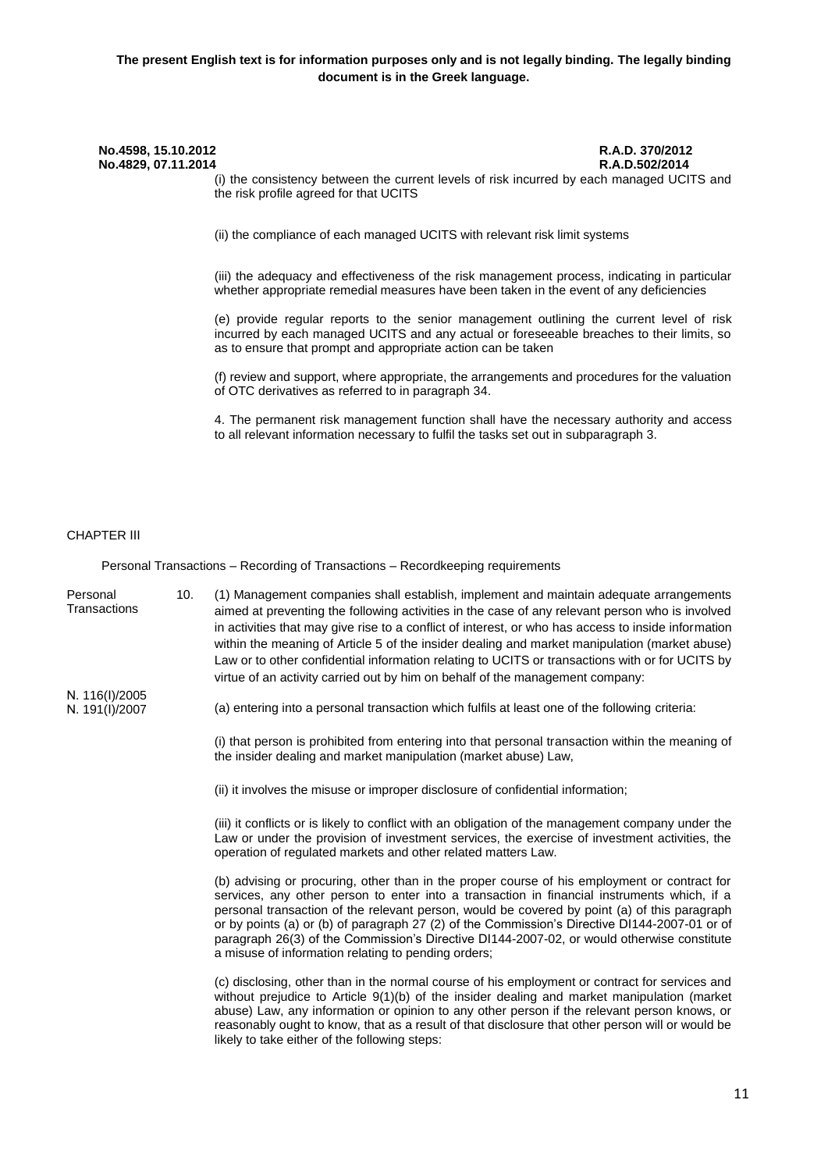(i) the consistency between the current levels of risk incurred by each managed UCITS and the risk profile agreed for that UCITS

(ii) the compliance of each managed UCITS with relevant risk limit systems

(iii) the adequacy and effectiveness of the risk management process, indicating in particular whether appropriate remedial measures have been taken in the event of any deficiencies

(e) provide regular reports to the senior management outlining the current level of risk incurred by each managed UCITS and any actual or foreseeable breaches to their limits, so as to ensure that prompt and appropriate action can be taken

(f) review and support, where appropriate, the arrangements and procedures for the valuation of OTC derivatives as referred to in paragraph 34.

4. The permanent risk management function shall have the necessary authority and access to all relevant information necessary to fulfil the tasks set out in subparagraph 3.

#### CHAPTER ΙΙΙ

Personal Transactions – Recording of Transactions – Recordkeeping requirements

- Personal **Transactions** 10. (1) Management companies shall establish, implement and maintain adequate arrangements aimed at preventing the following activities in the case of any relevant person who is involved in activities that may give rise to a conflict of interest, or who has access to inside information within the meaning of Article 5 of the insider dealing and market manipulation (market abuse) Law or to other confidential information relating to UCITS or transactions with or for UCITS by virtue of an activity carried out by him on behalf of the management company:
- Ν. 116(Ι)/2005 Ν. 191(Ι)/2007
- (a) entering into a personal transaction which fulfils at least one of the following criteria:

(i) that person is prohibited from entering into that personal transaction within the meaning of the insider dealing and market manipulation (market abuse) Law,

(ii) it involves the misuse or improper disclosure of confidential information;

(iii) it conflicts or is likely to conflict with an obligation of the management company under the Law or under the provision of investment services, the exercise of investment activities, the operation of regulated markets and other related matters Law.

(b) advising or procuring, other than in the proper course of his employment or contract for services, any other person to enter into a transaction in financial instruments which, if a personal transaction of the relevant person, would be covered by point (a) of this paragraph or by points (a) or (b) of paragraph 27 (2) of the Commission's Directive DI144-2007-01 or of paragraph 26(3) of the Commission's Directive DI144-2007-02, or would otherwise constitute a misuse of information relating to pending orders;

(c) disclosing, other than in the normal course of his employment or contract for services and without prejudice to Article 9(1)(b) of the insider dealing and market manipulation (market abuse) Law, any information or opinion to any other person if the relevant person knows, or reasonably ought to know, that as a result of that disclosure that other person will or would be likely to take either of the following steps: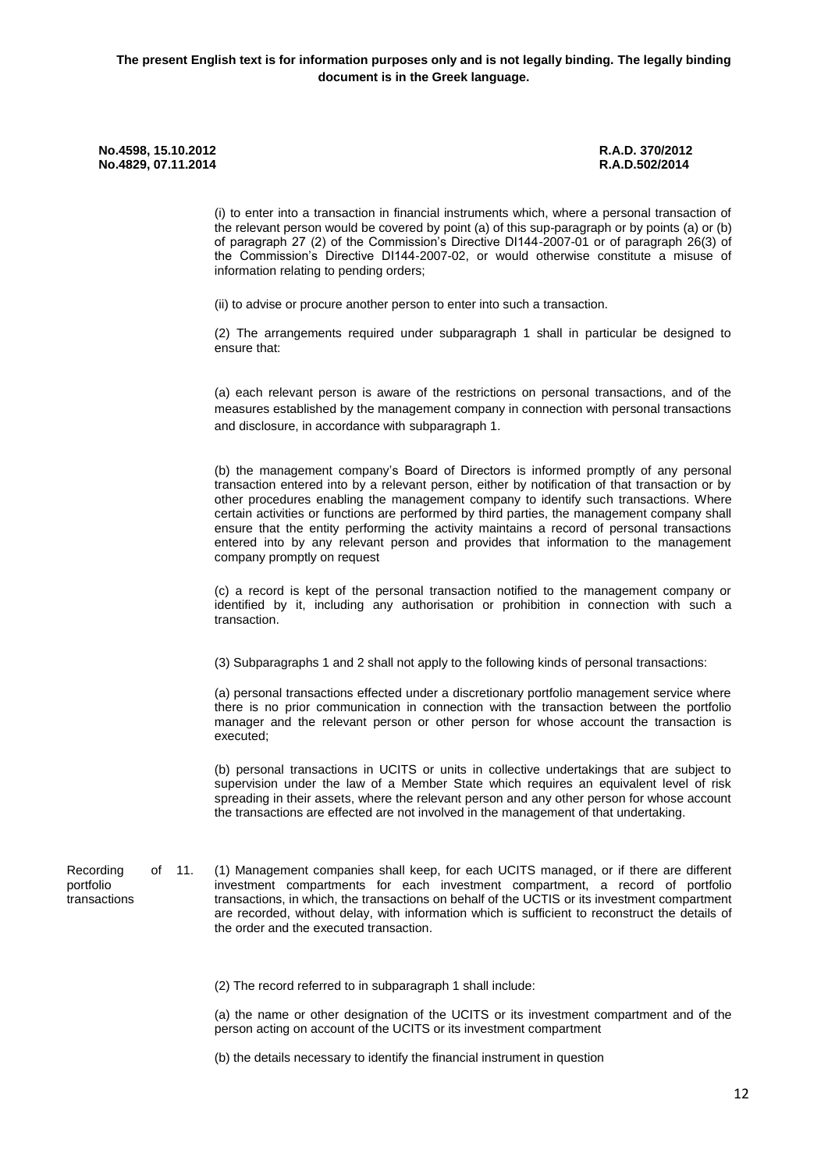portfolio

(i) to enter into a transaction in financial instruments which, where a personal transaction of the relevant person would be covered by point (a) of this sup-paragraph or by points (a) or (b) of paragraph 27 (2) of the Commission's Directive DI144-2007-01 or of paragraph 26(3) of the Commission's Directive DI144-2007-02, or would otherwise constitute a misuse of information relating to pending orders;

(ii) to advise or procure another person to enter into such a transaction.

(2) The arrangements required under subparagraph 1 shall in particular be designed to ensure that:

(a) each relevant person is aware of the restrictions on personal transactions, and of the measures established by the management company in connection with personal transactions and disclosure, in accordance with subparagraph 1.

(b) the management company's Board of Directors is informed promptly of any personal transaction entered into by a relevant person, either by notification of that transaction or by other procedures enabling the management company to identify such transactions. Where certain activities or functions are performed by third parties, the management company shall ensure that the entity performing the activity maintains a record of personal transactions entered into by any relevant person and provides that information to the management company promptly on request

(c) a record is kept of the personal transaction notified to the management company or identified by it, including any authorisation or prohibition in connection with such a transaction.

(3) Subparagraphs 1 and 2 shall not apply to the following kinds of personal transactions:

(a) personal transactions effected under a discretionary portfolio management service where there is no prior communication in connection with the transaction between the portfolio manager and the relevant person or other person for whose account the transaction is executed;

(b) personal transactions in UCITS or units in collective undertakings that are subject to supervision under the law of a Member State which requires an equivalent level of risk spreading in their assets, where the relevant person and any other person for whose account the transactions are effected are not involved in the management of that undertaking.

Recording of 11. transactions 11. (1) Management companies shall keep, for each UCITS managed, or if there are different investment compartments for each investment compartment, a record of portfolio transactions, in which, the transactions on behalf of the UCTIS or its investment compartment are recorded, without delay, with information which is sufficient to reconstruct the details of the order and the executed transaction.

(2) The record referred to in subparagraph 1 shall include:

(a) the name or other designation of the UCITS or its investment compartment and of the person acting on account of the UCITS or its investment compartment

(b) the details necessary to identify the financial instrument in question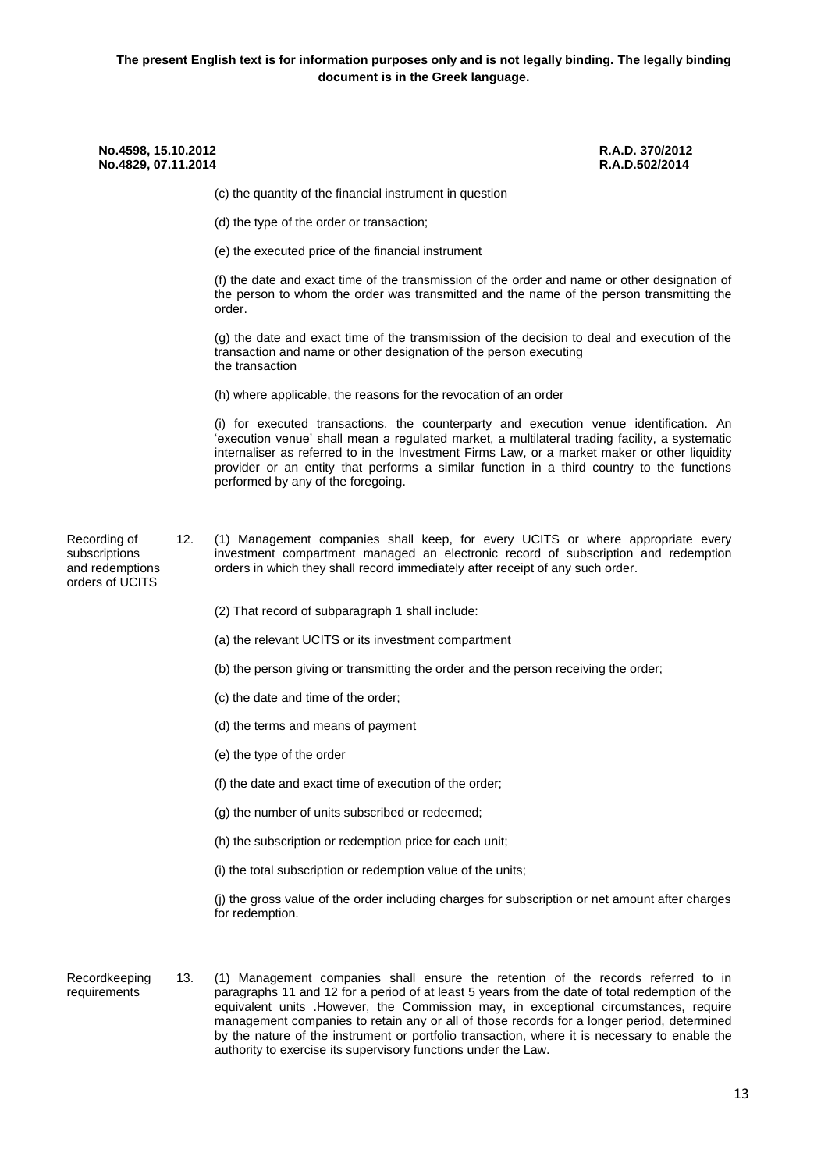| No.4598, 15.10.2012<br>No.4829, 07.11.2014                          |     |                                                                                                                                                                                                                                                                                                                                                                                                                               | R.A.D. 370/2012<br>R.A.D.502/2014 |
|---------------------------------------------------------------------|-----|-------------------------------------------------------------------------------------------------------------------------------------------------------------------------------------------------------------------------------------------------------------------------------------------------------------------------------------------------------------------------------------------------------------------------------|-----------------------------------|
|                                                                     |     | (c) the quantity of the financial instrument in question                                                                                                                                                                                                                                                                                                                                                                      |                                   |
|                                                                     |     | (d) the type of the order or transaction;                                                                                                                                                                                                                                                                                                                                                                                     |                                   |
|                                                                     |     | (e) the executed price of the financial instrument                                                                                                                                                                                                                                                                                                                                                                            |                                   |
|                                                                     |     | (f) the date and exact time of the transmission of the order and name or other designation of<br>the person to whom the order was transmitted and the name of the person transmitting the<br>order.                                                                                                                                                                                                                           |                                   |
|                                                                     |     | (g) the date and exact time of the transmission of the decision to deal and execution of the<br>transaction and name or other designation of the person executing<br>the transaction                                                                                                                                                                                                                                          |                                   |
|                                                                     |     | (h) where applicable, the reasons for the revocation of an order                                                                                                                                                                                                                                                                                                                                                              |                                   |
|                                                                     |     | (i) for executed transactions, the counterparty and execution venue identification. An<br>'execution venue' shall mean a regulated market, a multilateral trading facility, a systematic<br>internaliser as referred to in the Investment Firms Law, or a market maker or other liquidity<br>provider or an entity that performs a similar function in a third country to the functions<br>performed by any of the foregoing. |                                   |
| Recording of<br>subscriptions<br>and redemptions<br>orders of UCITS | 12. | (1) Management companies shall keep, for every UCITS or where appropriate every<br>investment compartment managed an electronic record of subscription and redemption<br>orders in which they shall record immediately after receipt of any such order.                                                                                                                                                                       |                                   |
|                                                                     |     | (2) That record of subparagraph 1 shall include:                                                                                                                                                                                                                                                                                                                                                                              |                                   |
|                                                                     |     | (a) the relevant UCITS or its investment compartment                                                                                                                                                                                                                                                                                                                                                                          |                                   |
|                                                                     |     | (b) the person giving or transmitting the order and the person receiving the order;                                                                                                                                                                                                                                                                                                                                           |                                   |
|                                                                     |     | (c) the date and time of the order;                                                                                                                                                                                                                                                                                                                                                                                           |                                   |
|                                                                     |     | (d) the terms and means of payment                                                                                                                                                                                                                                                                                                                                                                                            |                                   |
|                                                                     |     | (e) the type of the order                                                                                                                                                                                                                                                                                                                                                                                                     |                                   |
|                                                                     |     | (f) the date and exact time of execution of the order;                                                                                                                                                                                                                                                                                                                                                                        |                                   |
|                                                                     |     | (g) the number of units subscribed or redeemed;                                                                                                                                                                                                                                                                                                                                                                               |                                   |
|                                                                     |     | (h) the subscription or redemption price for each unit;                                                                                                                                                                                                                                                                                                                                                                       |                                   |
|                                                                     |     | (i) the total subscription or redemption value of the units;                                                                                                                                                                                                                                                                                                                                                                  |                                   |
|                                                                     |     | (j) the gross value of the order including charges for subscription or net amount after charges<br>for redemption.                                                                                                                                                                                                                                                                                                            |                                   |
| Recordkeeping<br>requirements                                       | 13. | (1) Management companies shall ensure the retention of the records referred to in<br>paragraphs 11 and 12 for a period of at least 5 years from the date of total redemption of the<br>equivalent units . However, the Commission may, in exceptional circumstances, require                                                                                                                                                  |                                   |

management companies to retain any or all of those records for a longer period, determined by the nature of the instrument or portfolio transaction, where it is necessary to enable the

authority to exercise its supervisory functions under the Law.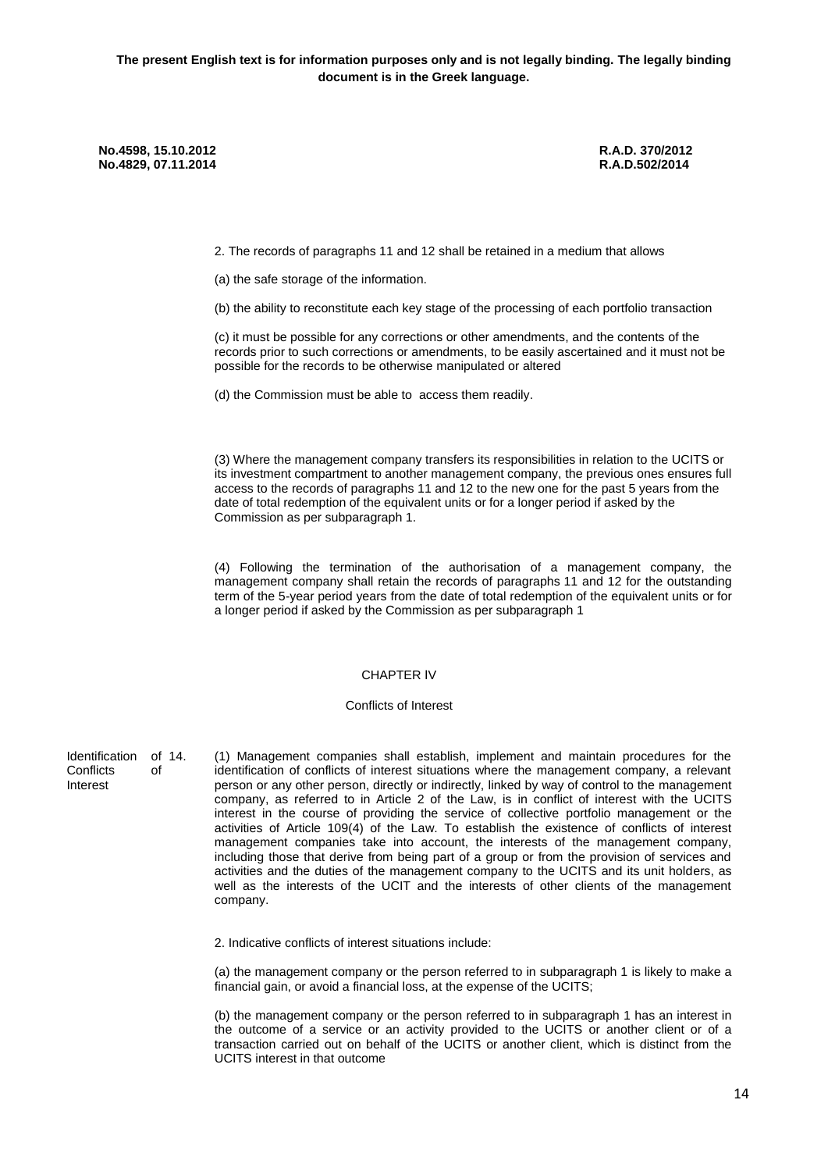2. The records of paragraphs 11 and 12 shall be retained in a medium that allows

(a) the safe storage of the information.

(b) the ability to reconstitute each key stage of the processing of each portfolio transaction

(c) it must be possible for any corrections or other amendments, and the contents of the records prior to such corrections or amendments, to be easily ascertained and it must not be possible for the records to be otherwise manipulated or altered

(d) the Commission must be able to access them readily.

(3) Where the management company transfers its responsibilities in relation to the UCITS or its investment compartment to another management company, the previous ones ensures full access to the records of paragraphs 11 and 12 to the new one for the past 5 years from the date of total redemption of the equivalent units or for a longer period if asked by the Commission as per subparagraph 1.

(4) Following the termination of the authorisation of a management company, the management company shall retain the records of paragraphs 11 and 12 for the outstanding term of the 5-year period years from the date of total redemption of the equivalent units or for a longer period if asked by the Commission as per subparagraph 1

### CHAPTER ΙV

#### Conflicts of Interest

Identification of 14.<br>Conflicts of Conflicts Interest

14. (1) Management companies shall establish, implement and maintain procedures for the identification of conflicts of interest situations where the management company, a relevant person or any other person, directly or indirectly, linked by way of control to the management company, as referred to in Article 2 of the Law, is in conflict of interest with the UCITS interest in the course of providing the service of collective portfolio management or the activities of Article 109(4) of the Law. To establish the existence of conflicts of interest management companies take into account, the interests of the management company, including those that derive from being part of a group or from the provision of services and activities and the duties of the management company to the UCITS and its unit holders, as well as the interests of the UCIT and the interests of other clients of the management company.

2. Indicative conflicts of interest situations include:

(a) the management company or the person referred to in subparagraph 1 is likely to make a financial gain, or avoid a financial loss, at the expense of the UCITS;

(b) the management company or the person referred to in subparagraph 1 has an interest in the outcome of a service or an activity provided to the UCITS or another client or of a transaction carried out on behalf of the UCITS or another client, which is distinct from the UCITS interest in that outcome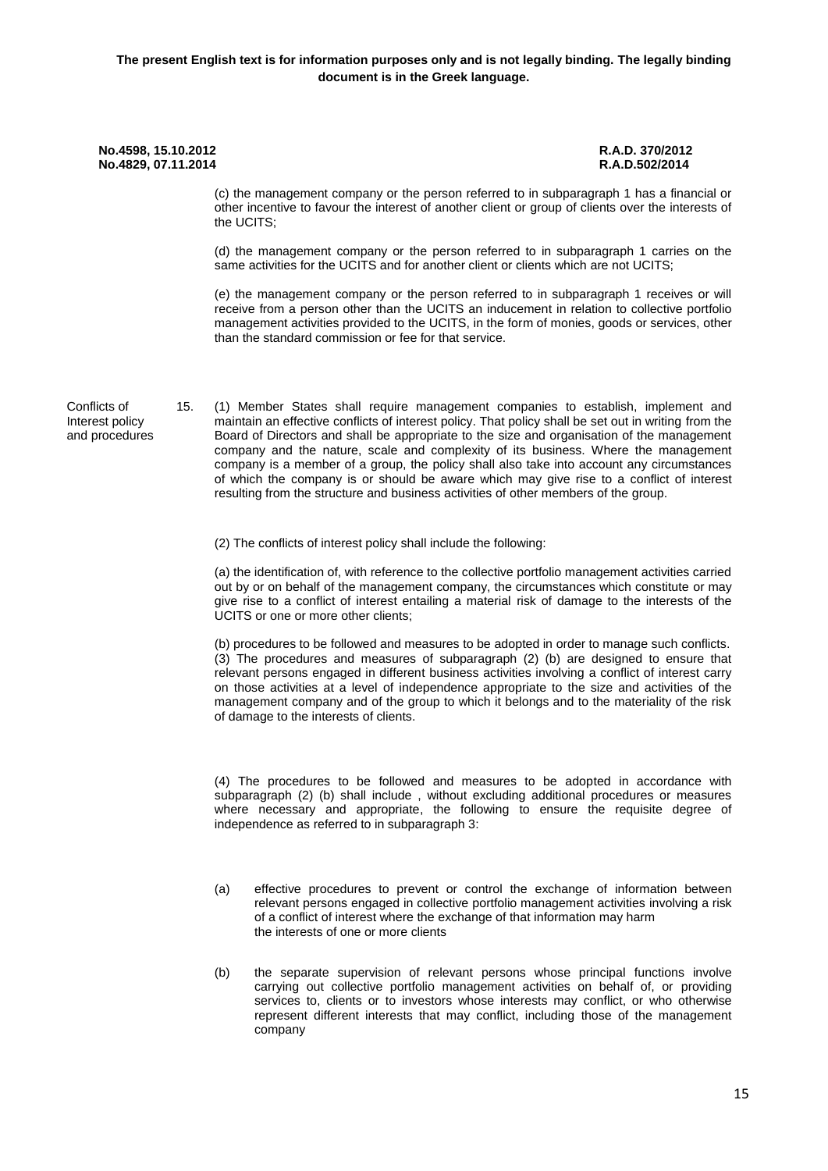(c) the management company or the person referred to in subparagraph 1 has a financial or other incentive to favour the interest of another client or group of clients over the interests of the UCITS;

(d) the management company or the person referred to in subparagraph 1 carries on the same activities for the UCITS and for another client or clients which are not UCITS;

(e) the management company or the person referred to in subparagraph 1 receives or will receive from a person other than the UCITS an inducement in relation to collective portfolio management activities provided to the UCITS, in the form of monies, goods or services, other than the standard commission or fee for that service.

Conflicts of Interest policy and procedures

15. (1) Member States shall require management companies to establish, implement and maintain an effective conflicts of interest policy. That policy shall be set out in writing from the Board of Directors and shall be appropriate to the size and organisation of the management company and the nature, scale and complexity of its business. Where the management company is a member of a group, the policy shall also take into account any circumstances of which the company is or should be aware which may give rise to a conflict of interest resulting from the structure and business activities of other members of the group.

(2) The conflicts of interest policy shall include the following:

(a) the identification of, with reference to the collective portfolio management activities carried out by or on behalf of the management company, the circumstances which constitute or may give rise to a conflict of interest entailing a material risk of damage to the interests of the UCITS or one or more other clients;

(b) procedures to be followed and measures to be adopted in order to manage such conflicts. (3) The procedures and measures of subparagraph (2) (b) are designed to ensure that relevant persons engaged in different business activities involving a conflict of interest carry on those activities at a level of independence appropriate to the size and activities of the management company and of the group to which it belongs and to the materiality of the risk of damage to the interests of clients.

(4) The procedures to be followed and measures to be adopted in accordance with subparagraph (2) (b) shall include , without excluding additional procedures or measures where necessary and appropriate, the following to ensure the requisite degree of independence as referred to in subparagraph 3:

- (a) effective procedures to prevent or control the exchange of information between relevant persons engaged in collective portfolio management activities involving a risk of a conflict of interest where the exchange of that information may harm the interests of one or more clients
- (b) the separate supervision of relevant persons whose principal functions involve carrying out collective portfolio management activities on behalf of, or providing services to, clients or to investors whose interests may conflict, or who otherwise represent different interests that may conflict, including those of the management company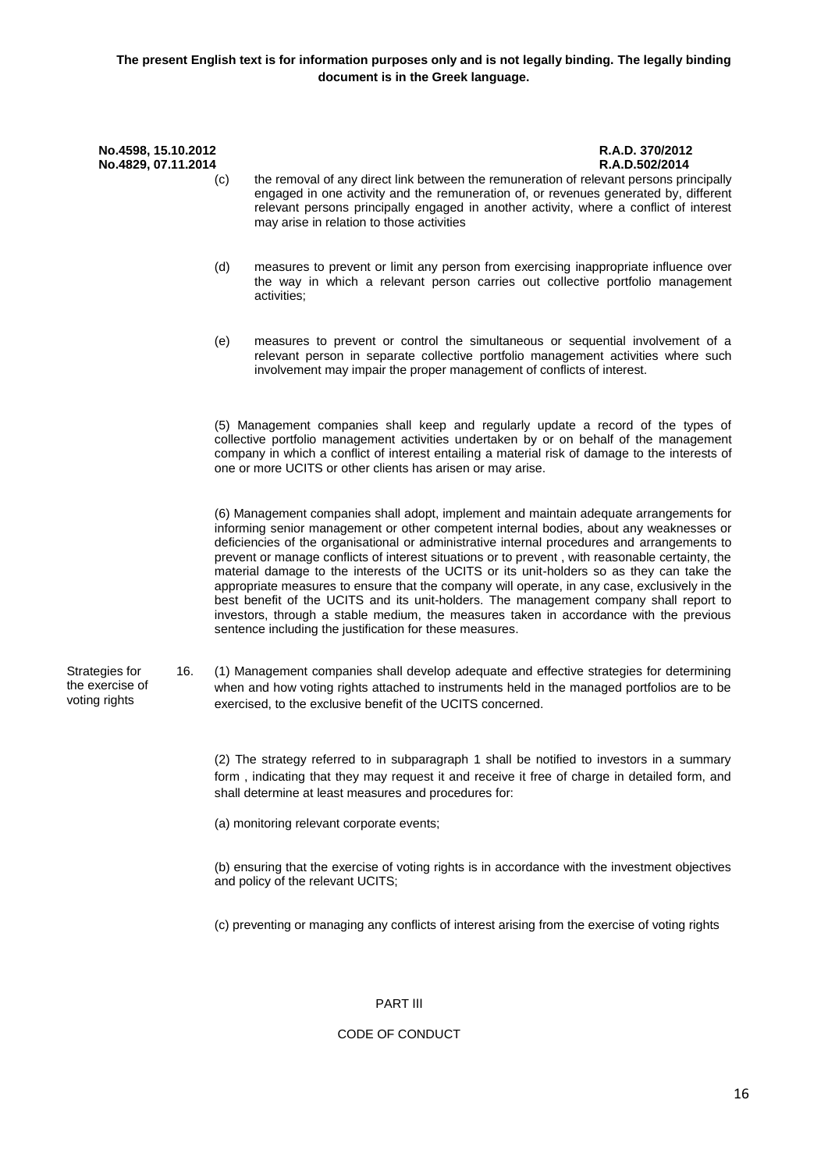- (c) the removal of any direct link between the remuneration of relevant persons principally engaged in one activity and the remuneration of, or revenues generated by, different relevant persons principally engaged in another activity, where a conflict of interest may arise in relation to those activities
- (d) measures to prevent or limit any person from exercising inappropriate influence over the way in which a relevant person carries out collective portfolio management activities;
- (e) measures to prevent or control the simultaneous or sequential involvement of a relevant person in separate collective portfolio management activities where such involvement may impair the proper management of conflicts of interest.

(5) Management companies shall keep and regularly update a record of the types of collective portfolio management activities undertaken by or on behalf of the management company in which a conflict of interest entailing a material risk of damage to the interests of one or more UCITS or other clients has arisen or may arise.

(6) Management companies shall adopt, implement and maintain adequate arrangements for informing senior management or other competent internal bodies, about any weaknesses or deficiencies of the organisational or administrative internal procedures and arrangements to prevent or manage conflicts of interest situations or to prevent , with reasonable certainty, the material damage to the interests of the UCITS or its unit-holders so as they can take the appropriate measures to ensure that the company will operate, in any case, exclusively in the best benefit of the UCITS and its unit-holders. The management company shall report to investors, through a stable medium, the measures taken in accordance with the previous sentence including the justification for these measures.

Strategies for the exercise of voting rights

16. (1) Management companies shall develop adequate and effective strategies for determining when and how voting rights attached to instruments held in the managed portfolios are to be exercised, to the exclusive benefit of the UCITS concerned.

(2) The strategy referred to in subparagraph 1 shall be notified to investors in a summary form , indicating that they may request it and receive it free of charge in detailed form, and shall determine at least measures and procedures for:

(a) monitoring relevant corporate events;

(b) ensuring that the exercise of voting rights is in accordance with the investment objectives and policy of the relevant UCITS;

(c) preventing or managing any conflicts of interest arising from the exercise of voting rights

# PART ΙΙΙ

# CODE OF CONDUCT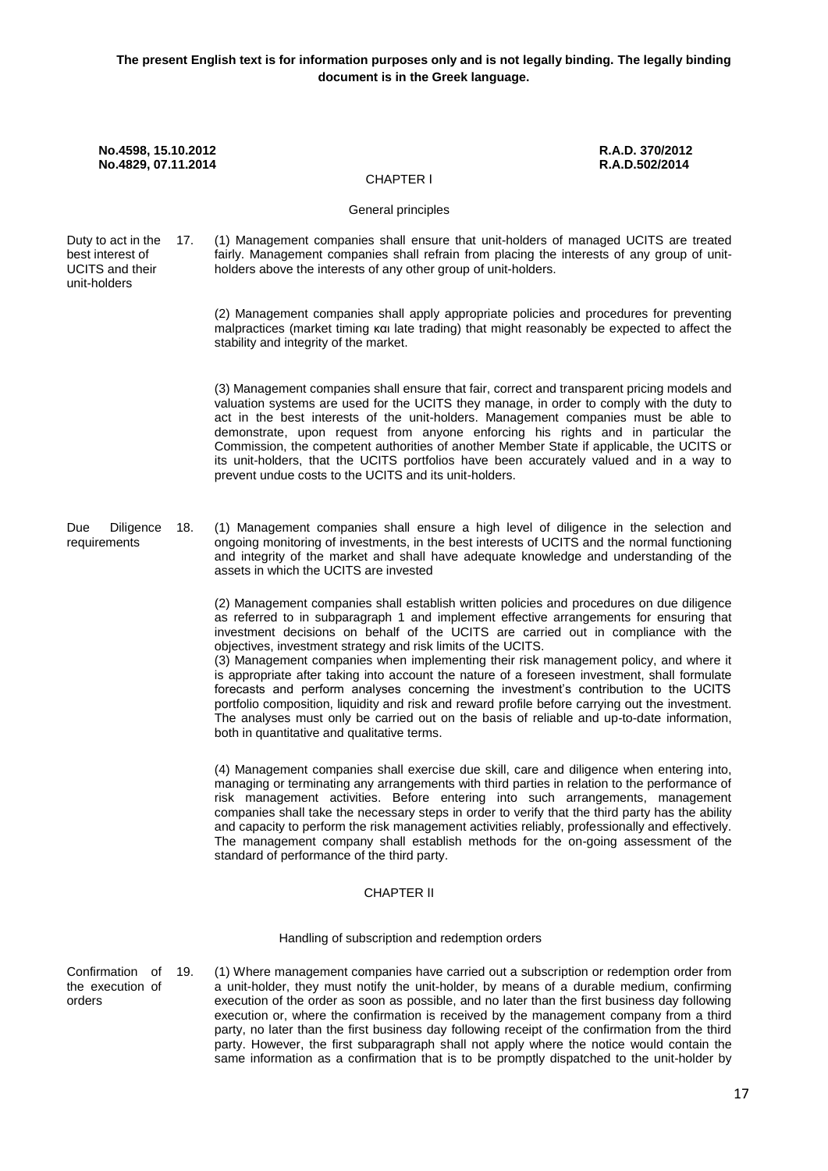**No.4598, 15.10.2012 R.A.D. 370/2012 No.4829, 07.11.2014** CHAPTER Ι General principles Duty to act in the 17. best interest of UCITS and their unit-holders 17. (1) Management companies shall ensure that unit-holders of managed UCITS are treated fairly. Management companies shall refrain from placing the interests of any group of unitholders above the interests of any other group of unit-holders. (2) Management companies shall apply appropriate policies and procedures for preventing malpractices (market timing και late trading) that might reasonably be expected to affect the stability and integrity of the market. (3) Management companies shall ensure that fair, correct and transparent pricing models and valuation systems are used for the UCITS they manage, in order to comply with the duty to act in the best interests of the unit-holders. Management companies must be able to demonstrate, upon request from anyone enforcing his rights and in particular the Commission, the competent authorities of another Member State if applicable, the UCITS or its unit-holders, that the UCITS portfolios have been accurately valued and in a way to prevent undue costs to the UCITS and its unit-holders. Due Diligence requirements 18. (1) Management companies shall ensure a high level of diligence in the selection and ongoing monitoring of investments, in the best interests of UCITS and the normal functioning and integrity of the market and shall have adequate knowledge and understanding of the assets in which the UCITS are invested (2) Management companies shall establish written policies and procedures on due diligence as referred to in subparagraph 1 and implement effective arrangements for ensuring that investment decisions on behalf of the UCITS are carried out in compliance with the objectives, investment strategy and risk limits of the UCITS. (3) Management companies when implementing their risk management policy, and where it is appropriate after taking into account the nature of a foreseen investment, shall formulate forecasts and perform analyses concerning the investment's contribution to the UCITS portfolio composition, liquidity and risk and reward profile before carrying out the investment. The analyses must only be carried out on the basis of reliable and up-to-date information, both in quantitative and qualitative terms. (4) Management companies shall exercise due skill, care and diligence when entering into, managing or terminating any arrangements with third parties in relation to the performance of risk management activities. Before entering into such arrangements, management companies shall take the necessary steps in order to verify that the third party has the ability and capacity to perform the risk management activities reliably, professionally and effectively. The management company shall establish methods for the on-going assessment of the standard of performance of the third party. CHAPTER ΙI Handling of subscription and redemption orders Confirmation of 19. (1) Where management companies have carried out a subscription or redemption order from

the execution of a unit-holder, they must notify the unit-holder, by means of a durable medium, confirming execution of the order as soon as possible, and no later than the first business day following execution or, where the confirmation is received by the management company from a third party, no later than the first business day following receipt of the confirmation from the third party. However, the first subparagraph shall not apply where the notice would contain the same information as a confirmation that is to be promptly dispatched to the unit-holder by

orders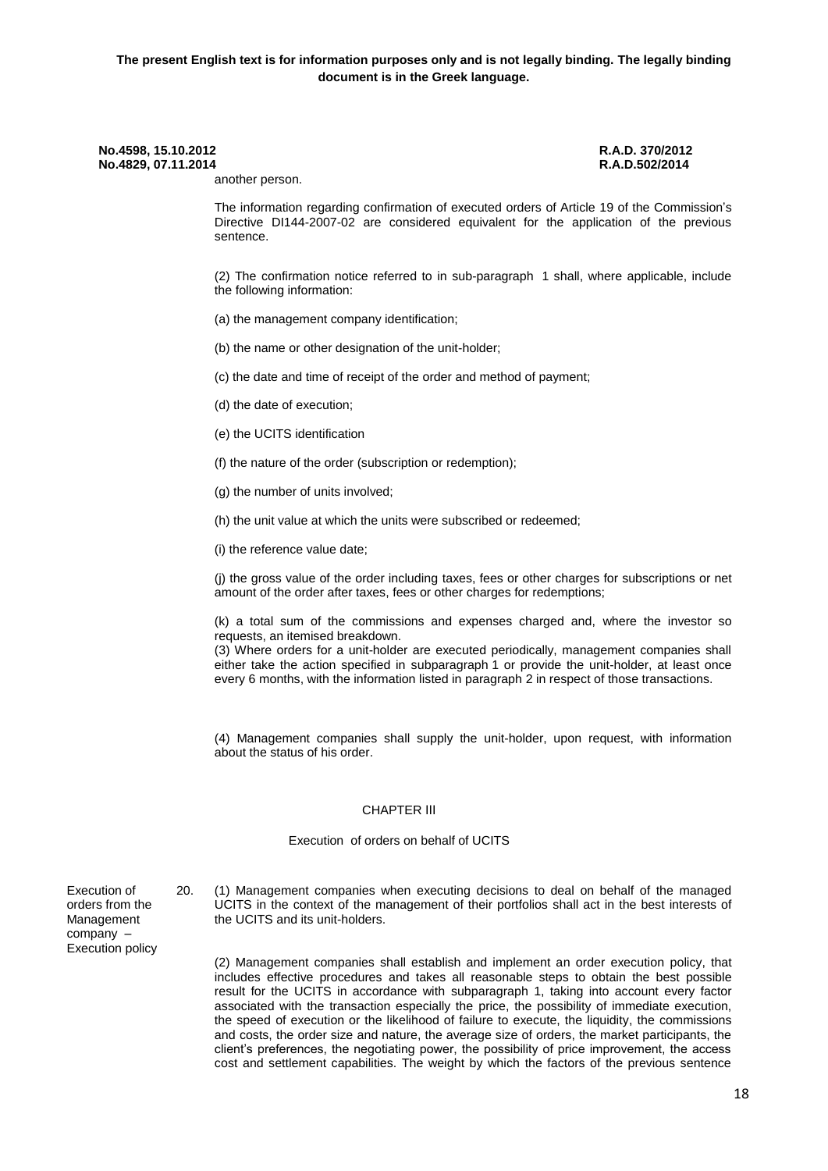another person.

The information regarding confirmation of executed orders of Article 19 of the Commission's Directive DI144-2007-02 are considered equivalent for the application of the previous sentence.

(2) The confirmation notice referred to in sub-paragraph 1 shall, where applicable, include the following information:

- (a) the management company identification;
- (b) the name or other designation of the unit-holder;

(c) the date and time of receipt of the order and method of payment;

- (d) the date of execution;
- (e) the UCITS identification
- (f) the nature of the order (subscription or redemption);
- (g) the number of units involved;
- (h) the unit value at which the units were subscribed or redeemed;
- (i) the reference value date;

(j) the gross value of the order including taxes, fees or other charges for subscriptions or net amount of the order after taxes, fees or other charges for redemptions;

(k) a total sum of the commissions and expenses charged and, where the investor so requests, an itemised breakdown.

(3) Where orders for a unit-holder are executed periodically, management companies shall either take the action specified in subparagraph 1 or provide the unit-holder, at least once every 6 months, with the information listed in paragraph 2 in respect of those transactions.

(4) Management companies shall supply the unit-holder, upon request, with information about the status of his order.

#### CHAPTER ΙΙΙ

#### Execution of orders on behalf of UCITS

Execution of orders from the Management company – Execution policy 20. (1) Management companies when executing decisions to deal on behalf of the managed UCITS in the context of the management of their portfolios shall act in the best interests of the UCITS and its unit-holders.

(2) Management companies shall establish and implement an order execution policy, that includes effective procedures and takes all reasonable steps to obtain the best possible result for the UCITS in accordance with subparagraph 1, taking into account every factor associated with the transaction especially the price, the possibility of immediate execution, the speed of execution or the likelihood of failure to execute, the liquidity, the commissions and costs, the order size and nature, the average size of orders, the market participants, the client's preferences, the negotiating power, the possibility of price improvement, the access cost and settlement capabilities. The weight by which the factors of the previous sentence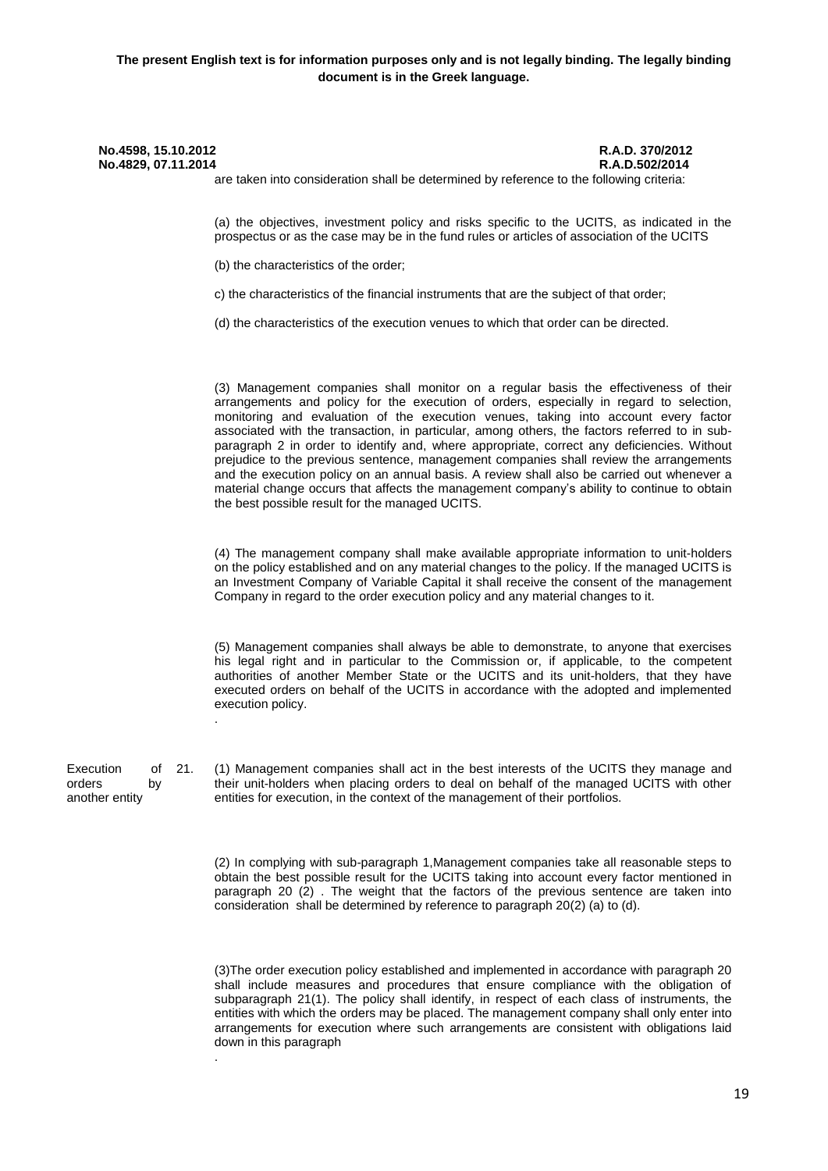are taken into consideration shall be determined by reference to the following criteria:

(a) the objectives, investment policy and risks specific to the UCITS, as indicated in the prospectus or as the case may be in the fund rules or articles of association of the UCITS

(b) the characteristics of the order;

c) the characteristics of the financial instruments that are the subject of that order;

(d) the characteristics of the execution venues to which that order can be directed.

(3) Management companies shall monitor on a regular basis the effectiveness of their arrangements and policy for the execution of orders, especially in regard to selection, monitoring and evaluation of the execution venues, taking into account every factor associated with the transaction, in particular, among others, the factors referred to in subparagraph 2 in order to identify and, where appropriate, correct any deficiencies. Without prejudice to the previous sentence, management companies shall review the arrangements and the execution policy on an annual basis. A review shall also be carried out whenever a material change occurs that affects the management company's ability to continue to obtain the best possible result for the managed UCITS.

(4) The management company shall make available appropriate information to unit-holders on the policy established and on any material changes to the policy. If the managed UCITS is an Investment Company of Variable Capital it shall receive the consent of the management Company in regard to the order execution policy and any material changes to it.

(5) Management companies shall always be able to demonstrate, to anyone that exercises his legal right and in particular to the Commission or, if applicable, to the competent authorities of another Member State or the UCITS and its unit-holders, that they have executed orders on behalf of the UCITS in accordance with the adopted and implemented execution policy.

Execution of orders by another entity

.

.

21. (1) Management companies shall act in the best interests of the UCITS they manage and their unit-holders when placing orders to deal on behalf of the managed UCITS with other entities for execution, in the context of the management of their portfolios.

(2) In complying with sub-paragraph 1,Management companies take all reasonable steps to obtain the best possible result for the UCITS taking into account every factor mentioned in paragraph 20 (2) . The weight that the factors of the previous sentence are taken into consideration shall be determined by reference to paragraph 20(2) (a) to (d).

(3)The order execution policy established and implemented in accordance with paragraph 20 shall include measures and procedures that ensure compliance with the obligation of subparagraph 21(1). The policy shall identify, in respect of each class of instruments, the entities with which the orders may be placed. The management company shall only enter into arrangements for execution where such arrangements are consistent with obligations laid down in this paragraph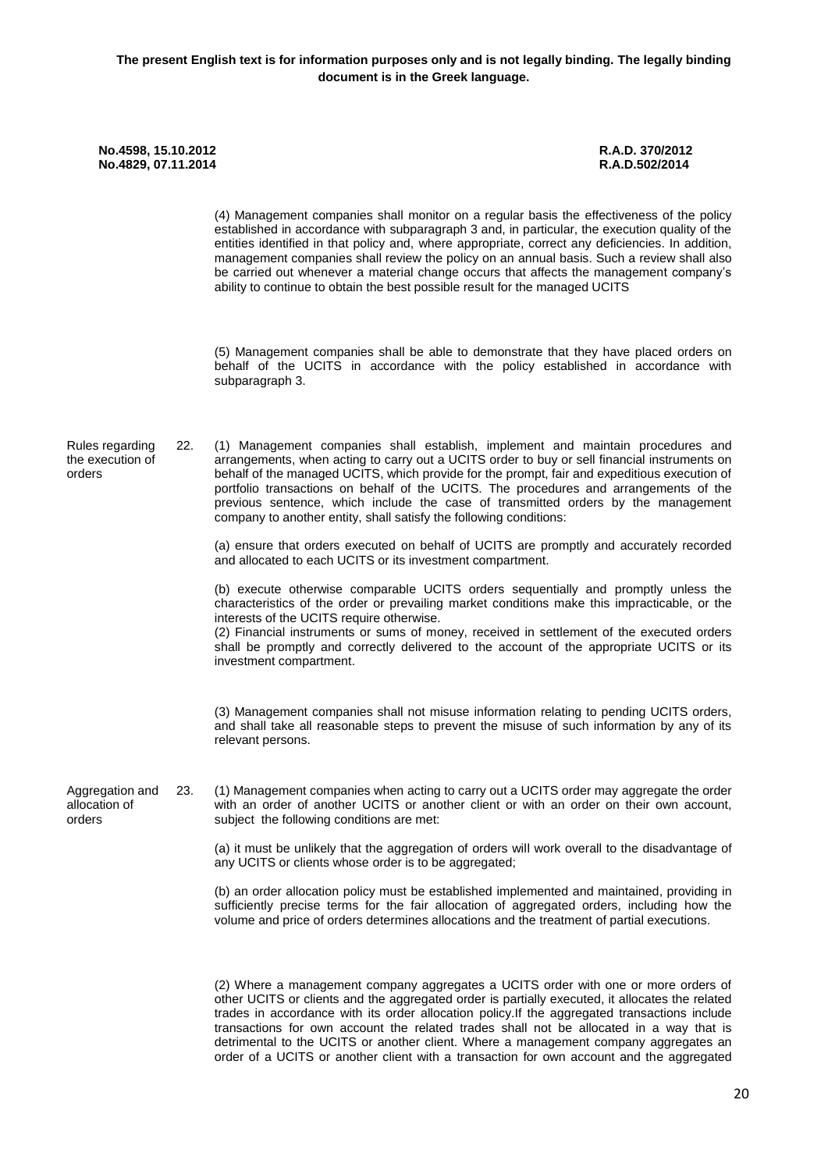(4) Management companies shall monitor on a regular basis the effectiveness of the policy established in accordance with subparagraph 3 and, in particular, the execution quality of the entities identified in that policy and, where appropriate, correct any deficiencies. In addition, management companies shall review the policy on an annual basis. Such a review shall also be carried out whenever a material change occurs that affects the management company's ability to continue to obtain the best possible result for the managed UCITS

(5) Management companies shall be able to demonstrate that they have placed orders on behalf of the UCITS in accordance with the policy established in accordance with subparagraph 3.

Rules regarding the execution of orders 22. (1) Management companies shall establish, implement and maintain procedures and arrangements, when acting to carry out a UCITS order to buy or sell financial instruments on behalf of the managed UCITS, which provide for the prompt, fair and expeditious execution of portfolio transactions on behalf of the UCITS. The procedures and arrangements of the previous sentence, which include the case of transmitted orders by the management company to another entity, shall satisfy the following conditions:

> (a) ensure that orders executed on behalf of UCITS are promptly and accurately recorded and allocated to each UCITS or its investment compartment.

> (b) execute otherwise comparable UCITS orders sequentially and promptly unless the characteristics of the order or prevailing market conditions make this impracticable, or the interests of the UCITS require otherwise.

> (2) Financial instruments or sums of money, received in settlement of the executed orders shall be promptly and correctly delivered to the account of the appropriate UCITS or its investment compartment.

> (3) Management companies shall not misuse information relating to pending UCITS orders, and shall take all reasonable steps to prevent the misuse of such information by any of its relevant persons.

Aggregation and allocation of orders 23. (1) Management companies when acting to carry out a UCITS order may aggregate the order with an order of another UCITS or another client or with an order on their own account, subject the following conditions are met:

> (a) it must be unlikely that the aggregation of orders will work overall to the disadvantage of any UCITS or clients whose order is to be aggregated:

> (b) an order allocation policy must be established implemented and maintained, providing in sufficiently precise terms for the fair allocation of aggregated orders, including how the volume and price of orders determines allocations and the treatment of partial executions.

> (2) Where a management company aggregates a UCITS order with one or more orders of other UCITS or clients and the aggregated order is partially executed, it allocates the related trades in accordance with its order allocation policy.If the aggregated transactions include transactions for own account the related trades shall not be allocated in a way that is detrimental to the UCITS or another client. Where a management company aggregates an order of a UCITS or another client with a transaction for own account and the aggregated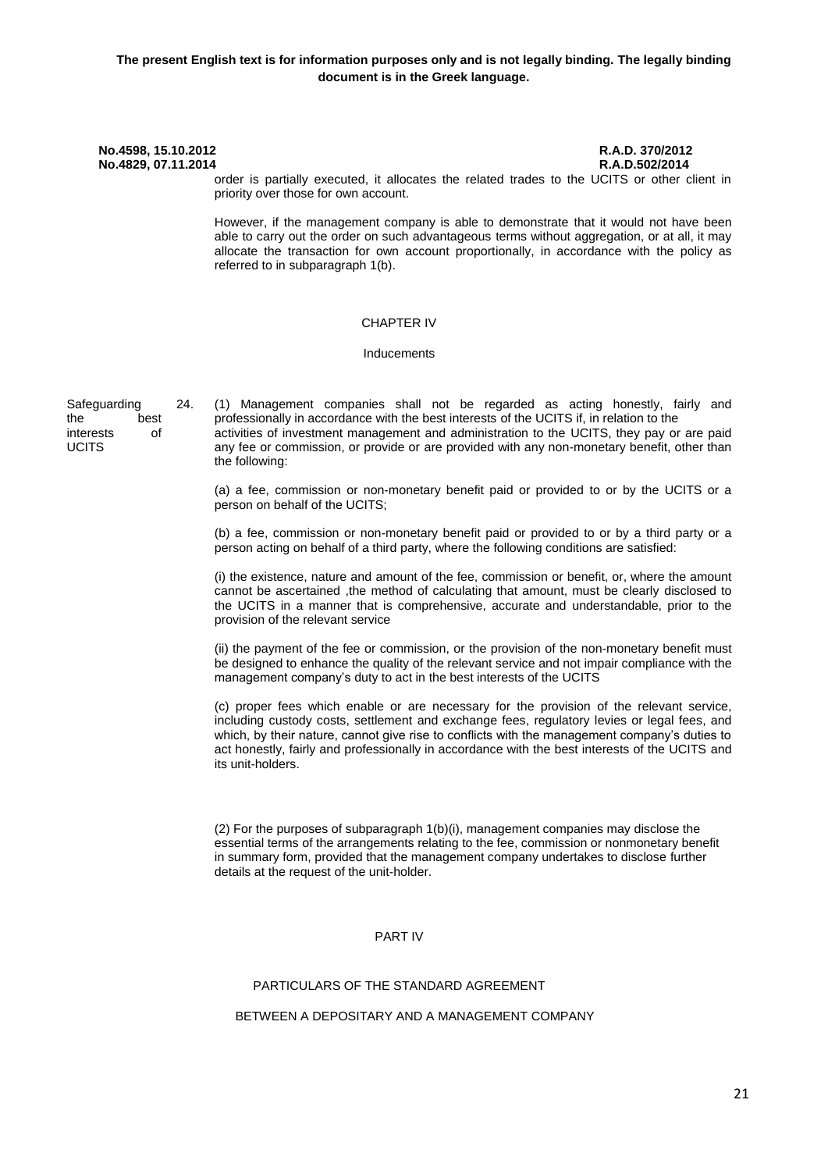order is partially executed, it allocates the related trades to the UCITS or other client in priority over those for own account.

However, if the management company is able to demonstrate that it would not have been able to carry out the order on such advantageous terms without aggregation, or at all, it may allocate the transaction for own account proportionally, in accordance with the policy as referred to in subparagraph 1(b).

#### CHAPTER IV

#### Inducements

Safeguarding the best interests of **UCITS** 

24. (1) Management companies shall not be regarded as acting honestly, fairly and professionally in accordance with the best interests of the UCITS if, in relation to the activities of investment management and administration to the UCITS, they pay or are paid any fee or commission, or provide or are provided with any non-monetary benefit, other than the following:

(a) a fee, commission or non-monetary benefit paid or provided to or by the UCITS or a person on behalf of the UCITS;

(b) a fee, commission or non-monetary benefit paid or provided to or by a third party or a person acting on behalf of a third party, where the following conditions are satisfied:

(i) the existence, nature and amount of the fee, commission or benefit, or, where the amount cannot be ascertained ,the method of calculating that amount, must be clearly disclosed to the UCITS in a manner that is comprehensive, accurate and understandable, prior to the provision of the relevant service

(ii) the payment of the fee or commission, or the provision of the non-monetary benefit must be designed to enhance the quality of the relevant service and not impair compliance with the management company's duty to act in the best interests of the UCITS

(c) proper fees which enable or are necessary for the provision of the relevant service, including custody costs, settlement and exchange fees, regulatory levies or legal fees, and which, by their nature, cannot give rise to conflicts with the management company's duties to act honestly, fairly and professionally in accordance with the best interests of the UCITS and its unit-holders.

(2) For the purposes of subparagraph 1(b)(i), management companies may disclose the essential terms of the arrangements relating to the fee, commission or nonmonetary benefit in summary form, provided that the management company undertakes to disclose further details at the request of the unit-holder.

#### PART IV

# PARTICULARS OF THE STANDARD AGREEMENT

### BETWEEN A DEPOSITARY AND A MANAGEMENT COMPANY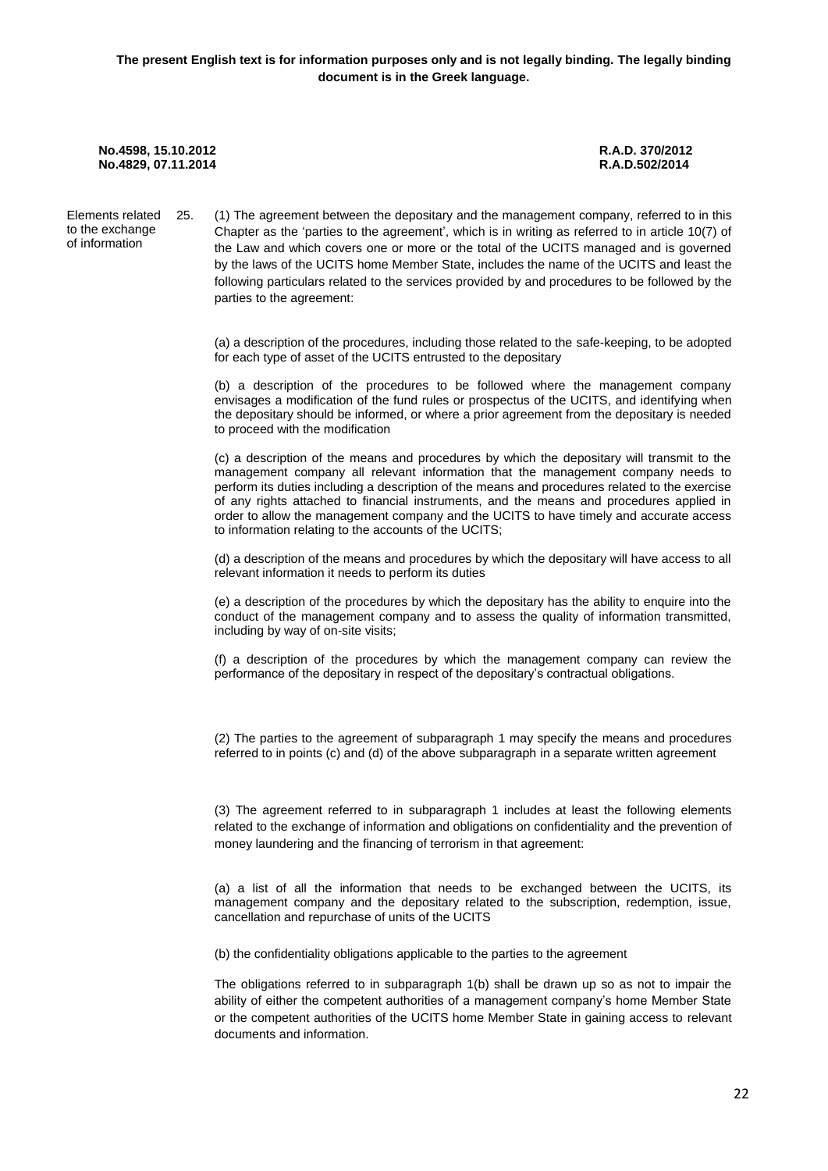Elements related to the exchange of information 25. (1) The agreement between the depositary and the management company, referred to in this Chapter as the 'parties to the agreement', which is in writing as referred to in article 10(7) of the Law and which covers one or more or the total of the UCITS managed and is governed by the laws of the UCITS home Member State, includes the name of the UCITS and least the following particulars related to the services provided by and procedures to be followed by the parties to the agreement:

> (a) a description of the procedures, including those related to the safe-keeping, to be adopted for each type of asset of the UCITS entrusted to the depositary

> (b) a description of the procedures to be followed where the management company envisages a modification of the fund rules or prospectus of the UCITS, and identifying when the depositary should be informed, or where a prior agreement from the depositary is needed to proceed with the modification

> (c) a description of the means and procedures by which the depositary will transmit to the management company all relevant information that the management company needs to perform its duties including a description of the means and procedures related to the exercise of any rights attached to financial instruments, and the means and procedures applied in order to allow the management company and the UCITS to have timely and accurate access to information relating to the accounts of the UCITS;

> (d) a description of the means and procedures by which the depositary will have access to all relevant information it needs to perform its duties

> (e) a description of the procedures by which the depositary has the ability to enquire into the conduct of the management company and to assess the quality of information transmitted, including by way of on-site visits;

> (f) a description of the procedures by which the management company can review the performance of the depositary in respect of the depositary's contractual obligations.

> (2) The parties to the agreement of subparagraph 1 may specify the means and procedures referred to in points (c) and (d) of the above subparagraph in a separate written agreement

> (3) The agreement referred to in subparagraph 1 includes at least the following elements related to the exchange of information and obligations on confidentiality and the prevention of money laundering and the financing of terrorism in that agreement:

> (a) a list of all the information that needs to be exchanged between the UCITS, its management company and the depositary related to the subscription, redemption, issue, cancellation and repurchase of units of the UCITS

(b) the confidentiality obligations applicable to the parties to the agreement

The obligations referred to in subparagraph 1(b) shall be drawn up so as not to impair the ability of either the competent authorities of a management company's home Member State or the competent authorities of the UCITS home Member State in gaining access to relevant documents and information.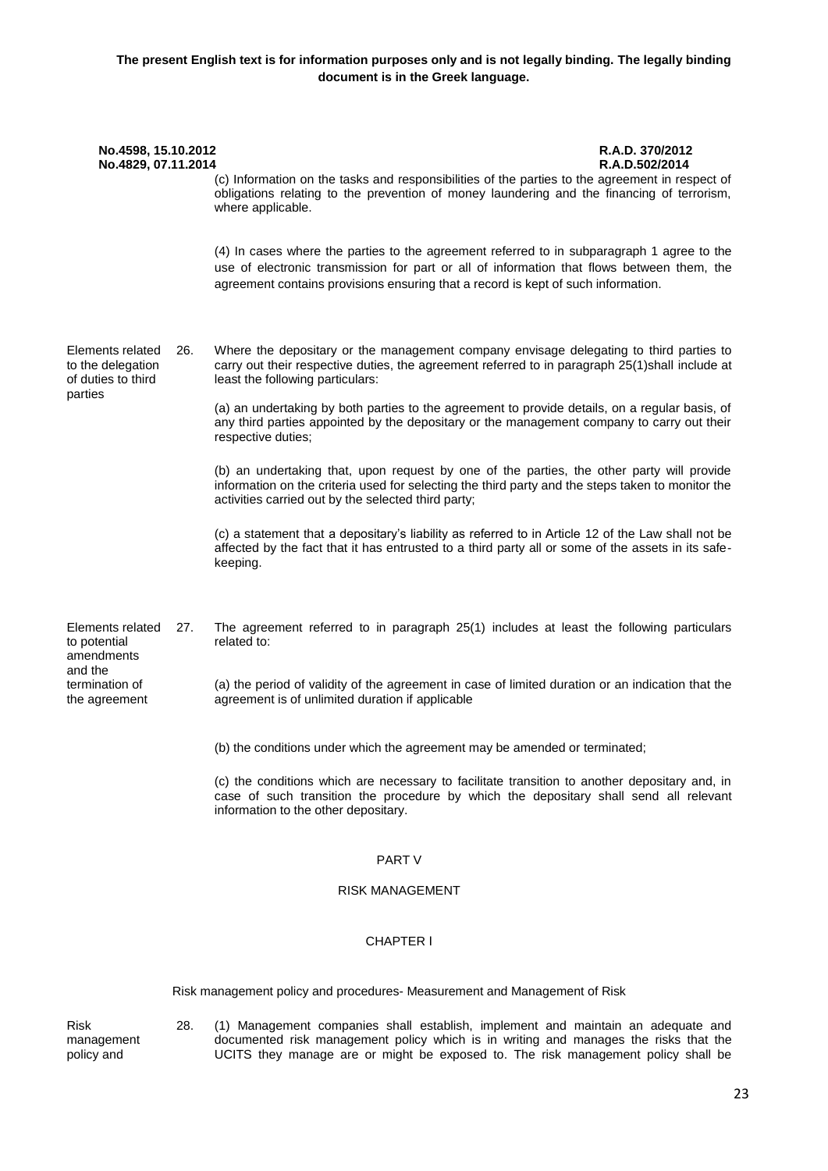| No.4598, 15.10.2012<br>No.4829, 07.11.2014                  |     | R.A.D. 370/2012<br>R.A.D.502/2014<br>(c) Information on the tasks and responsibilities of the parties to the agreement in respect of<br>obligations relating to the prevention of money laundering and the financing of terrorism,<br>where applicable.                       |  |
|-------------------------------------------------------------|-----|-------------------------------------------------------------------------------------------------------------------------------------------------------------------------------------------------------------------------------------------------------------------------------|--|
|                                                             |     | (4) In cases where the parties to the agreement referred to in subparagraph 1 agree to the<br>use of electronic transmission for part or all of information that flows between them, the<br>agreement contains provisions ensuring that a record is kept of such information. |  |
| Elements related<br>to the delegation<br>of duties to third | 26. | Where the depositary or the management company envisage delegating to third parties to<br>carry out their respective duties, the agreement referred to in paragraph 25(1)shall include at<br>least the following particulars:                                                 |  |
| parties                                                     |     | (a) an undertaking by both parties to the agreement to provide details, on a regular basis, of<br>any third parties appointed by the depositary or the management company to carry out their<br>respective duties;                                                            |  |
|                                                             |     | (b) an undertaking that, upon request by one of the parties, the other party will provide<br>information on the criteria used for selecting the third party and the steps taken to monitor the<br>activities carried out by the selected third party;                         |  |
|                                                             |     | (c) a statement that a depositary's liability as referred to in Article 12 of the Law shall not be<br>affected by the fact that it has entrusted to a third party all or some of the assets in its safe-<br>keeping.                                                          |  |
| Elements related<br>to potential<br>amendments              | 27. | The agreement referred to in paragraph 25(1) includes at least the following particulars<br>related to:                                                                                                                                                                       |  |
| and the<br>termination of<br>the agreement                  |     | (a) the period of validity of the agreement in case of limited duration or an indication that the<br>agreement is of unlimited duration if applicable                                                                                                                         |  |
|                                                             |     | (b) the conditions under which the agreement may be amended or terminated;                                                                                                                                                                                                    |  |
|                                                             |     | (c) the conditions which are necessary to facilitate transition to another depositary and, in<br>case of such transition the procedure by which the depositary shall send all relevant<br>information to the other depositary.                                                |  |

## PART V

### RISK MANAGEMENT

### CHAPTER Ι

Risk management policy and procedures- Measurement and Management of Risk

Risk management policy and

28. (1) Management companies shall establish, implement and maintain an adequate and documented risk management policy which is in writing and manages the risks that the UCITS they manage are or might be exposed to. The risk management policy shall be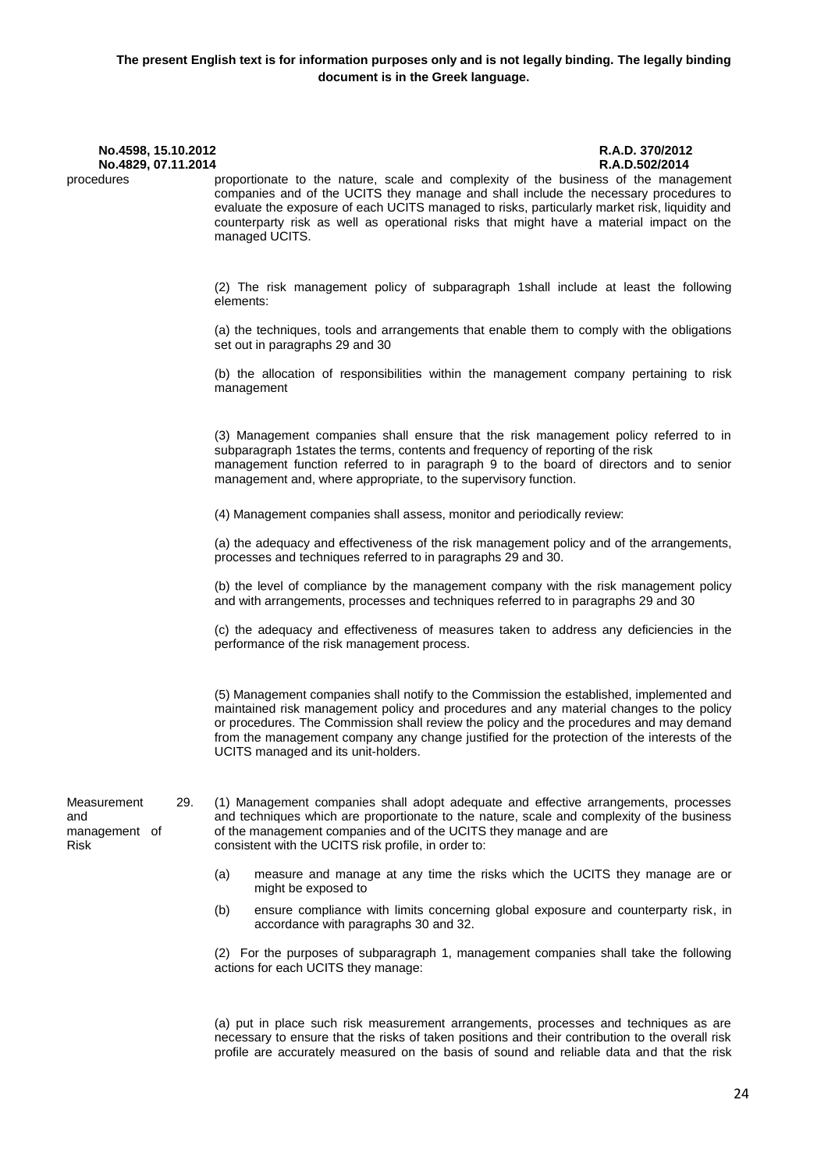| No.4598, 15.10.2012<br>No.4829, 07.11.2014         |                                                                                                                                                                                                                                                                                                                                                                                                                      | R.A.D. 370/2012<br>R.A.D.502/2014 |
|----------------------------------------------------|----------------------------------------------------------------------------------------------------------------------------------------------------------------------------------------------------------------------------------------------------------------------------------------------------------------------------------------------------------------------------------------------------------------------|-----------------------------------|
| procedures                                         | proportionate to the nature, scale and complexity of the business of the management<br>companies and of the UCITS they manage and shall include the necessary procedures to<br>evaluate the exposure of each UCITS managed to risks, particularly market risk, liquidity and<br>counterparty risk as well as operational risks that might have a material impact on the<br>managed UCITS.                            |                                   |
|                                                    | (2) The risk management policy of subparagraph 1shall include at least the following<br>elements:                                                                                                                                                                                                                                                                                                                    |                                   |
|                                                    | (a) the techniques, tools and arrangements that enable them to comply with the obligations<br>set out in paragraphs 29 and 30                                                                                                                                                                                                                                                                                        |                                   |
|                                                    | (b) the allocation of responsibilities within the management company pertaining to risk<br>management                                                                                                                                                                                                                                                                                                                |                                   |
|                                                    | (3) Management companies shall ensure that the risk management policy referred to in<br>subparagraph 1states the terms, contents and frequency of reporting of the risk<br>management function referred to in paragraph 9 to the board of directors and to senior<br>management and, where appropriate, to the supervisory function.                                                                                 |                                   |
|                                                    | (4) Management companies shall assess, monitor and periodically review:                                                                                                                                                                                                                                                                                                                                              |                                   |
|                                                    | (a) the adequacy and effectiveness of the risk management policy and of the arrangements,<br>processes and techniques referred to in paragraphs 29 and 30.                                                                                                                                                                                                                                                           |                                   |
|                                                    | (b) the level of compliance by the management company with the risk management policy<br>and with arrangements, processes and techniques referred to in paragraphs 29 and 30                                                                                                                                                                                                                                         |                                   |
|                                                    | (c) the adequacy and effectiveness of measures taken to address any deficiencies in the<br>performance of the risk management process.                                                                                                                                                                                                                                                                               |                                   |
|                                                    | (5) Management companies shall notify to the Commission the established, implemented and<br>maintained risk management policy and procedures and any material changes to the policy<br>or procedures. The Commission shall review the policy and the procedures and may demand<br>from the management company any change justified for the protection of the interests of the<br>UCITS managed and its unit-holders. |                                   |
| Measurement<br>29.<br>and<br>management of<br>Risk | (1) Management companies shall adopt adequate and effective arrangements, processes<br>and techniques which are proportionate to the nature, scale and complexity of the business<br>of the management companies and of the UCITS they manage and are<br>consistent with the UCITS risk profile, in order to:                                                                                                        |                                   |
|                                                    | (a)<br>measure and manage at any time the risks which the UCITS they manage are or<br>might be exposed to                                                                                                                                                                                                                                                                                                            |                                   |
|                                                    | (b)<br>ensure compliance with limits concerning global exposure and counterparty risk, in<br>accordance with paragraphs 30 and 32.                                                                                                                                                                                                                                                                                   |                                   |
|                                                    | (2) For the purposes of subparagraph 1, management companies shall take the following<br>actions for each UCITS they manage:                                                                                                                                                                                                                                                                                         |                                   |

(a) put in place such risk measurement arrangements, processes and techniques as are necessary to ensure that the risks of taken positions and their contribution to the overall risk profile are accurately measured on the basis of sound and reliable data and that the risk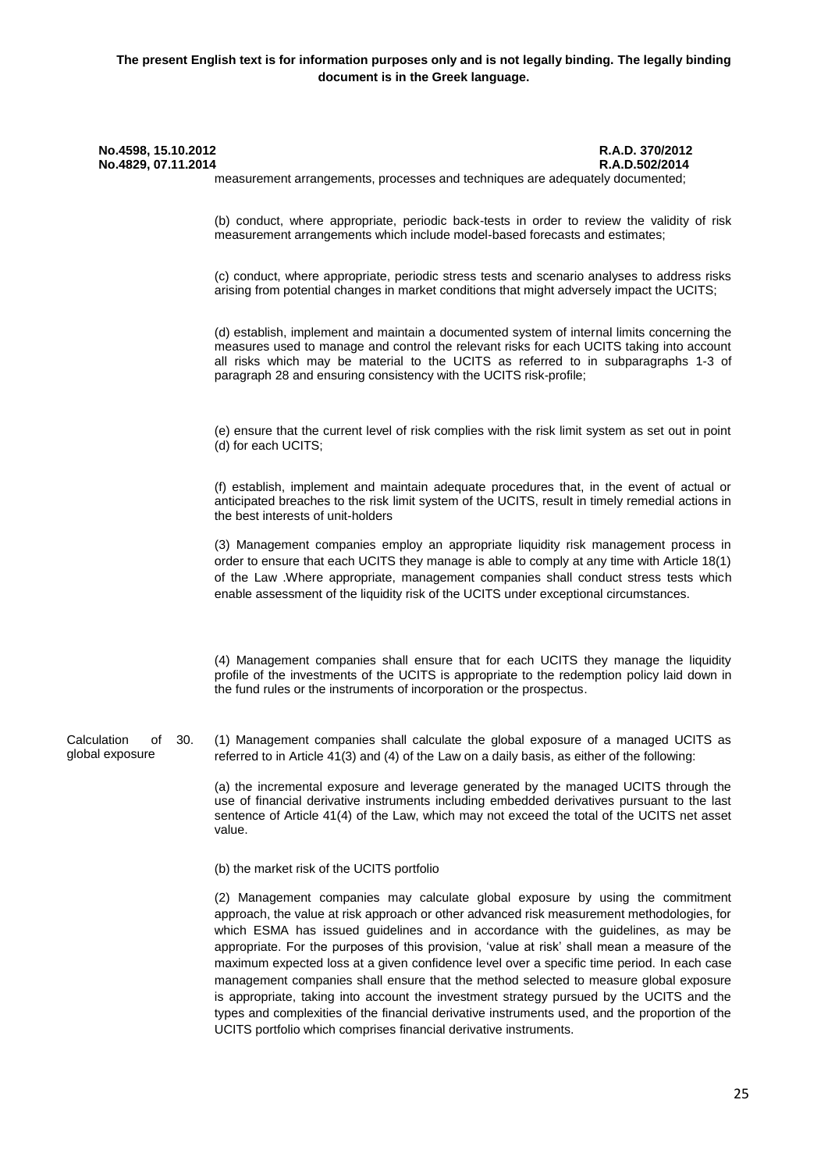| No.4598, 15.10.2012<br>No.4829, 07.11.2014  | R.A.D. 370/2012<br>R.A.D.502/2014<br>measurement arrangements, processes and techniques are adequately documented;                                                                                                                                                                                                                                                   |
|---------------------------------------------|----------------------------------------------------------------------------------------------------------------------------------------------------------------------------------------------------------------------------------------------------------------------------------------------------------------------------------------------------------------------|
|                                             | (b) conduct, where appropriate, periodic back-tests in order to review the validity of risk<br>measurement arrangements which include model-based forecasts and estimates;                                                                                                                                                                                           |
|                                             | (c) conduct, where appropriate, periodic stress tests and scenario analyses to address risks<br>arising from potential changes in market conditions that might adversely impact the UCITS;                                                                                                                                                                           |
|                                             | (d) establish, implement and maintain a documented system of internal limits concerning the<br>measures used to manage and control the relevant risks for each UCITS taking into account<br>all risks which may be material to the UCITS as referred to in subparagraphs 1-3 of<br>paragraph 28 and ensuring consistency with the UCITS risk-profile;                |
|                                             | (e) ensure that the current level of risk complies with the risk limit system as set out in point<br>(d) for each UCITS;                                                                                                                                                                                                                                             |
|                                             | (f) establish, implement and maintain adequate procedures that, in the event of actual or<br>anticipated breaches to the risk limit system of the UCITS, result in timely remedial actions in<br>the best interests of unit-holders                                                                                                                                  |
|                                             | (3) Management companies employ an appropriate liquidity risk management process in<br>order to ensure that each UCITS they manage is able to comply at any time with Article 18(1)<br>of the Law .Where appropriate, management companies shall conduct stress tests which<br>enable assessment of the liquidity risk of the UCITS under exceptional circumstances. |
|                                             | (4) Management companies shall ensure that for each UCITS they manage the liquidity<br>profile of the investments of the UCITS is appropriate to the redemption policy laid down in<br>the fund rules or the instruments of incorporation or the prospectus.                                                                                                         |
| Calculation<br>of<br>30.<br>global exposure | (1) Management companies shall calculate the global exposure of a managed UCITS as<br>referred to in Article 41(3) and (4) of the Law on a daily basis, as either of the following:                                                                                                                                                                                  |
|                                             | (a) the incremental exposure and leverage generated by the managed UCITS through the<br>use of financial derivative instruments including embedded derivatives pursuant to the last<br>sentence of Article 41(4) of the Law, which may not exceed the total of the UCITS net asset<br>value.                                                                         |
|                                             | (b) the market risk of the UCITS portfolio                                                                                                                                                                                                                                                                                                                           |
|                                             | (2) Management companies may calculate global exposure by using the commitment<br>approach, the value at risk approach or other advanced risk measurement methodologies, for<br>which ESMA has issued guidelines and in accordance with the guidelines, as may be<br>appropriate. For the purposes of this provision, 'value at risk' shall mean a measure of the    |

maximum expected loss at a given confidence level over a specific time period. In each case management companies shall ensure that the method selected to measure global exposure is appropriate, taking into account the investment strategy pursued by the UCITS and the types and complexities of the financial derivative instruments used, and the proportion of the UCITS portfolio which comprises financial derivative instruments.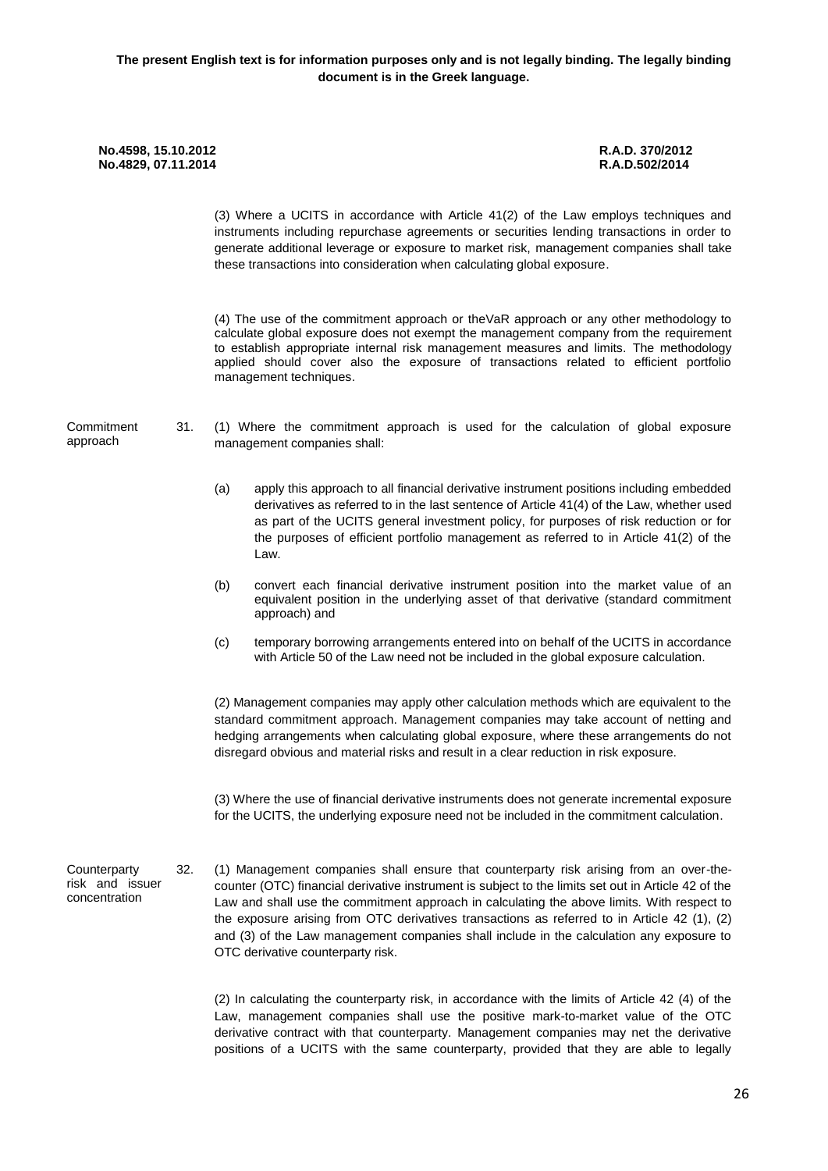(3) Where a UCITS in accordance with Article 41(2) of the Law employs techniques and instruments including repurchase agreements or securities lending transactions in order to generate additional leverage or exposure to market risk, management companies shall take these transactions into consideration when calculating global exposure. (4) The use of the commitment approach or theVaR approach or any other methodology to

calculate global exposure does not exempt the management company from the requirement to establish appropriate internal risk management measures and limits. The methodology applied should cover also the exposure of transactions related to efficient portfolio management techniques.

- **Commitment** approach
- 31. (1) Where the commitment approach is used for the calculation of global exposure management companies shall:
	- (a) apply this approach to all financial derivative instrument positions including embedded derivatives as referred to in the last sentence of Article 41(4) of the Law, whether used as part of the UCITS general investment policy, for purposes of risk reduction or for the purposes of efficient portfolio management as referred to in Article 41(2) of the Law.
	- (b) convert each financial derivative instrument position into the market value of an equivalent position in the underlying asset of that derivative (standard commitment approach) and
	- (c) temporary borrowing arrangements entered into on behalf of the UCITS in accordance with Article 50 of the Law need not be included in the global exposure calculation.

(2) Management companies may apply other calculation methods which are equivalent to the standard commitment approach. Management companies may take account of netting and hedging arrangements when calculating global exposure, where these arrangements do not disregard obvious and material risks and result in a clear reduction in risk exposure.

(3) Where the use of financial derivative instruments does not generate incremental exposure for the UCITS, the underlying exposure need not be included in the commitment calculation.

**Counterparty** risk and issuer concentration

32. (1) Management companies shall ensure that counterparty risk arising from an over-thecounter (OTC) financial derivative instrument is subject to the limits set out in Article 42 of the Law and shall use the commitment approach in calculating the above limits. With respect to the exposure arising from OTC derivatives transactions as referred to in Article 42 (1), (2) and (3) of the Law management companies shall include in the calculation any exposure to OTC derivative counterparty risk.

(2) In calculating the counterparty risk, in accordance with the limits of Article 42 (4) of the Law, management companies shall use the positive mark-to-market value of the OTC derivative contract with that counterparty. Management companies may net the derivative positions of a UCITS with the same counterparty, provided that they are able to legally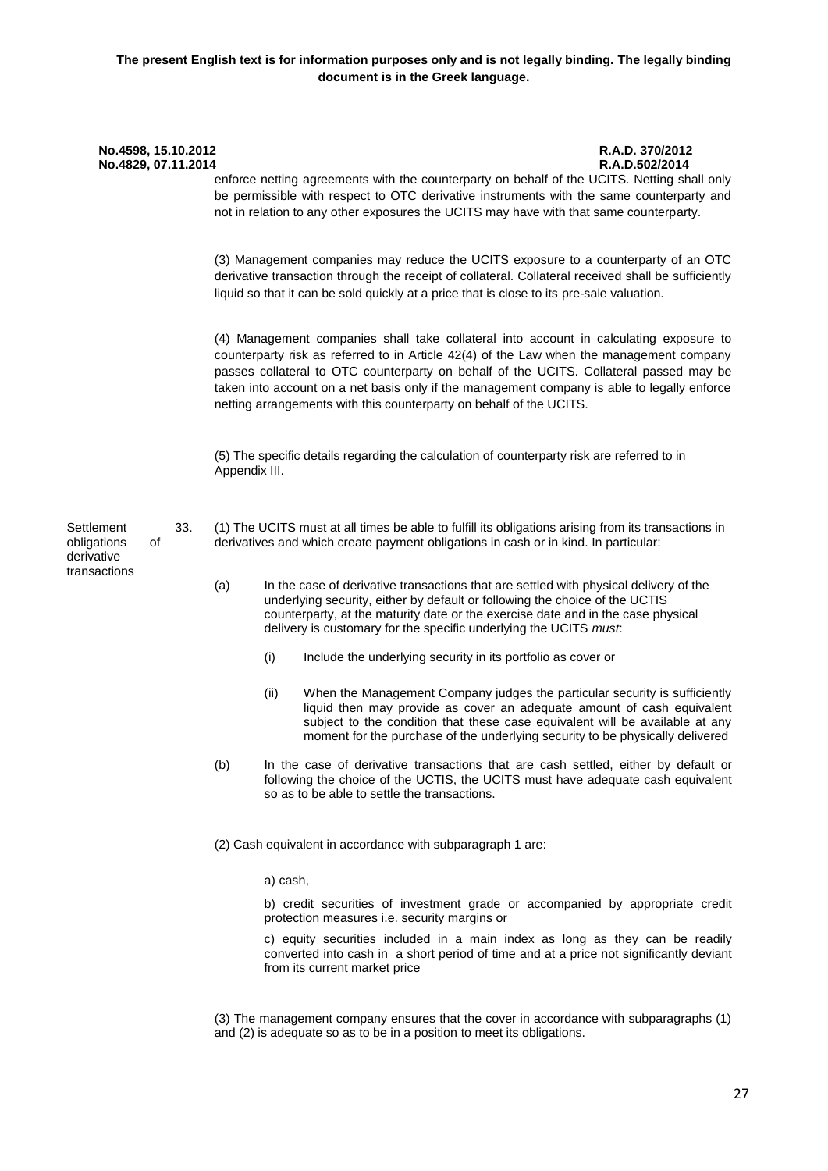| No.4598, 15.10.2012<br>No.4829, 07.11.2014 |    |     |               |          |                                                                                                                                                  | R.A.D. 370/2012<br>R.A.D.502/2014<br>enforce netting agreements with the counterparty on behalf of the UCITS. Netting shall only<br>be permissible with respect to OTC derivative instruments with the same counterparty and<br>not in relation to any other exposures the UCITS may have with that same counterparty.                                                      |  |  |      |  |                                                                                                                                                                                                                                                                                                                       |
|--------------------------------------------|----|-----|---------------|----------|--------------------------------------------------------------------------------------------------------------------------------------------------|-----------------------------------------------------------------------------------------------------------------------------------------------------------------------------------------------------------------------------------------------------------------------------------------------------------------------------------------------------------------------------|--|--|------|--|-----------------------------------------------------------------------------------------------------------------------------------------------------------------------------------------------------------------------------------------------------------------------------------------------------------------------|
|                                            |    |     |               |          | liquid so that it can be sold quickly at a price that is close to its pre-sale valuation.                                                        | (3) Management companies may reduce the UCITS exposure to a counterparty of an OTC<br>derivative transaction through the receipt of collateral. Collateral received shall be sufficiently                                                                                                                                                                                   |  |  |      |  |                                                                                                                                                                                                                                                                                                                       |
|                                            |    |     |               |          | netting arrangements with this counterparty on behalf of the UCITS.                                                                              | (4) Management companies shall take collateral into account in calculating exposure to<br>counterparty risk as referred to in Article 42(4) of the Law when the management company<br>passes collateral to OTC counterparty on behalf of the UCITS. Collateral passed may be<br>taken into account on a net basis only if the management company is able to legally enforce |  |  |      |  |                                                                                                                                                                                                                                                                                                                       |
|                                            |    |     | Appendix III. |          |                                                                                                                                                  | (5) The specific details regarding the calculation of counterparty risk are referred to in                                                                                                                                                                                                                                                                                  |  |  |      |  |                                                                                                                                                                                                                                                                                                                       |
| Settlement<br>obligations<br>derivative    | οf | 33. |               |          | derivatives and which create payment obligations in cash or in kind. In particular:                                                              | (1) The UCITS must at all times be able to fulfill its obligations arising from its transactions in                                                                                                                                                                                                                                                                         |  |  |      |  |                                                                                                                                                                                                                                                                                                                       |
| transactions                               |    |     | (a)           |          | underlying security, either by default or following the choice of the UCTIS<br>delivery is customary for the specific underlying the UCITS must. | In the case of derivative transactions that are settled with physical delivery of the<br>counterparty, at the maturity date or the exercise date and in the case physical                                                                                                                                                                                                   |  |  |      |  |                                                                                                                                                                                                                                                                                                                       |
|                                            |    |     |               | (i)      | Include the underlying security in its portfolio as cover or                                                                                     |                                                                                                                                                                                                                                                                                                                                                                             |  |  |      |  |                                                                                                                                                                                                                                                                                                                       |
|                                            |    |     |               |          |                                                                                                                                                  |                                                                                                                                                                                                                                                                                                                                                                             |  |  | (ii) |  | When the Management Company judges the particular security is sufficiently<br>liquid then may provide as cover an adequate amount of cash equivalent<br>subject to the condition that these case equivalent will be available at any<br>moment for the purchase of the underlying security to be physically delivered |
|                                            |    |     |               |          |                                                                                                                                                  |                                                                                                                                                                                                                                                                                                                                                                             |  |  | (b)  |  | so as to be able to settle the transactions.                                                                                                                                                                                                                                                                          |
|                                            |    |     |               |          | (2) Cash equivalent in accordance with subparagraph 1 are:                                                                                       |                                                                                                                                                                                                                                                                                                                                                                             |  |  |      |  |                                                                                                                                                                                                                                                                                                                       |
|                                            |    |     |               | a) cash, |                                                                                                                                                  |                                                                                                                                                                                                                                                                                                                                                                             |  |  |      |  |                                                                                                                                                                                                                                                                                                                       |
|                                            |    |     |               |          | protection measures <i>i.e.</i> security margins or                                                                                              | b) credit securities of investment grade or accompanied by appropriate credit                                                                                                                                                                                                                                                                                               |  |  |      |  |                                                                                                                                                                                                                                                                                                                       |
|                                            |    |     |               |          | from its current market price                                                                                                                    | c) equity securities included in a main index as long as they can be readily<br>converted into cash in a short period of time and at a price not significantly deviant                                                                                                                                                                                                      |  |  |      |  |                                                                                                                                                                                                                                                                                                                       |

(3) The management company ensures that the cover in accordance with subparagraphs (1) and (2) is adequate so as to be in a position to meet its obligations.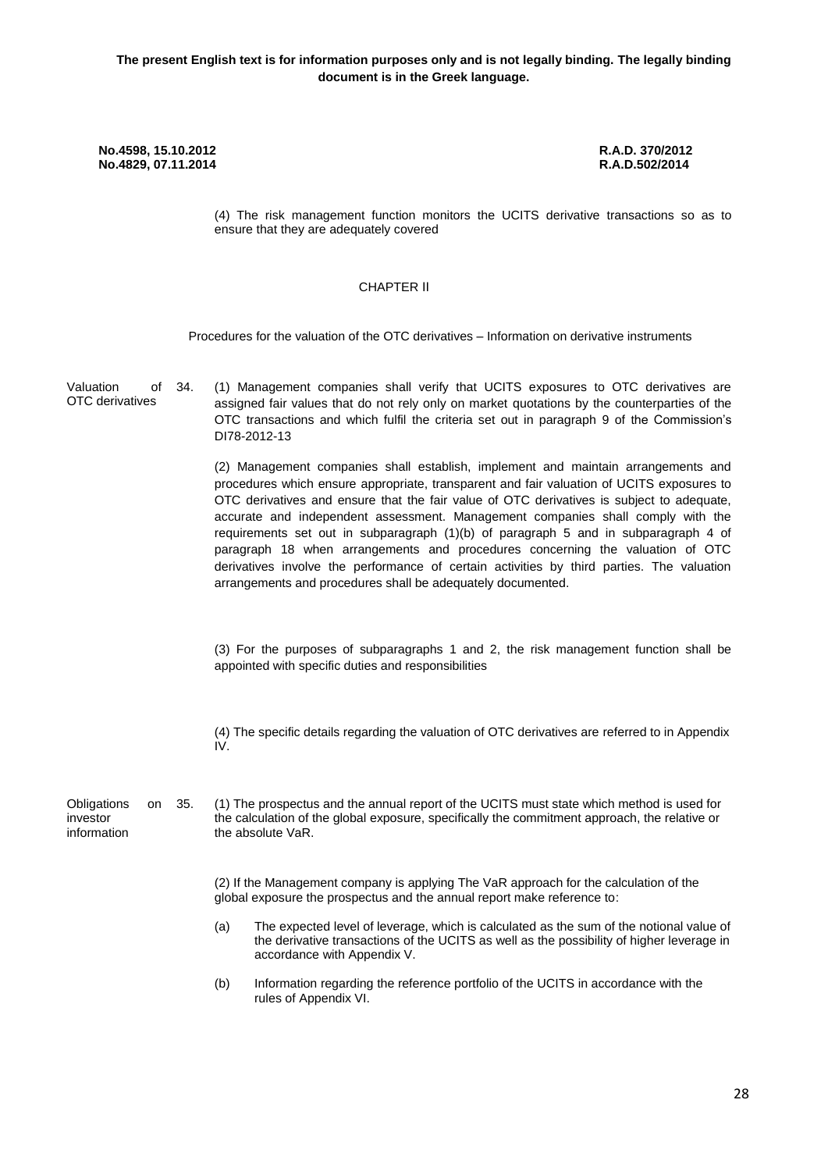(4) The risk management function monitors the UCITS derivative transactions so as to ensure that they are adequately covered

## CHAPTER ΙΙ

Procedures for the valuation of the OTC derivatives – Information on derivative instruments

| Valuation<br>οf<br>OTC derivatives           | 34. | (1) Management companies shall verify that UCITS exposures to OTC derivatives are<br>assigned fair values that do not rely only on market quotations by the counterparties of the<br>OTC transactions and which fulfil the criteria set out in paragraph 9 of the Commission's<br>DI78-2012-13                                                                                                                                                                                                                                                                                                                                                                                                     |
|----------------------------------------------|-----|----------------------------------------------------------------------------------------------------------------------------------------------------------------------------------------------------------------------------------------------------------------------------------------------------------------------------------------------------------------------------------------------------------------------------------------------------------------------------------------------------------------------------------------------------------------------------------------------------------------------------------------------------------------------------------------------------|
|                                              |     | (2) Management companies shall establish, implement and maintain arrangements and<br>procedures which ensure appropriate, transparent and fair valuation of UCITS exposures to<br>OTC derivatives and ensure that the fair value of OTC derivatives is subject to adequate,<br>accurate and independent assessment. Management companies shall comply with the<br>requirements set out in subparagraph (1)(b) of paragraph 5 and in subparagraph 4 of<br>paragraph 18 when arrangements and procedures concerning the valuation of OTC<br>derivatives involve the performance of certain activities by third parties. The valuation<br>arrangements and procedures shall be adequately documented. |
|                                              |     | (3) For the purposes of subparagraphs 1 and 2, the risk management function shall be<br>appointed with specific duties and responsibilities                                                                                                                                                                                                                                                                                                                                                                                                                                                                                                                                                        |
|                                              |     | (4) The specific details regarding the valuation of OTC derivatives are referred to in Appendix<br>IV.                                                                                                                                                                                                                                                                                                                                                                                                                                                                                                                                                                                             |
| Obligations<br>on<br>investor<br>information | 35. | (1) The prospectus and the annual report of the UCITS must state which method is used for<br>the calculation of the global exposure, specifically the commitment approach, the relative or<br>the absolute VaR.                                                                                                                                                                                                                                                                                                                                                                                                                                                                                    |
|                                              |     | (2) If the Management company is applying The VaR approach for the calculation of the<br>global exposure the prospectus and the annual report make reference to:                                                                                                                                                                                                                                                                                                                                                                                                                                                                                                                                   |
|                                              |     | (a)<br>The expected level of leverage, which is calculated as the sum of the notional value of<br>the derivative transactions of the UCITS as well as the possibility of higher leverage in<br>accordance with Appendix V.                                                                                                                                                                                                                                                                                                                                                                                                                                                                         |
|                                              |     | Information regarding the reference portfolio of the UCITS in accordance with the<br>(b)<br>rules of Appendix VI.                                                                                                                                                                                                                                                                                                                                                                                                                                                                                                                                                                                  |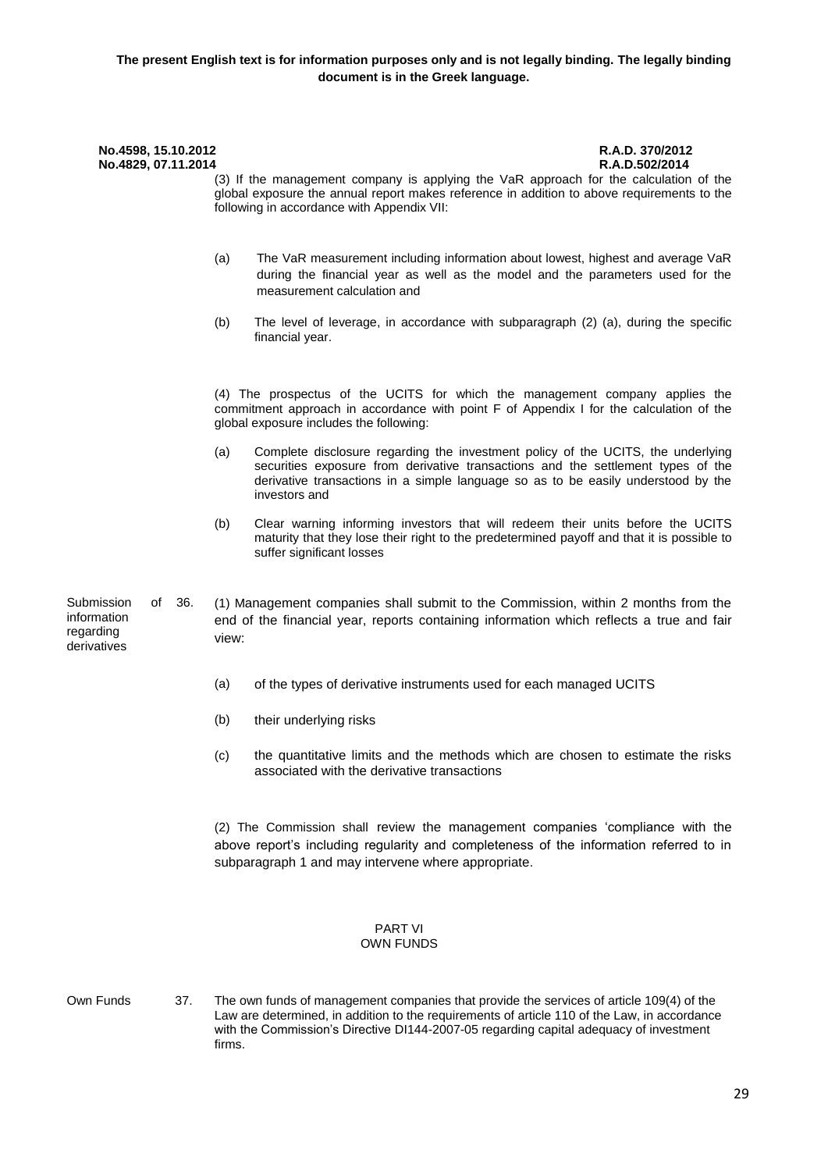| No.4598, 15.10.2012<br>No.4829, 07.11.2014                         | R.A.D. 370/2012<br>R.A.D.502/2014<br>(3) If the management company is applying the VaR approach for the calculation of the<br>global exposure the annual report makes reference in addition to above requirements to the<br>following in accordance with Appendix VII:            |
|--------------------------------------------------------------------|-----------------------------------------------------------------------------------------------------------------------------------------------------------------------------------------------------------------------------------------------------------------------------------|
|                                                                    | The VaR measurement including information about lowest, highest and average VaR<br>(a)<br>during the financial year as well as the model and the parameters used for the<br>measurement calculation and                                                                           |
|                                                                    | (b)<br>The level of leverage, in accordance with subparagraph (2) (a), during the specific<br>financial year.                                                                                                                                                                     |
|                                                                    | (4) The prospectus of the UCITS for which the management company applies the<br>commitment approach in accordance with point F of Appendix I for the calculation of the<br>global exposure includes the following:                                                                |
|                                                                    | Complete disclosure regarding the investment policy of the UCITS, the underlying<br>(a)<br>securities exposure from derivative transactions and the settlement types of the<br>derivative transactions in a simple language so as to be easily understood by the<br>investors and |
|                                                                    | (b)<br>Clear warning informing investors that will redeem their units before the UCITS<br>maturity that they lose their right to the predetermined payoff and that it is possible to<br>suffer significant losses                                                                 |
| Submission<br>of<br>36.<br>information<br>regarding<br>derivatives | (1) Management companies shall submit to the Commission, within 2 months from the<br>end of the financial year, reports containing information which reflects a true and fair<br>view:                                                                                            |
|                                                                    | (a)<br>of the types of derivative instruments used for each managed UCITS                                                                                                                                                                                                         |
|                                                                    | (b)<br>their underlying risks                                                                                                                                                                                                                                                     |
|                                                                    | the quantitative limits and the methods which are chosen to estimate the risks<br>(c)<br>associated with the derivative transactions                                                                                                                                              |
|                                                                    | (2) The Commission shall review the management companies 'compliance with the<br>above report's including regularity and completeness of the information referred to in<br>subparagraph 1 and may intervene where appropriate.                                                    |
|                                                                    | <b>PART VI</b><br>OWN FUNDS                                                                                                                                                                                                                                                       |

- 
- Own Funds 37. The own funds of management companies that provide the services of article 109(4) of the Law are determined, in addition to the requirements of article 110 of the Law, in accordance with the Commission's Directive DI144-2007-05 regarding capital adequacy of investment firms.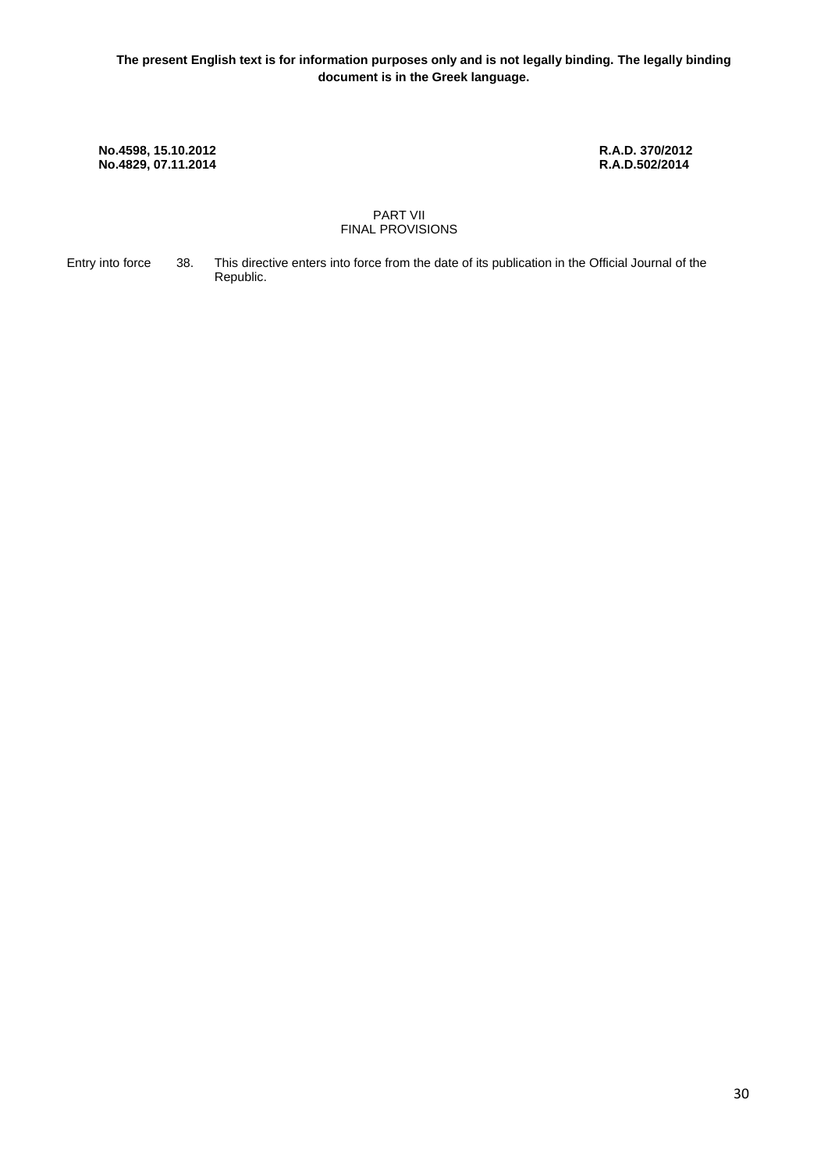#### PART VII FINAL PROVISIONS

Entry into force 38. This directive enters into force from the date of its publication in the Official Journal of the Republic.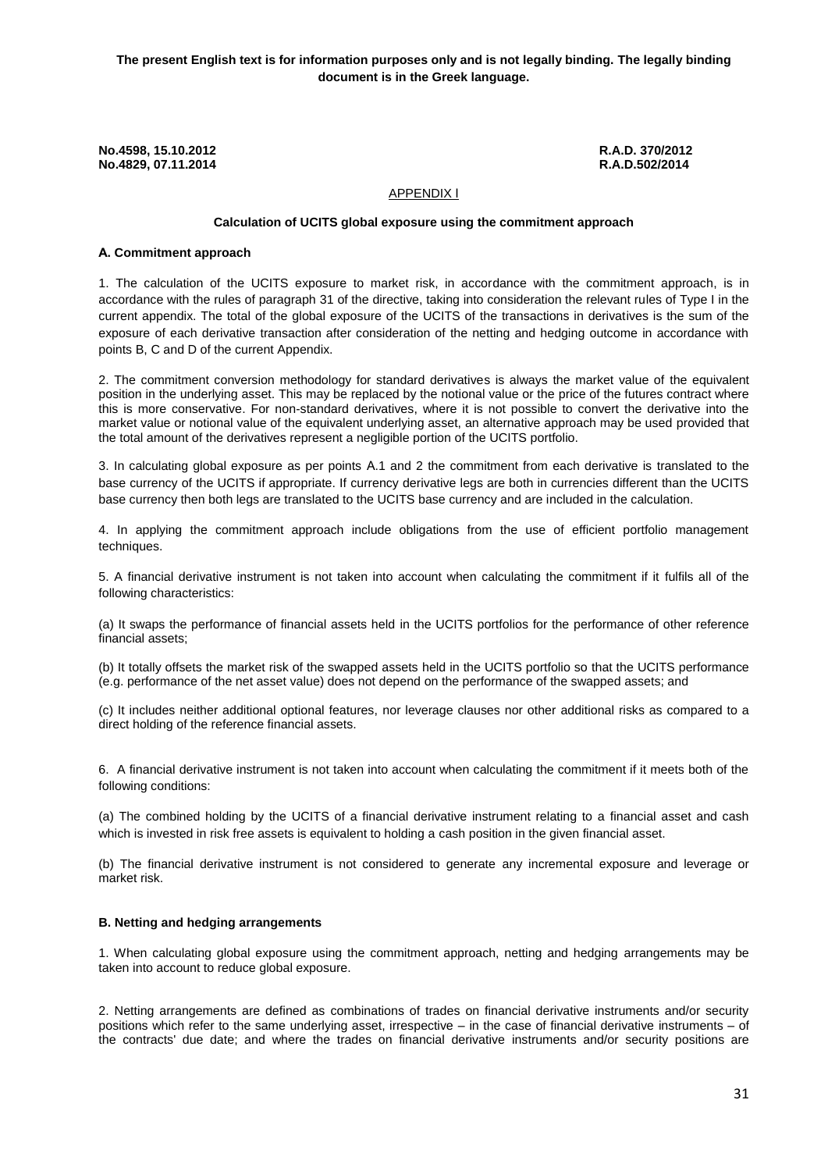**The present English text is for information purposes only and is not legally binding. The legally binding document is in the Greek language.**

**No.4598, 15.10.2012 R.A.D. 370/2012 No.4829, 07.11.2014** 

# APPENDIX Ι

#### **Calculation of UCITS global exposure using the commitment approach**

#### **Α. Commitment approach**

1. The calculation of the UCITS exposure to market risk, in accordance with the commitment approach, is in accordance with the rules of paragraph 31 of the directive, taking into consideration the relevant rules of Type I in the current appendix. The total of the global exposure of the UCITS of the transactions in derivatives is the sum of the exposure of each derivative transaction after consideration of the netting and hedging outcome in accordance with points B, C and D of the current Appendix.

2. The commitment conversion methodology for standard derivatives is always the market value of the equivalent position in the underlying asset. This may be replaced by the notional value or the price of the futures contract where this is more conservative. For non-standard derivatives, where it is not possible to convert the derivative into the market value or notional value of the equivalent underlying asset, an alternative approach may be used provided that the total amount of the derivatives represent a negligible portion of the UCITS portfolio.

3. In calculating global exposure as per points Α.1 and 2 the commitment from each derivative is translated to the base currency of the UCITS if appropriate. If currency derivative legs are both in currencies different than the UCITS base currency then both legs are translated to the UCITS base currency and are included in the calculation.

4. In applying the commitment approach include obligations from the use of efficient portfolio management techniques.

5. A financial derivative instrument is not taken into account when calculating the commitment if it fulfils all of the following characteristics:

(a) It swaps the performance of financial assets held in the UCITS portfolios for the performance of other reference financial assets;

(b) It totally offsets the market risk of the swapped assets held in the UCITS portfolio so that the UCITS performance (e.g. performance of the net asset value) does not depend on the performance of the swapped assets; and

(c) It includes neither additional optional features, nor leverage clauses nor other additional risks as compared to a direct holding of the reference financial assets.

6. A financial derivative instrument is not taken into account when calculating the commitment if it meets both of the following conditions:

(a) The combined holding by the UCITS of a financial derivative instrument relating to a financial asset and cash which is invested in risk free assets is equivalent to holding a cash position in the given financial asset.

(b) The financial derivative instrument is not considered to generate any incremental exposure and leverage or market risk.

### **B. Netting and hedging arrangements**

1. When calculating global exposure using the commitment approach, netting and hedging arrangements may be taken into account to reduce global exposure.

2. Netting arrangements are defined as combinations of trades on financial derivative instruments and/or security positions which refer to the same underlying asset, irrespective – in the case of financial derivative instruments – of the contracts' due date; and where the trades on financial derivative instruments and/or security positions are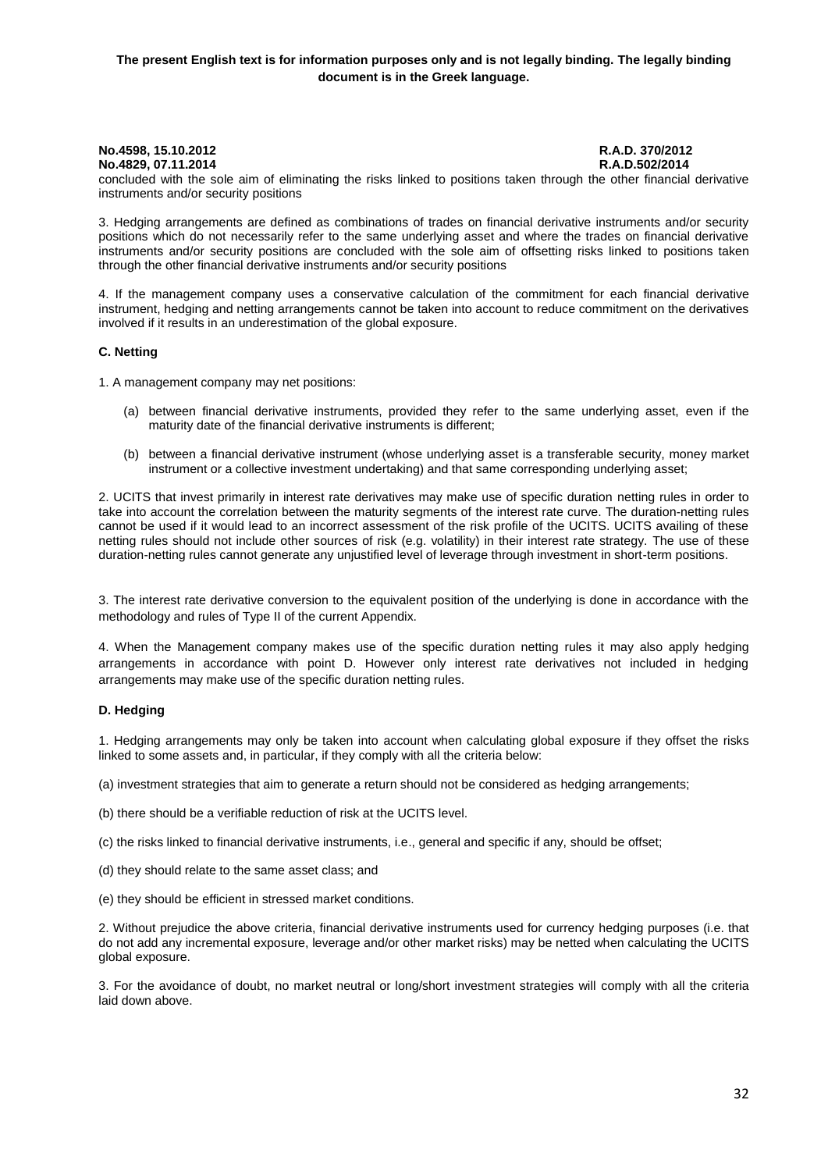### **The present English text is for information purposes only and is not legally binding. The legally binding document is in the Greek language.**

# **No.4829, 07.11.2014**

# **No.4598, 15.10.2012 R.A.D. 370/2012**

concluded with the sole aim of eliminating the risks linked to positions taken through the other financial derivative instruments and/or security positions

3. Hedging arrangements are defined as combinations of trades on financial derivative instruments and/or security positions which do not necessarily refer to the same underlying asset and where the trades on financial derivative instruments and/or security positions are concluded with the sole aim of offsetting risks linked to positions taken through the other financial derivative instruments and/or security positions

4. If the management company uses a conservative calculation of the commitment for each financial derivative instrument, hedging and netting arrangements cannot be taken into account to reduce commitment on the derivatives involved if it results in an underestimation of the global exposure.

#### **C. Netting**

1. A management company may net positions:

- (a) between financial derivative instruments, provided they refer to the same underlying asset, even if the maturity date of the financial derivative instruments is different;
- (b) between a financial derivative instrument (whose underlying asset is a transferable security, money market instrument or a collective investment undertaking) and that same corresponding underlying asset;

2. UCITS that invest primarily in interest rate derivatives may make use of specific duration netting rules in order to take into account the correlation between the maturity segments of the interest rate curve. The duration-netting rules cannot be used if it would lead to an incorrect assessment of the risk profile of the UCITS. UCITS availing of these netting rules should not include other sources of risk (e.g. volatility) in their interest rate strategy. The use of these duration-netting rules cannot generate any unjustified level of leverage through investment in short-term positions.

3. The interest rate derivative conversion to the equivalent position of the underlying is done in accordance with the methodology and rules of Type II of the current Appendix.

4. When the Management company makes use of the specific duration netting rules it may also apply hedging arrangements in accordance with point D. However only interest rate derivatives not included in hedging arrangements may make use of the specific duration netting rules.

#### **D. Hedging**

1. Hedging arrangements may only be taken into account when calculating global exposure if they offset the risks linked to some assets and, in particular, if they comply with all the criteria below:

(a) investment strategies that aim to generate a return should not be considered as hedging arrangements;

(b) there should be a verifiable reduction of risk at the UCITS level.

(c) the risks linked to financial derivative instruments, i.e., general and specific if any, should be offset;

(d) they should relate to the same asset class; and

(e) they should be efficient in stressed market conditions.

2. Without prejudice the above criteria, financial derivative instruments used for currency hedging purposes (i.e. that do not add any incremental exposure, leverage and/or other market risks) may be netted when calculating the UCITS global exposure.

3. For the avoidance of doubt, no market neutral or long/short investment strategies will comply with all the criteria laid down above.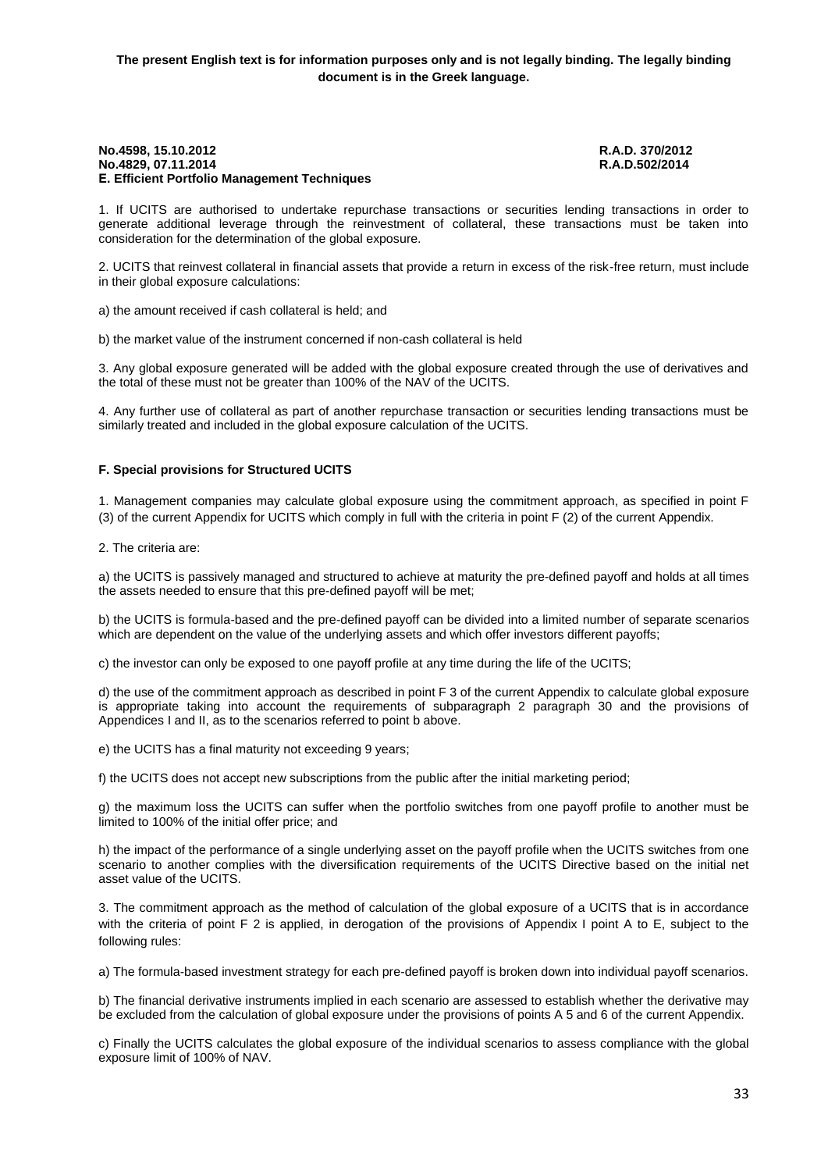#### **No.4598, 15.10.2012 R.A.D. 370/2012 No.4829, 07.11.2014 Ε. Efficient Portfolio Management Techniques**

1. If UCITS are authorised to undertake repurchase transactions or securities lending transactions in order to generate additional leverage through the reinvestment of collateral, these transactions must be taken into consideration for the determination of the global exposure.

2. UCITS that reinvest collateral in financial assets that provide a return in excess of the risk-free return, must include in their global exposure calculations:

a) the amount received if cash collateral is held; and

b) the market value of the instrument concerned if non-cash collateral is held

3. Any global exposure generated will be added with the global exposure created through the use of derivatives and the total of these must not be greater than 100% of the NAV of the UCITS.

4. Any further use of collateral as part of another repurchase transaction or securities lending transactions must be similarly treated and included in the global exposure calculation of the UCITS.

#### **F. Special provisions for Structured UCITS**

1. Management companies may calculate global exposure using the commitment approach, as specified in point F (3) of the current Appendix for UCITS which comply in full with the criteria in point F (2) of the current Appendix.

2. The criteria are:

a) the UCITS is passively managed and structured to achieve at maturity the pre-defined payoff and holds at all times the assets needed to ensure that this pre-defined payoff will be met;

b) the UCITS is formula-based and the pre-defined payoff can be divided into a limited number of separate scenarios which are dependent on the value of the underlying assets and which offer investors different payoffs;

c) the investor can only be exposed to one payoff profile at any time during the life of the UCITS;

d) the use of the commitment approach as described in point F 3 of the current Appendix to calculate global exposure is appropriate taking into account the requirements of subparagraph 2 paragraph 30 and the provisions of Appendices I and II, as to the scenarios referred to point b above.

e) the UCITS has a final maturity not exceeding 9 years;

f) the UCITS does not accept new subscriptions from the public after the initial marketing period;

g) the maximum loss the UCITS can suffer when the portfolio switches from one payoff profile to another must be limited to 100% of the initial offer price; and

h) the impact of the performance of a single underlying asset on the payoff profile when the UCITS switches from one scenario to another complies with the diversification requirements of the UCITS Directive based on the initial net asset value of the UCITS.

3. The commitment approach as the method of calculation of the global exposure of a UCITS that is in accordance with the criteria of point F 2 is applied, in derogation of the provisions of Appendix I point A to E, subject to the following rules:

a) The formula-based investment strategy for each pre-defined payoff is broken down into individual payoff scenarios.

b) The financial derivative instruments implied in each scenario are assessed to establish whether the derivative may be excluded from the calculation of global exposure under the provisions of points A 5 and 6 of the current Appendix.

c) Finally the UCITS calculates the global exposure of the individual scenarios to assess compliance with the global exposure limit of 100% of NAV.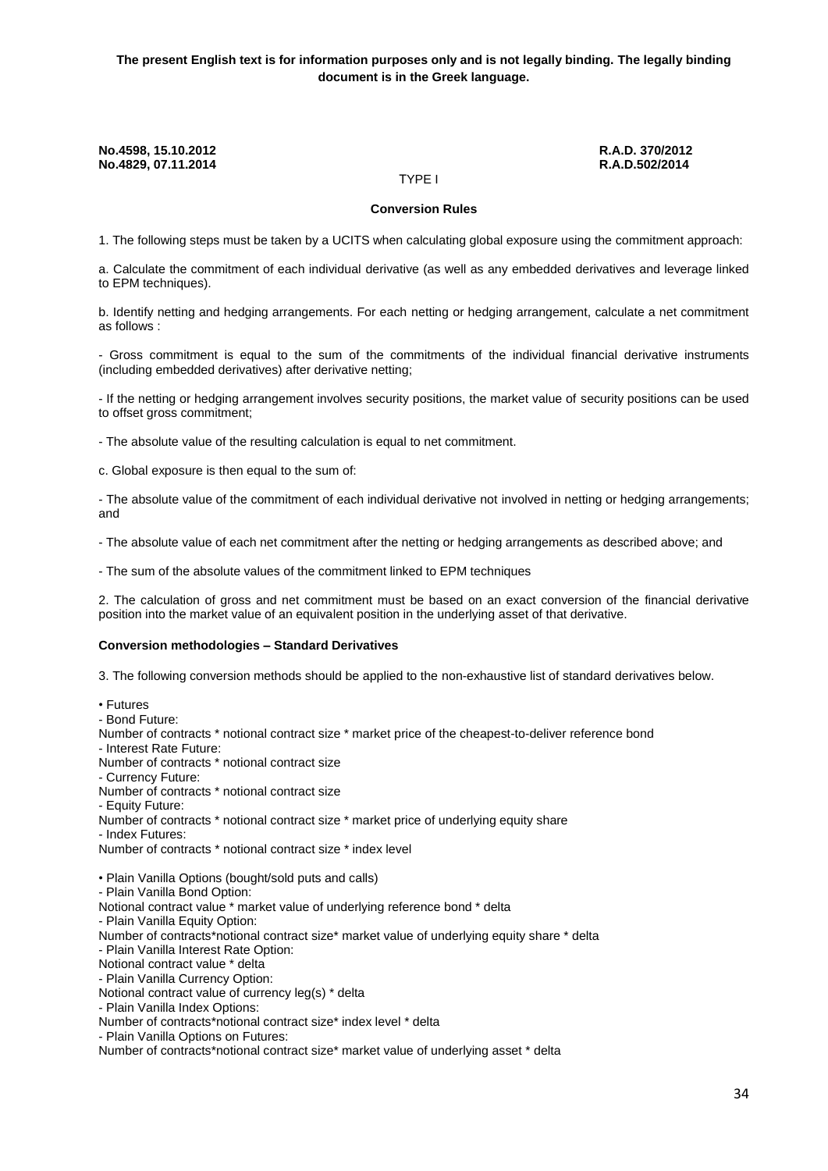ΤYPE I

#### **Conversion Rules**

1. The following steps must be taken by a UCITS when calculating global exposure using the commitment approach:

a. Calculate the commitment of each individual derivative (as well as any embedded derivatives and leverage linked to EPM techniques).

b. Identify netting and hedging arrangements. For each netting or hedging arrangement, calculate a net commitment as follows :

- Gross commitment is equal to the sum of the commitments of the individual financial derivative instruments (including embedded derivatives) after derivative netting;

- If the netting or hedging arrangement involves security positions, the market value of security positions can be used to offset gross commitment;

- The absolute value of the resulting calculation is equal to net commitment.

c. Global exposure is then equal to the sum of:

- The absolute value of the commitment of each individual derivative not involved in netting or hedging arrangements; and

- The absolute value of each net commitment after the netting or hedging arrangements as described above; and

- The sum of the absolute values of the commitment linked to EPM techniques

2. The calculation of gross and net commitment must be based on an exact conversion of the financial derivative position into the market value of an equivalent position in the underlying asset of that derivative.

#### **Conversion methodologies – Standard Derivatives**

3. The following conversion methods should be applied to the non-exhaustive list of standard derivatives below.

• Futures

- Bond Future:

Number of contracts \* notional contract size \* market price of the cheapest-to-deliver reference bond

- Interest Rate Future:

Number of contracts \* notional contract size

- Currency Future:

Number of contracts \* notional contract size

- Equity Future:

Number of contracts \* notional contract size \* market price of underlying equity share

- Index Futures:

Number of contracts \* notional contract size \* index level

• Plain Vanilla Options (bought/sold puts and calls)

- Plain Vanilla Bond Option:

Notional contract value \* market value of underlying reference bond \* delta

- Plain Vanilla Equity Option:

Number of contracts\*notional contract size\* market value of underlying equity share \* delta

- Plain Vanilla Interest Rate Option:

Notional contract value \* delta

- Plain Vanilla Currency Option:

Notional contract value of currency leg(s) \* delta

- Plain Vanilla Index Options:

Number of contracts\*notional contract size\* index level \* delta

- Plain Vanilla Options on Futures:

Number of contracts\*notional contract size\* market value of underlying asset \* delta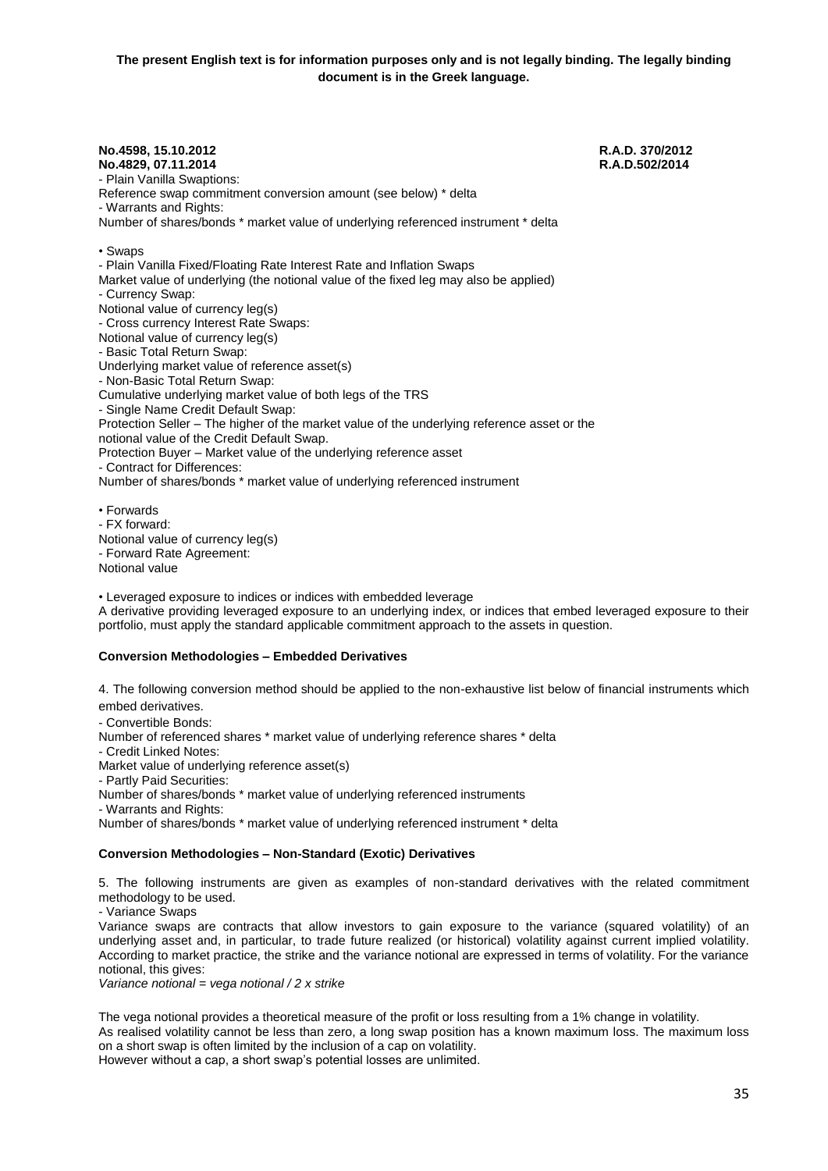**No.4598, 15.10.2012 R.A.D. 370/2012 No.4829, 07.11.2014** - Plain Vanilla Swaptions: Reference swap commitment conversion amount (see below) \* delta - Warrants and Rights: Number of shares/bonds \* market value of underlying referenced instrument \* delta • Swaps - Plain Vanilla Fixed/Floating Rate Interest Rate and Inflation Swaps Market value of underlying (the notional value of the fixed leg may also be applied) - Currency Swap: Notional value of currency leg(s) - Cross currency Interest Rate Swaps: Notional value of currency leg(s) - Basic Total Return Swap: Underlying market value of reference asset(s) - Non-Basic Total Return Swap: Cumulative underlying market value of both legs of the TRS - Single Name Credit Default Swap: Protection Seller – The higher of the market value of the underlying reference asset or the notional value of the Credit Default Swap. Protection Buyer – Market value of the underlying reference asset - Contract for Differences: Number of shares/bonds \* market value of underlying referenced instrument • Forwards - FX forward:

Notional value of currency leg(s) - Forward Rate Agreement: Notional value

• Leveraged exposure to indices or indices with embedded leverage

A derivative providing leveraged exposure to an underlying index, or indices that embed leveraged exposure to their portfolio, must apply the standard applicable commitment approach to the assets in question.

#### **Conversion Methodologies – Embedded Derivatives**

4. The following conversion method should be applied to the non-exhaustive list below of financial instruments which embed derivatives.

- Convertible Bonds:

Number of referenced shares \* market value of underlying reference shares \* delta

- Credit Linked Notes:

Market value of underlying reference asset(s)

- Partly Paid Securities:

Number of shares/bonds \* market value of underlying referenced instruments

- Warrants and Rights:

Number of shares/bonds \* market value of underlying referenced instrument \* delta

### **Conversion Methodologies – Non-Standard (Exotic) Derivatives**

5. The following instruments are given as examples of non-standard derivatives with the related commitment methodology to be used.

- Variance Swaps

Variance swaps are contracts that allow investors to gain exposure to the variance (squared volatility) of an underlying asset and, in particular, to trade future realized (or historical) volatility against current implied volatility. According to market practice, the strike and the variance notional are expressed in terms of volatility. For the variance notional, this gives:

*Variance notional = vega notional / 2 x strike* 

The vega notional provides a theoretical measure of the profit or loss resulting from a 1% change in volatility.

As realised volatility cannot be less than zero, a long swap position has a known maximum loss. The maximum loss on a short swap is often limited by the inclusion of a cap on volatility.

However without a cap, a short swap's potential losses are unlimited.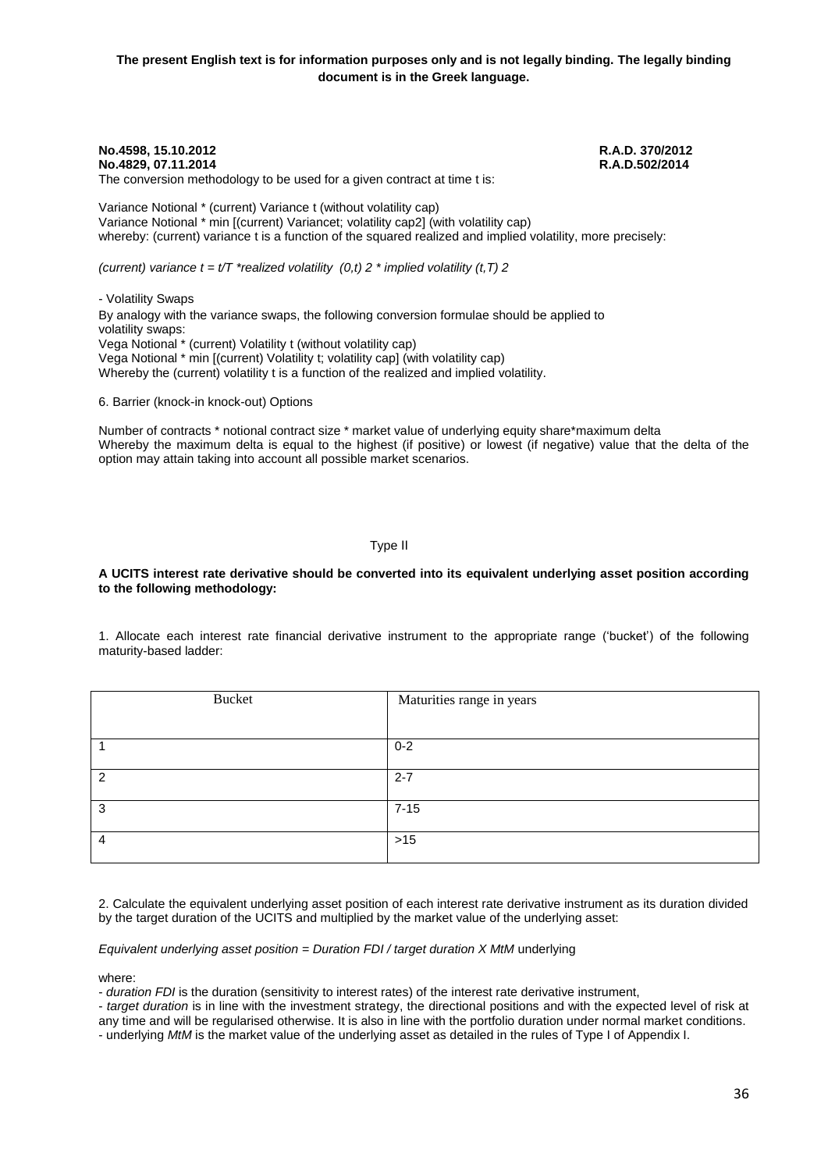**No.4598, 15.10.2012 R.A.D. 370/2012 No.4829, 07.11.2014** The conversion methodology to be used for a given contract at time t is:

Variance Notional \* (current) Variance t (without volatility cap) Variance Notional \* min [(current) Variancet; volatility cap2] (with volatility cap) whereby: (current) variance t is a function of the squared realized and implied volatility, more precisely:

*(current) variance*  $t = t/T$  \*realized volatility  $(0,t)$  2 \* implied volatility  $(t,T)$  2

- Volatility Swaps By analogy with the variance swaps, the following conversion formulae should be applied to volatility swaps: Vega Notional \* (current) Volatility t (without volatility cap) Vega Notional \* min [(current) Volatility t; volatility cap] (with volatility cap) Whereby the (current) volatility t is a function of the realized and implied volatility.

6. Barrier (knock-in knock-out) Options

Number of contracts \* notional contract size \* market value of underlying equity share\*maximum delta Whereby the maximum delta is equal to the highest (if positive) or lowest (if negative) value that the delta of the option may attain taking into account all possible market scenarios.

Type ΙΙ

#### **A UCITS interest rate derivative should be converted into its equivalent underlying asset position according to the following methodology:**

1. Allocate each interest rate financial derivative instrument to the appropriate range ('bucket') of the following maturity-based ladder:

| <b>Bucket</b> | Maturities range in years |
|---------------|---------------------------|
|               | $0 - 2$                   |
| າ             | $2 - 7$                   |
| 3             | $7 - 15$                  |
| $\Lambda$     | $>15$                     |

2. Calculate the equivalent underlying asset position of each interest rate derivative instrument as its duration divided by the target duration of the UCITS and multiplied by the market value of the underlying asset:

#### *Equivalent underlying asset position* = *Duration FDI / target duration X MtM* underlying

where:

- *duration FDI* is the duration (sensitivity to interest rates) of the interest rate derivative instrument,

- *target duration* is in line with the investment strategy, the directional positions and with the expected level of risk at any time and will be regularised otherwise. It is also in line with the portfolio duration under normal market conditions.

- underlying *MtM* is the market value of the underlying asset as detailed in the rules of Type I of Appendix I.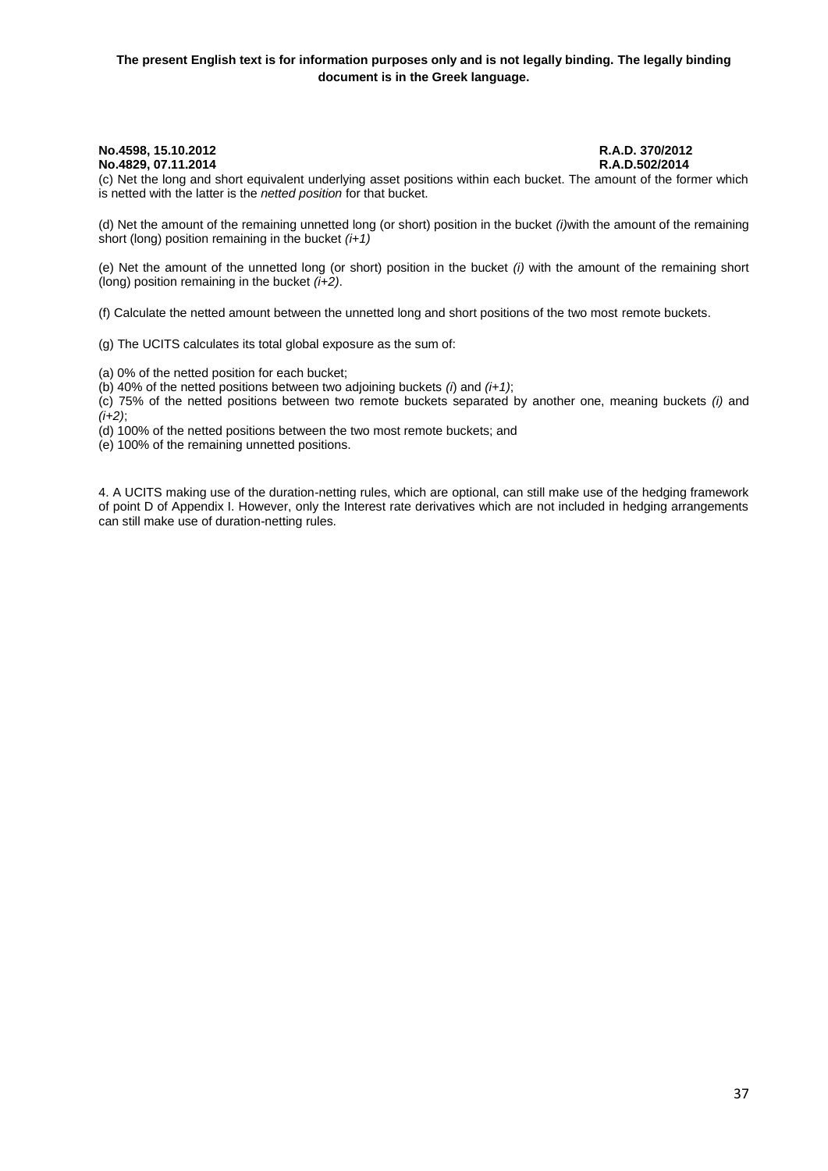### **The present English text is for information purposes only and is not legally binding. The legally binding document is in the Greek language.**

# **No.4829, 07.11.2014**

**No.4598, 15.10.2012 R.A.D. 370/2012**

(c) Net the long and short equivalent underlying asset positions within each bucket. The amount of the former which is netted with the latter is the *netted position* for that bucket.

(d) Net the amount of the remaining unnetted long (or short) position in the bucket *(i)*with the amount of the remaining short (long) position remaining in the bucket *(i+1)*

(e) Net the amount of the unnetted long (or short) position in the bucket *(i)* with the amount of the remaining short (long) position remaining in the bucket *(i+2)*.

(f) Calculate the netted amount between the unnetted long and short positions of the two most remote buckets.

(g) The UCITS calculates its total global exposure as the sum of:

(a) 0% of the netted position for each bucket;

(b) 40% of the netted positions between two adjoining buckets *(i*) and *(i+1)*;

(c) 75% of the netted positions between two remote buckets separated by another one, meaning buckets *(i)* and *(i+2)*;

(d) 100% of the netted positions between the two most remote buckets; and

(e) 100% of the remaining unnetted positions.

4. A UCITS making use of the duration-netting rules, which are optional, can still make use of the hedging framework of point D of Appendix I. However, only the Interest rate derivatives which are not included in hedging arrangements can still make use of duration-netting rules.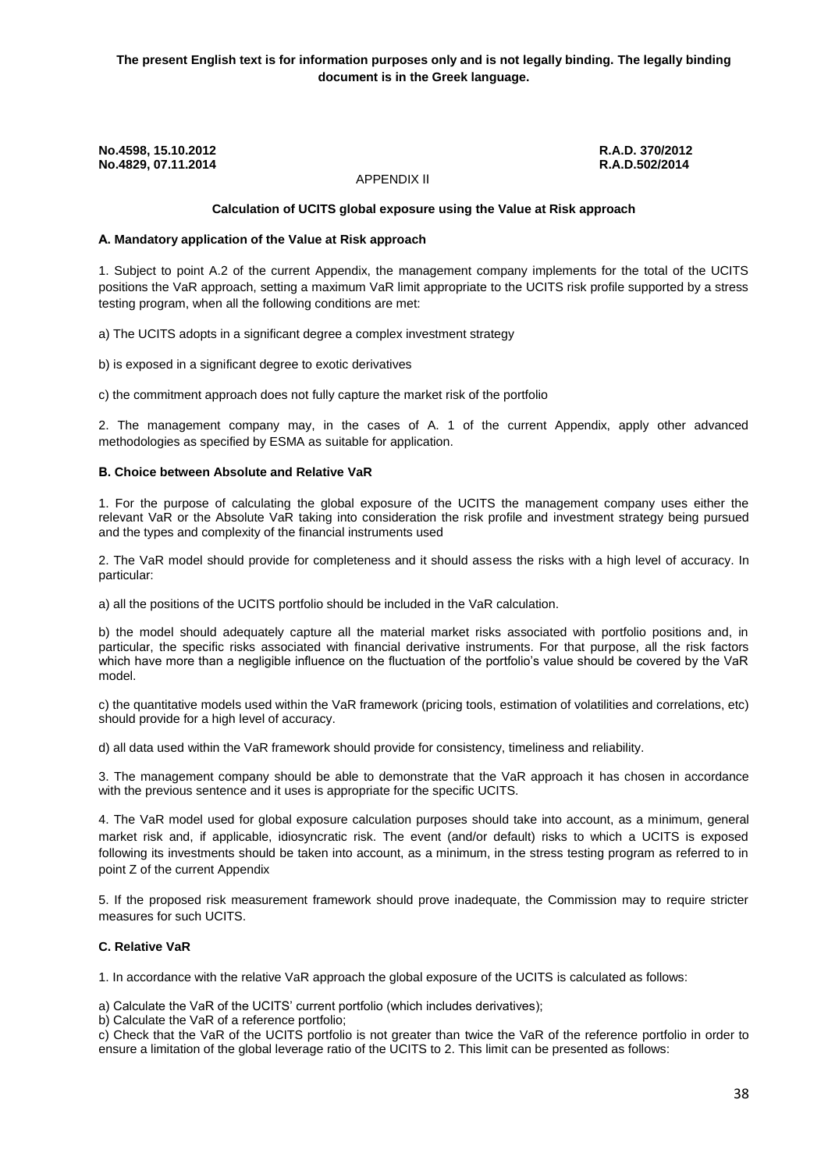APPENDIX ΙΙ

### **Calculation of UCITS global exposure using the Value at Risk approach**

### **Α. Mandatory application of the Value at Risk approach**

1. Subject to point A.2 of the current Appendix, the management company implements for the total of the UCITS positions the VaR approach, setting a maximum VaR limit appropriate to the UCITS risk profile supported by a stress testing program, when all the following conditions are met:

a) The UCITS adopts in a significant degree a complex investment strategy

b) is exposed in a significant degree to exotic derivatives

c) the commitment approach does not fully capture the market risk of the portfolio

2. The management company may, in the cases of A. 1 of the current Appendix, apply other advanced methodologies as specified by ESMA as suitable for application.

#### **Β. Choice between Absolute and Relative VaR**

1. For the purpose of calculating the global exposure of the UCITS the management company uses either the relevant VaR or the Absolute VaR taking into consideration the risk profile and investment strategy being pursued and the types and complexity of the financial instruments used

2. The VaR model should provide for completeness and it should assess the risks with a high level of accuracy. In particular:

a) all the positions of the UCITS portfolio should be included in the VaR calculation.

b) the model should adequately capture all the material market risks associated with portfolio positions and, in particular, the specific risks associated with financial derivative instruments. For that purpose, all the risk factors which have more than a negligible influence on the fluctuation of the portfolio's value should be covered by the VaR model.

c) the quantitative models used within the VaR framework (pricing tools, estimation of volatilities and correlations, etc) should provide for a high level of accuracy.

d) all data used within the VaR framework should provide for consistency, timeliness and reliability.

3. The management company should be able to demonstrate that the VaR approach it has chosen in accordance with the previous sentence and it uses is appropriate for the specific UCITS.

4. The VaR model used for global exposure calculation purposes should take into account, as a minimum, general market risk and, if applicable, idiosyncratic risk. The event (and/or default) risks to which a UCITS is exposed following its investments should be taken into account, as a minimum, in the stress testing program as referred to in point Z of the current Appendix

5. If the proposed risk measurement framework should prove inadequate, the Commission may to require stricter measures for such UCITS.

### **C. Relative VaR**

1. In accordance with the relative VaR approach the global exposure of the UCITS is calculated as follows:

a) Calculate the VaR of the UCITS' current portfolio (which includes derivatives);

b) Calculate the VaR of a reference portfolio;

c) Check that the VaR of the UCITS portfolio is not greater than twice the VaR of the reference portfolio in order to ensure a limitation of the global leverage ratio of the UCITS to 2. This limit can be presented as follows: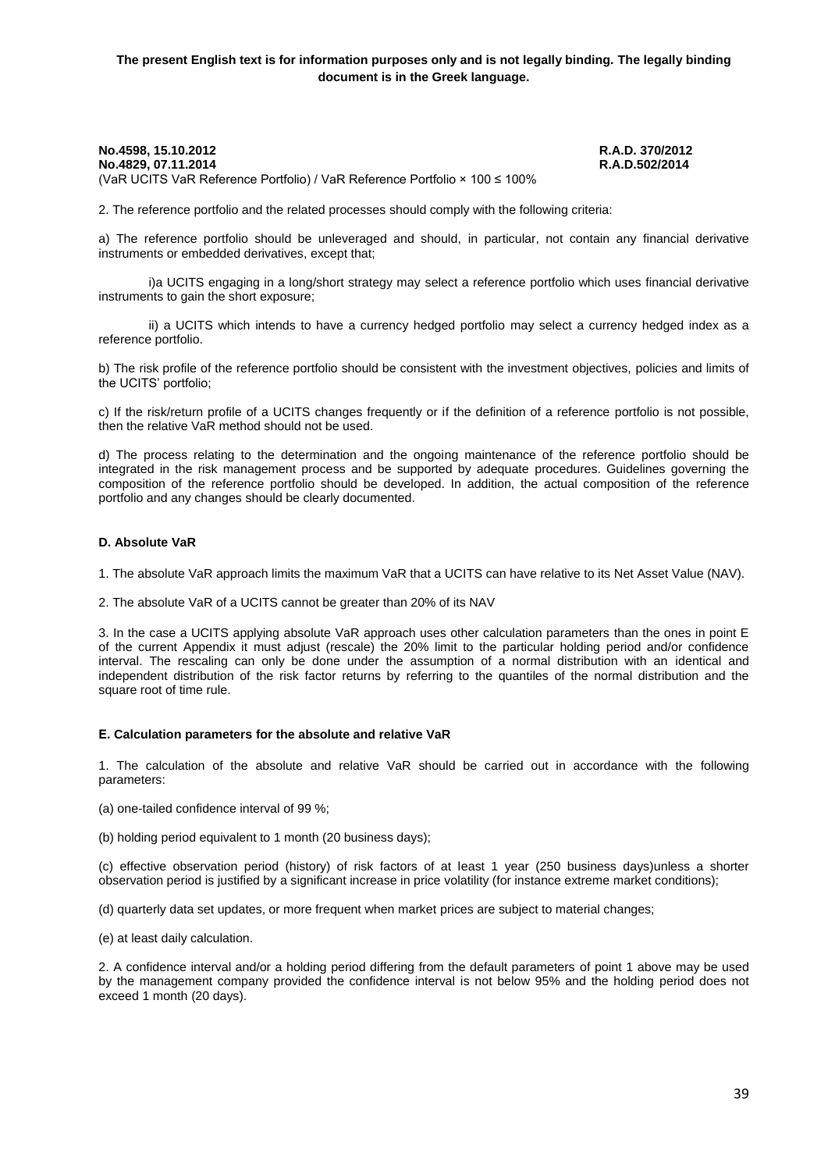#### **No.4598, 15.10.2012 R.A.D. 370/2012 No.4829, 07.11.2014** (VaR UCITS VaR Reference Portfolio) / VaR Reference Portfolio × 100 ≤ 100%

2. The reference portfolio and the related processes should comply with the following criteria:

a) The reference portfolio should be unleveraged and should, in particular, not contain any financial derivative instruments or embedded derivatives, except that;

i)a UCITS engaging in a long/short strategy may select a reference portfolio which uses financial derivative instruments to gain the short exposure;

ii) a UCITS which intends to have a currency hedged portfolio may select a currency hedged index as a reference portfolio.

b) The risk profile of the reference portfolio should be consistent with the investment objectives, policies and limits of the UCITS' portfolio;

c) If the risk/return profile of a UCITS changes frequently or if the definition of a reference portfolio is not possible, then the relative VaR method should not be used.

d) The process relating to the determination and the ongoing maintenance of the reference portfolio should be integrated in the risk management process and be supported by adequate procedures. Guidelines governing the composition of the reference portfolio should be developed. In addition, the actual composition of the reference portfolio and any changes should be clearly documented.

#### **D. Absolute VaR**

1. The absolute VaR approach limits the maximum VaR that a UCITS can have relative to its Net Asset Value (NAV).

2. The absolute VaR of a UCITS cannot be greater than 20% of its NAV

3. In the case a UCITS applying absolute VaR approach uses other calculation parameters than the ones in point E of the current Appendix it must adjust (rescale) the 20% limit to the particular holding period and/or confidence interval. The rescaling can only be done under the assumption of a normal distribution with an identical and independent distribution of the risk factor returns by referring to the quantiles of the normal distribution and the square root of time rule.

#### **Ε. Calculation parameters for the absolute and relative VaR**

1. The calculation of the absolute and relative VaR should be carried out in accordance with the following parameters:

(a) one-tailed confidence interval of 99 %;

(b) holding period equivalent to 1 month (20 business days);

(c) effective observation period (history) of risk factors of at least 1 year (250 business days)unless a shorter observation period is justified by a significant increase in price volatility (for instance extreme market conditions);

(d) quarterly data set updates, or more frequent when market prices are subject to material changes;

(e) at least daily calculation.

2. A confidence interval and/or a holding period differing from the default parameters of point 1 above may be used by the management company provided the confidence interval is not below 95% and the holding period does not exceed 1 month (20 days).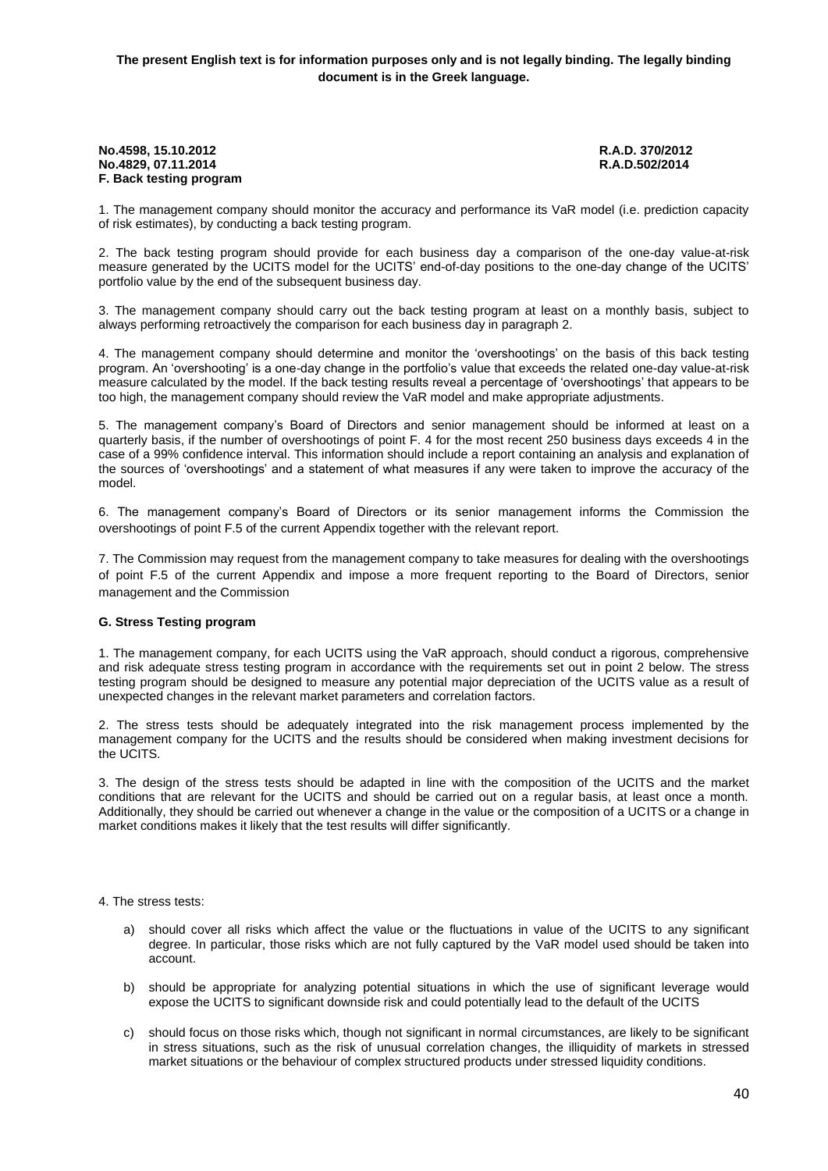**No.4598, 15.10.2012 R.A.D. 370/2012 No.4829, 07.11.2014 F. Back testing program**

1. The management company should monitor the accuracy and performance its VaR model (i.e. prediction capacity of risk estimates), by conducting a back testing program.

2. The back testing program should provide for each business day a comparison of the one-day value-at-risk measure generated by the UCITS model for the UCITS' end-of-day positions to the one-day change of the UCITS' portfolio value by the end of the subsequent business day.

3. The management company should carry out the back testing program at least on a monthly basis, subject to always performing retroactively the comparison for each business day in paragraph 2.

4. The management company should determine and monitor the 'overshootings' on the basis of this back testing program. An 'overshooting' is a one-day change in the portfolio's value that exceeds the related one-day value-at-risk measure calculated by the model. If the back testing results reveal a percentage of 'overshootings' that appears to be too high, the management company should review the VaR model and make appropriate adjustments.

5. The management company's Board of Directors and senior management should be informed at least on a quarterly basis, if the number of overshootings of point F. 4 for the most recent 250 business days exceeds 4 in the case of a 99% confidence interval. This information should include a report containing an analysis and explanation of the sources of 'overshootings' and a statement of what measures if any were taken to improve the accuracy of the model.

6. The management company's Board of Directors or its senior management informs the Commission the overshootings of point F.5 of the current Appendix together with the relevant report.

7. The Commission may request from the management company to take measures for dealing with the overshootings of point F.5 of the current Appendix and impose a more frequent reporting to the Board of Directors, senior management and the Commission

### **G. Stress Testing program**

1. The management company, for each UCITS using the VaR approach, should conduct a rigorous, comprehensive and risk adequate stress testing program in accordance with the requirements set out in point 2 below. The stress testing program should be designed to measure any potential major depreciation of the UCITS value as a result of unexpected changes in the relevant market parameters and correlation factors.

2. The stress tests should be adequately integrated into the risk management process implemented by the management company for the UCITS and the results should be considered when making investment decisions for the UCITS.

3. The design of the stress tests should be adapted in line with the composition of the UCITS and the market conditions that are relevant for the UCITS and should be carried out on a regular basis, at least once a month. Additionally, they should be carried out whenever a change in the value or the composition of a UCITS or a change in market conditions makes it likely that the test results will differ significantly.

#### 4. The stress tests:

- a) should cover all risks which affect the value or the fluctuations in value of the UCITS to any significant degree. In particular, those risks which are not fully captured by the VaR model used should be taken into account.
- b) should be appropriate for analyzing potential situations in which the use of significant leverage would expose the UCITS to significant downside risk and could potentially lead to the default of the UCITS
- c) should focus on those risks which, though not significant in normal circumstances, are likely to be significant in stress situations, such as the risk of unusual correlation changes, the illiquidity of markets in stressed market situations or the behaviour of complex structured products under stressed liquidity conditions.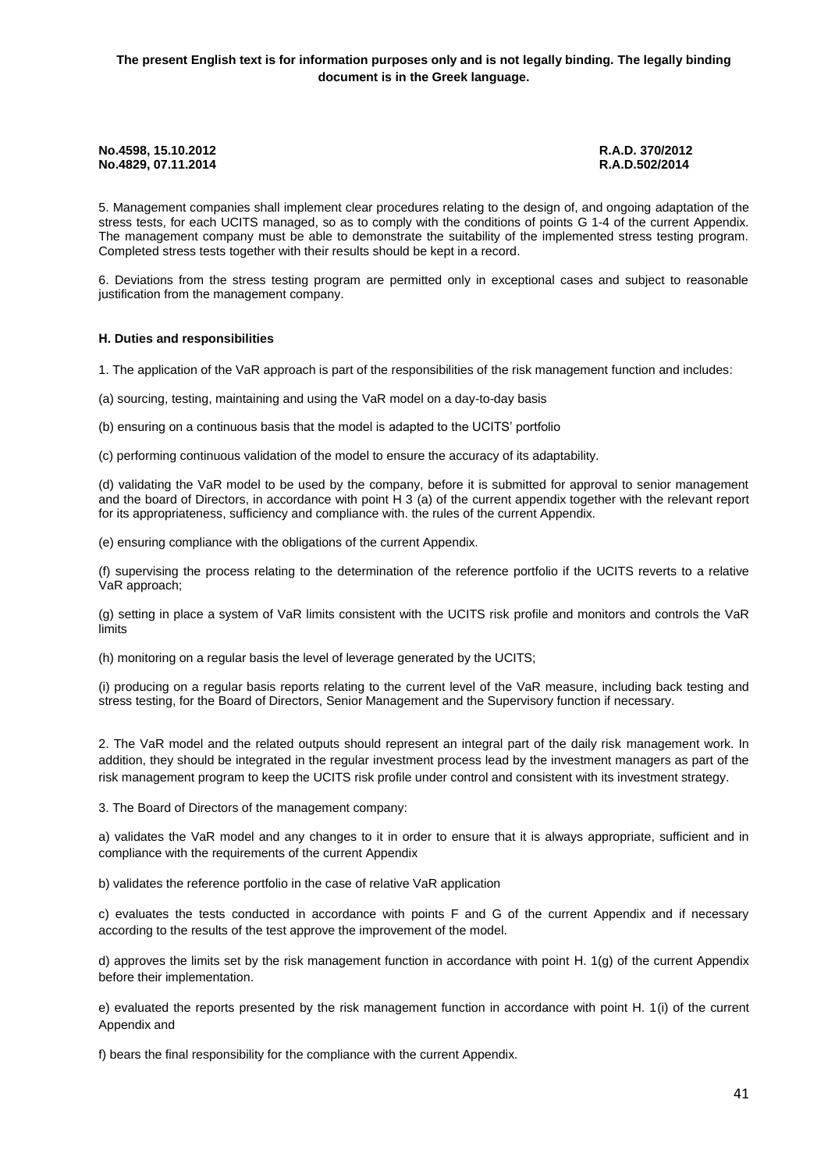5. Management companies shall implement clear procedures relating to the design of, and ongoing adaptation of the stress tests, for each UCITS managed, so as to comply with the conditions of points G 1-4 of the current Appendix. The management company must be able to demonstrate the suitability of the implemented stress testing program. Completed stress tests together with their results should be kept in a record.

6. Deviations from the stress testing program are permitted only in exceptional cases and subject to reasonable justification from the management company.

### **Η. Duties and responsibilities**

1. The application of the VaR approach is part of the responsibilities of the risk management function and includes:

(a) sourcing, testing, maintaining and using the VaR model on a day-to-day basis

(b) ensuring on a continuous basis that the model is adapted to the UCITS' portfolio

(c) performing continuous validation of the model to ensure the accuracy of its adaptability.

(d) validating the VaR model to be used by the company, before it is submitted for approval to senior management and the board of Directors, in accordance with point H 3 (a) of the current appendix together with the relevant report for its appropriateness, sufficiency and compliance with. the rules of the current Appendix.

(e) ensuring compliance with the obligations of the current Appendix.

(f) supervising the process relating to the determination of the reference portfolio if the UCITS reverts to a relative VaR approach;

(g) setting in place a system of VaR limits consistent with the UCITS risk profile and monitors and controls the VaR limits

(h) monitoring on a regular basis the level of leverage generated by the UCITS;

(i) producing on a regular basis reports relating to the current level of the VaR measure, including back testing and stress testing, for the Board of Directors, Senior Management and the Supervisory function if necessary.

2. The VaR model and the related outputs should represent an integral part of the daily risk management work. In addition, they should be integrated in the regular investment process lead by the investment managers as part of the risk management program to keep the UCITS risk profile under control and consistent with its investment strategy.

3. The Board of Directors of the management company:

a) validates the VaR model and any changes to it in order to ensure that it is always appropriate, sufficient and in compliance with the requirements of the current Appendix

b) validates the reference portfolio in the case of relative VaR application

c) evaluates the tests conducted in accordance with points F and G of the current Appendix and if necessary according to the results of the test approve the improvement of the model.

d) approves the limits set by the risk management function in accordance with point Η. 1(g) of the current Appendix before their implementation.

e) evaluated the reports presented by the risk management function in accordance with point H. 1(i) of the current Appendix and

f) bears the final responsibility for the compliance with the current Appendix.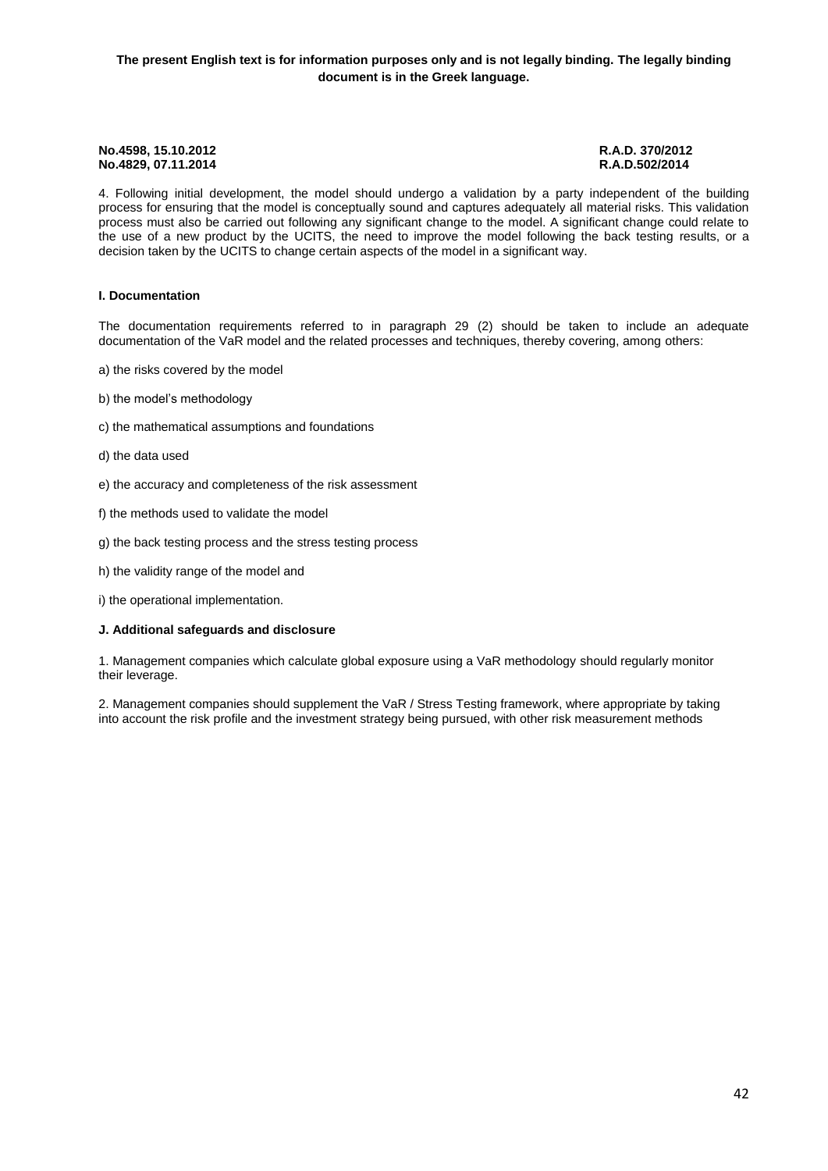4. Following initial development, the model should undergo a validation by a party independent of the building process for ensuring that the model is conceptually sound and captures adequately all material risks. This validation process must also be carried out following any significant change to the model. A significant change could relate to the use of a new product by the UCITS, the need to improve the model following the back testing results, or a decision taken by the UCITS to change certain aspects of the model in a significant way.

#### **I. Documentation**

The documentation requirements referred to in paragraph 29 (2) should be taken to include an adequate documentation of the VaR model and the related processes and techniques, thereby covering, among others:

- a) the risks covered by the model
- b) the model's methodology
- c) the mathematical assumptions and foundations
- d) the data used
- e) the accuracy and completeness of the risk assessment
- f) the methods used to validate the model
- g) the back testing process and the stress testing process
- h) the validity range of the model and
- i) the operational implementation.

#### **J. Additional safeguards and disclosure**

1. Management companies which calculate global exposure using a VaR methodology should regularly monitor their leverage.

2. Management companies should supplement the VaR / Stress Testing framework, where appropriate by taking into account the risk profile and the investment strategy being pursued, with other risk measurement methods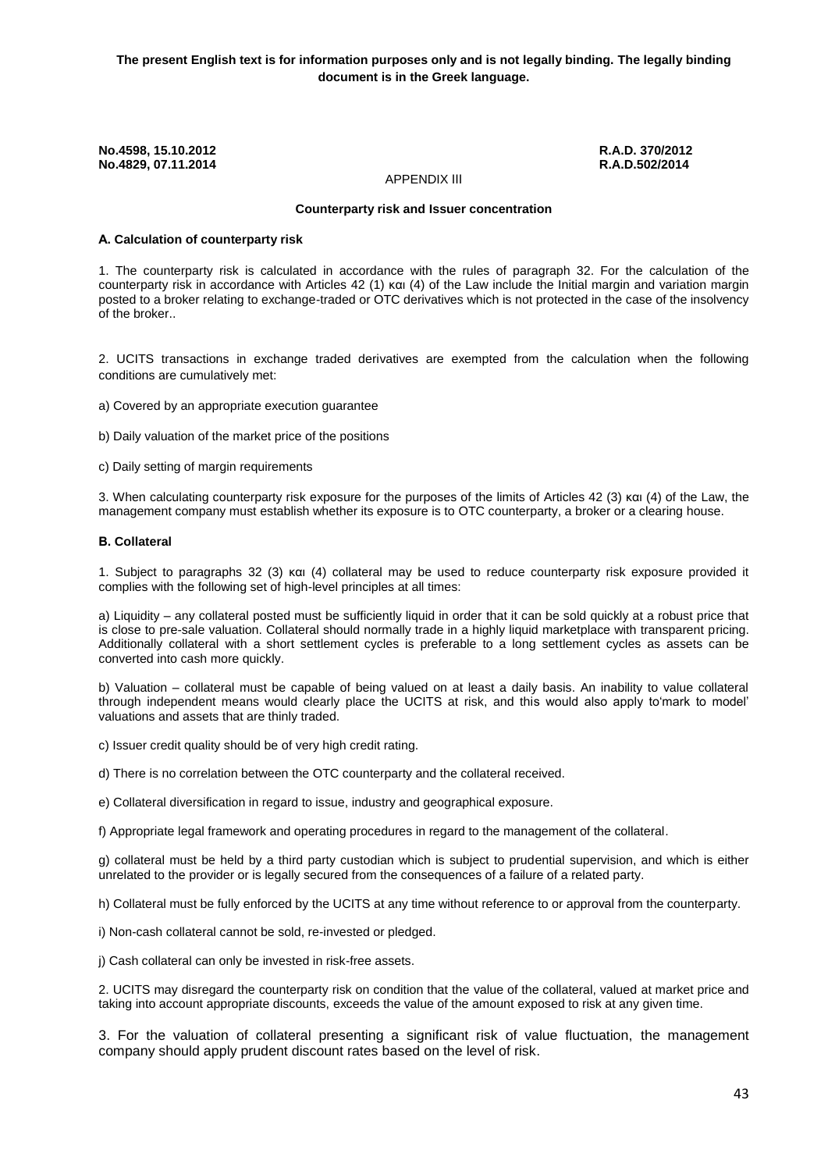#### APPENDIX ΙΙΙ

#### **Counterparty risk and Issuer concentration**

#### **Α. Calculation of counterparty risk**

1. The counterparty risk is calculated in accordance with the rules of paragraph 32. For the calculation of the counterparty risk in accordance with Articles 42 (1) και (4) of the Law include the Initial margin and variation margin posted to a broker relating to exchange-traded or OTC derivatives which is not protected in the case of the insolvency of the broker..

2. UCITS transactions in exchange traded derivatives are exempted from the calculation when the following conditions are cumulatively met:

a) Covered by an appropriate execution guarantee

b) Daily valuation of the market price of the positions

c) Daily setting of margin requirements

3. When calculating counterparty risk exposure for the purposes of the limits of Articles 42 (3) και (4) of the Law, the management company must establish whether its exposure is to OTC counterparty, a broker or a clearing house.

#### **Β. Collateral**

1. Subject to paragraphs 32 (3) και (4) collateral may be used to reduce counterparty risk exposure provided it complies with the following set of high-level principles at all times:

a) Liquidity – any collateral posted must be sufficiently liquid in order that it can be sold quickly at a robust price that is close to pre-sale valuation. Collateral should normally trade in a highly liquid marketplace with transparent pricing. Additionally collateral with a short settlement cycles is preferable to a long settlement cycles as assets can be converted into cash more quickly.

b) Valuation – collateral must be capable of being valued on at least a daily basis. An inability to value collateral through independent means would clearly place the UCITS at risk, and this would also apply to'mark to model' valuations and assets that are thinly traded.

c) Issuer credit quality should be of very high credit rating.

d) There is no correlation between the OTC counterparty and the collateral received.

e) Collateral diversification in regard to issue, industry and geographical exposure.

f) Appropriate legal framework and operating procedures in regard to the management of the collateral.

g) collateral must be held by a third party custodian which is subject to prudential supervision, and which is either unrelated to the provider or is legally secured from the consequences of a failure of a related party.

h) Collateral must be fully enforced by the UCITS at any time without reference to or approval from the counterparty.

i) Non-cash collateral cannot be sold, re-invested or pledged.

j) Cash collateral can only be invested in risk-free assets.

2. UCITS may disregard the counterparty risk on condition that the value of the collateral, valued at market price and taking into account appropriate discounts, exceeds the value of the amount exposed to risk at any given time.

3. For the valuation of collateral presenting a significant risk of value fluctuation, the management company should apply prudent discount rates based on the level of risk.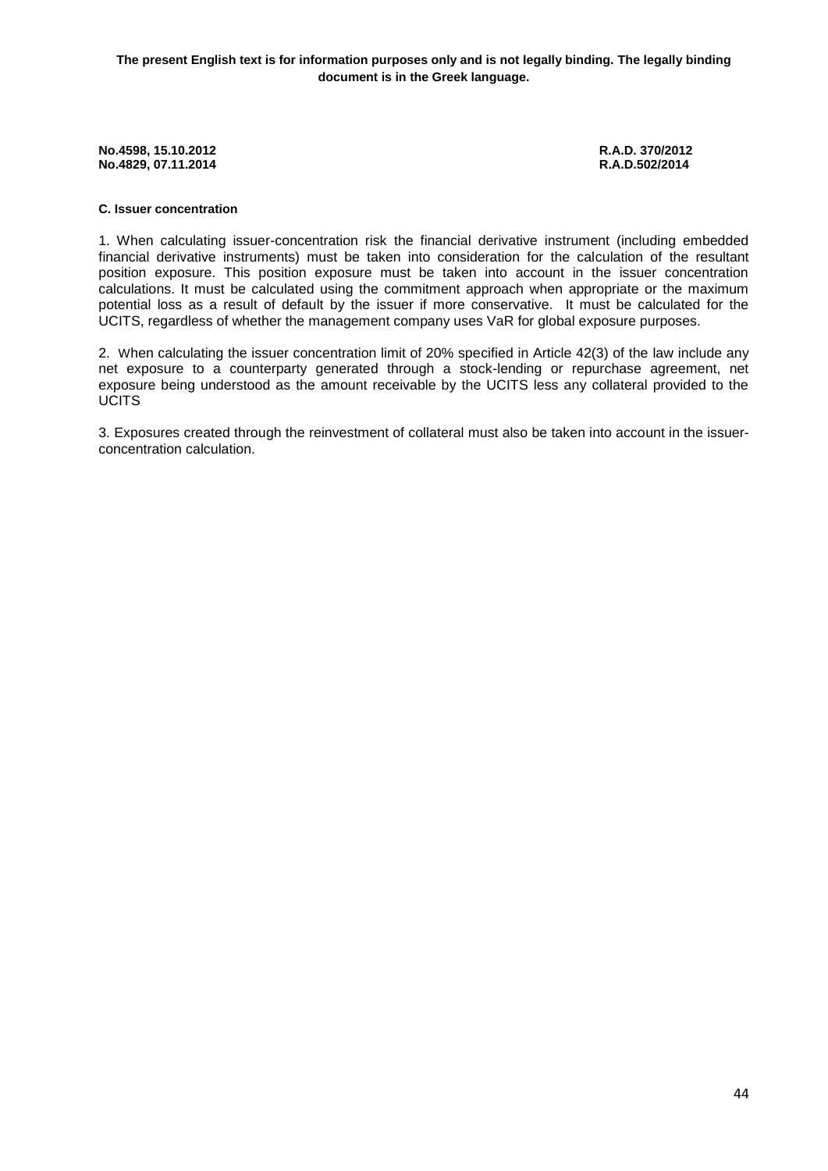# **C. Issuer concentration**

1. When calculating issuer-concentration risk the financial derivative instrument (including embedded financial derivative instruments) must be taken into consideration for the calculation of the resultant position exposure. This position exposure must be taken into account in the issuer concentration calculations. It must be calculated using the commitment approach when appropriate or the maximum potential loss as a result of default by the issuer if more conservative. It must be calculated for the UCITS, regardless of whether the management company uses VaR for global exposure purposes.

2. When calculating the issuer concentration limit of 20% specified in Article 42(3) of the law include any net exposure to a counterparty generated through a stock-lending or repurchase agreement, net exposure being understood as the amount receivable by the UCITS less any collateral provided to the **UCITS** 

3. Exposures created through the reinvestment of collateral must also be taken into account in the issuerconcentration calculation.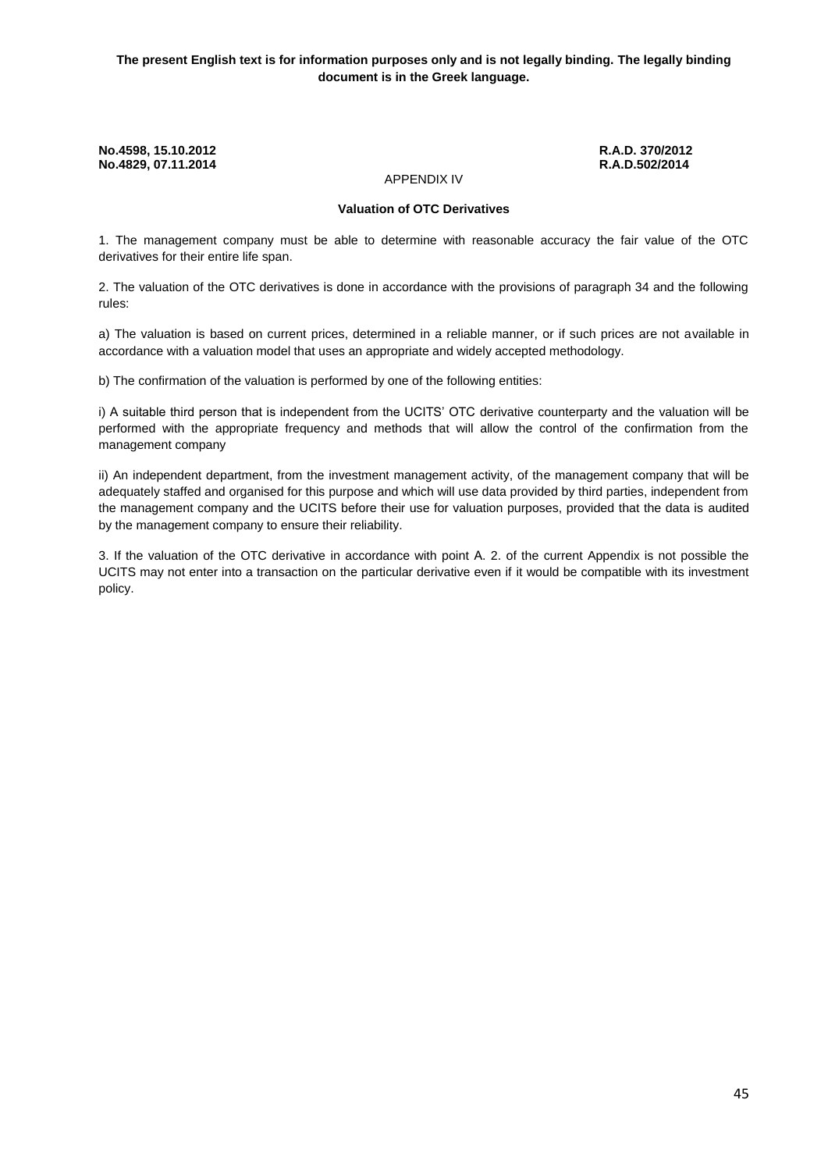# APPENDIX IV

#### **Valuation of OTC Derivatives**

1. The management company must be able to determine with reasonable accuracy the fair value of the OTC derivatives for their entire life span.

2. The valuation of the OTC derivatives is done in accordance with the provisions of paragraph 34 and the following rules:

a) The valuation is based on current prices, determined in a reliable manner, or if such prices are not available in accordance with a valuation model that uses an appropriate and widely accepted methodology.

b) The confirmation of the valuation is performed by one of the following entities:

i) A suitable third person that is independent from the UCITS' OTC derivative counterparty and the valuation will be performed with the appropriate frequency and methods that will allow the control of the confirmation from the management company

ii) An independent department, from the investment management activity, of the management company that will be adequately staffed and organised for this purpose and which will use data provided by third parties, independent from the management company and the UCITS before their use for valuation purposes, provided that the data is audited by the management company to ensure their reliability.

3. If the valuation of the OTC derivative in accordance with point Α. 2. of the current Appendix is not possible the UCITS may not enter into a transaction on the particular derivative even if it would be compatible with its investment policy.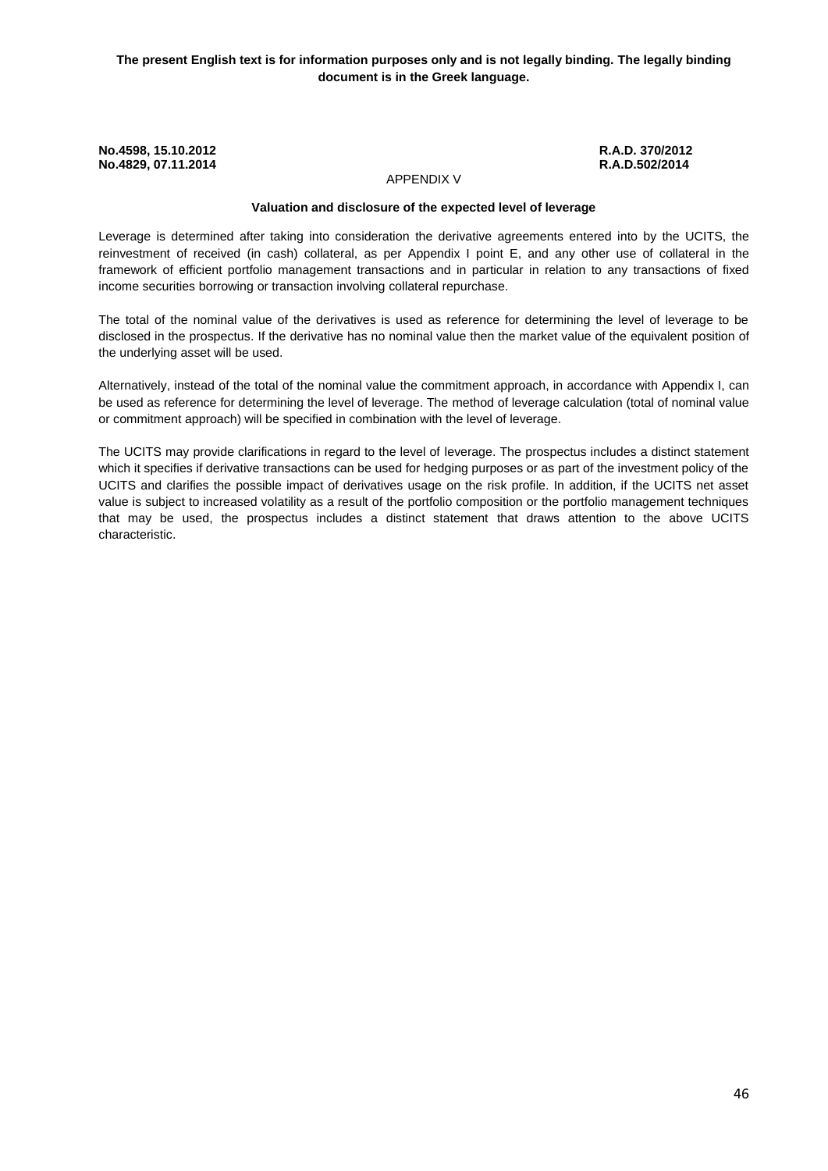### APPENDIX V

#### **Valuation and disclosure of the expected level of leverage**

Leverage is determined after taking into consideration the derivative agreements entered into by the UCITS, the reinvestment of received (in cash) collateral, as per Appendix I point E, and any other use of collateral in the framework of efficient portfolio management transactions and in particular in relation to any transactions of fixed income securities borrowing or transaction involving collateral repurchase.

The total of the nominal value of the derivatives is used as reference for determining the level of leverage to be disclosed in the prospectus. If the derivative has no nominal value then the market value of the equivalent position of the underlying asset will be used.

Alternatively, instead of the total of the nominal value the commitment approach, in accordance with Appendix I, can be used as reference for determining the level of leverage. The method of leverage calculation (total of nominal value or commitment approach) will be specified in combination with the level of leverage.

The UCITS may provide clarifications in regard to the level of leverage. The prospectus includes a distinct statement which it specifies if derivative transactions can be used for hedging purposes or as part of the investment policy of the UCITS and clarifies the possible impact of derivatives usage on the risk profile. In addition, if the UCITS net asset value is subject to increased volatility as a result of the portfolio composition or the portfolio management techniques that may be used, the prospectus includes a distinct statement that draws attention to the above UCITS characteristic.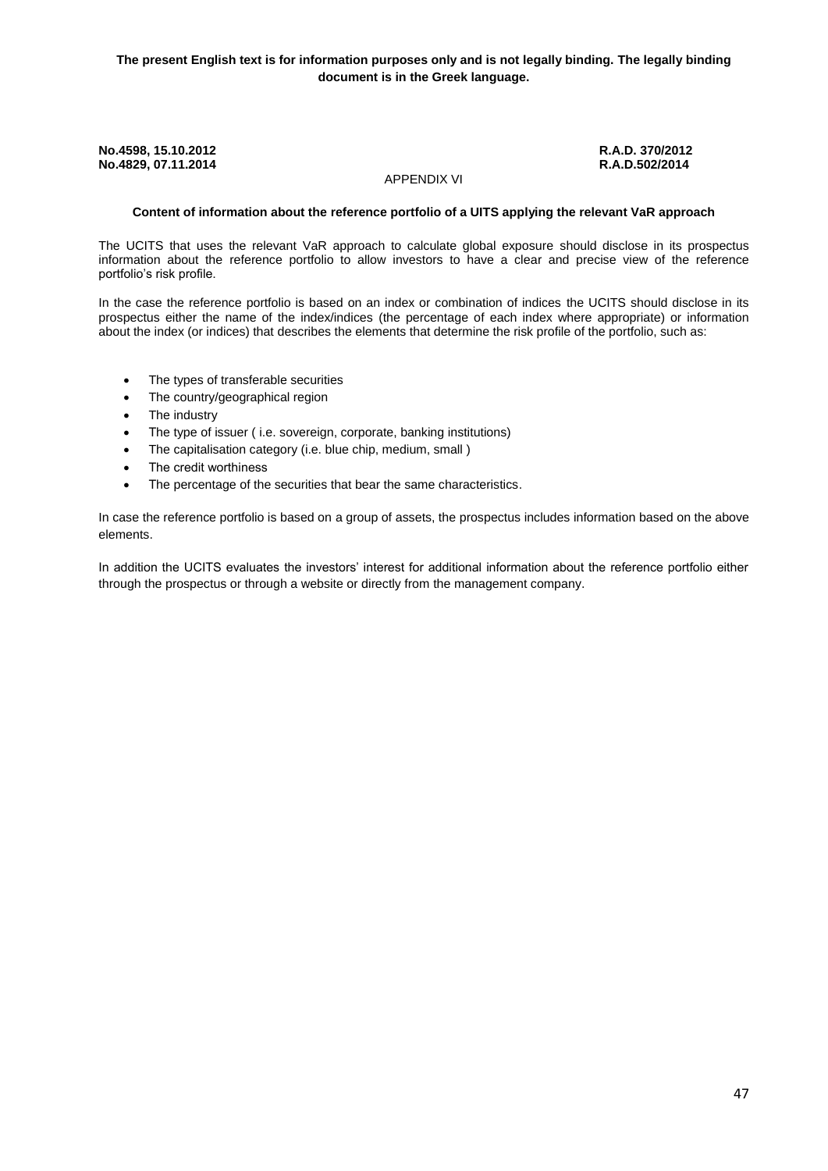### APPENDIX VI

#### **Content of information about the reference portfolio of a UITS applying the relevant VaR approach**

The UCITS that uses the relevant VaR approach to calculate global exposure should disclose in its prospectus information about the reference portfolio to allow investors to have a clear and precise view of the reference portfolio's risk profile.

In the case the reference portfolio is based on an index or combination of indices the UCITS should disclose in its prospectus either the name of the index/indices (the percentage of each index where appropriate) or information about the index (or indices) that describes the elements that determine the risk profile of the portfolio, such as:

- The types of transferable securities
- The country/geographical region
- The industry
- The type of issuer (i.e. sovereign, corporate, banking institutions)
- The capitalisation category (i.e. blue chip, medium, small)
- **•** The credit worthiness
- The percentage of the securities that bear the same characteristics.

In case the reference portfolio is based on a group of assets, the prospectus includes information based on the above elements.

In addition the UCITS evaluates the investors' interest for additional information about the reference portfolio either through the prospectus or through a website or directly from the management company.